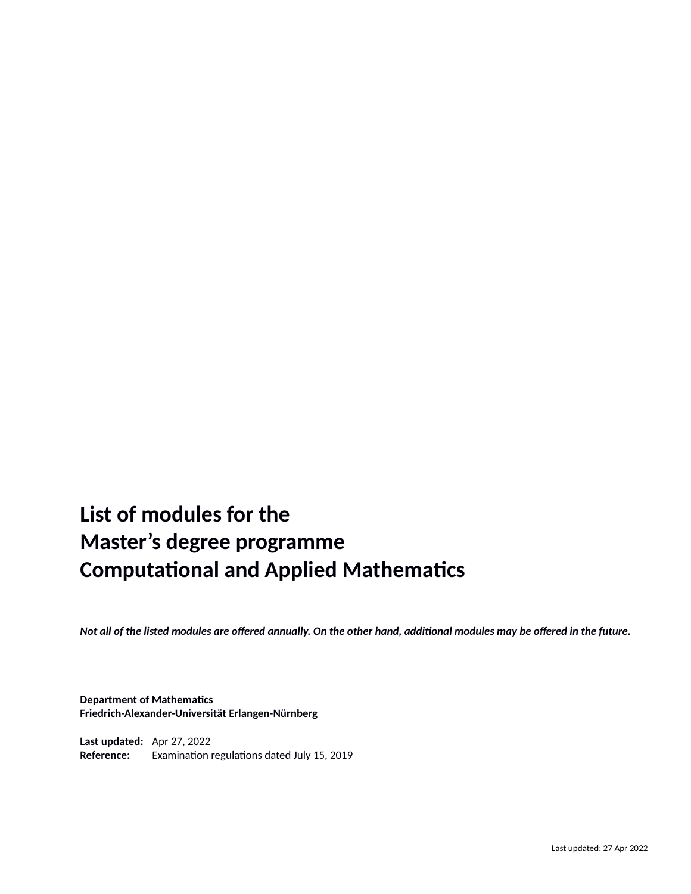# **List of modules for the Master's degree programme Computational and Applied Mathematics**

*Not all of the listed modules are offered annually. On the other hand, additional modules may be offered in the future.*

**Department of Mathematics Friedrich-Alexander-Universität Erlangen-Nürnberg**

**Last updated:** Apr 27, 2022 **Reference:** Examination regulations dated July 15, 2019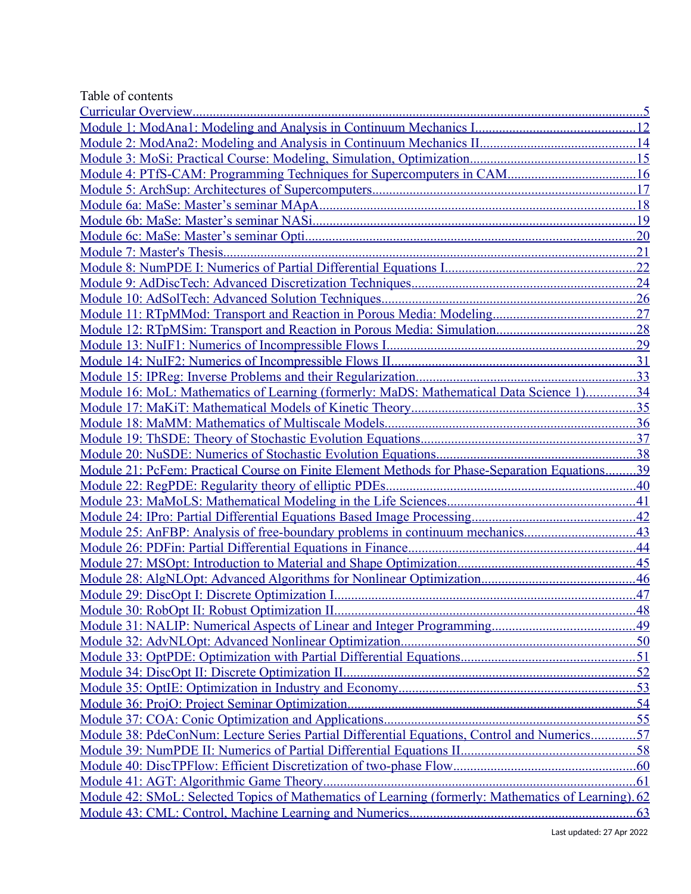| Table of contents                                                                                  |     |
|----------------------------------------------------------------------------------------------------|-----|
|                                                                                                    |     |
|                                                                                                    | .12 |
|                                                                                                    | .14 |
|                                                                                                    | .15 |
| Module 4: PTfS-CAM: Programming Techniques for Supercomputers in CAM                               | 16  |
|                                                                                                    | 17  |
|                                                                                                    | 18  |
|                                                                                                    | 19  |
|                                                                                                    | .20 |
| Module 7: Master's Thesis.                                                                         | 21  |
|                                                                                                    | 22  |
|                                                                                                    |     |
|                                                                                                    |     |
|                                                                                                    |     |
|                                                                                                    | .28 |
|                                                                                                    | .29 |
|                                                                                                    | .31 |
|                                                                                                    | .33 |
| Module 16: MoL: Mathematics of Learning (formerly: MaDS: Mathematical Data Science 1)34            |     |
|                                                                                                    | .35 |
|                                                                                                    | .36 |
|                                                                                                    |     |
|                                                                                                    |     |
| Module 21: PcFem: Practical Course on Finite Element Methods for Phase-Separation Equations        | 39  |
| Module 22: RegPDE: Regularity theory of elliptic PDEs                                              | .40 |
|                                                                                                    | .41 |
|                                                                                                    |     |
| Module 25: AnFBP: Analysis of free-boundary problems in continuum mechanics                        | .43 |
|                                                                                                    | .44 |
|                                                                                                    | .45 |
|                                                                                                    | .46 |
|                                                                                                    |     |
|                                                                                                    |     |
|                                                                                                    |     |
|                                                                                                    |     |
|                                                                                                    |     |
|                                                                                                    |     |
|                                                                                                    |     |
|                                                                                                    |     |
|                                                                                                    |     |
| Module 38: PdeConNum: Lecture Series Partial Differential Equations, Control and Numerics57        |     |
|                                                                                                    |     |
|                                                                                                    |     |
|                                                                                                    |     |
| Module 42: SMoL: Selected Topics of Mathematics of Learning (formerly: Mathematics of Learning) 62 |     |
|                                                                                                    |     |
|                                                                                                    |     |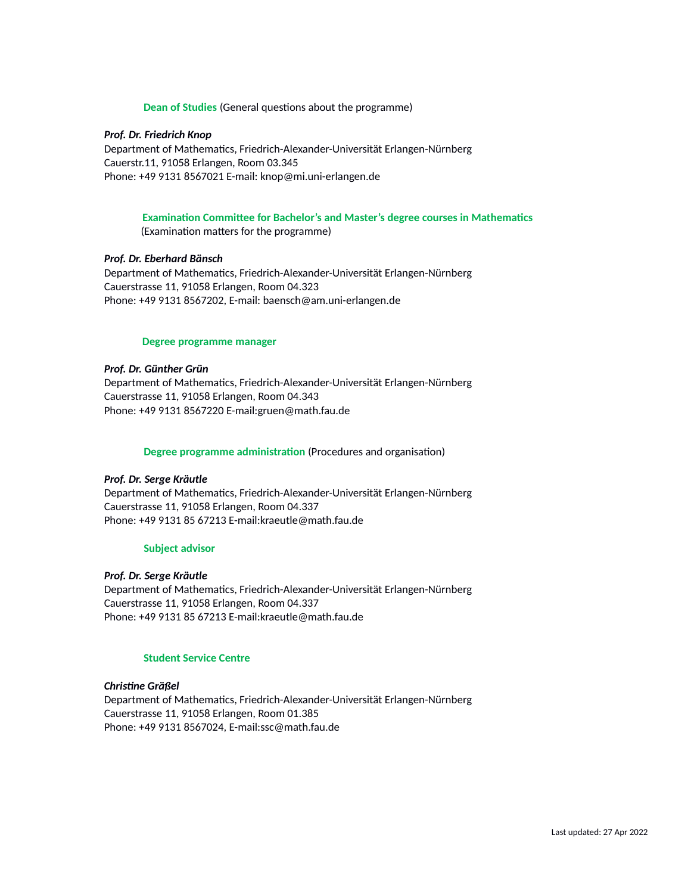#### **Dean of Studies** (General questions about the programme)

#### *Prof. Dr. Friedrich Knop*

Department of Mathematics, Friedrich-Alexander-Universität Erlangen-Nürnberg Cauerstr.11, 91058 Erlangen, Room 03.345 Phone: +49 9131 8567021 E-mail: knop@mi.uni-erlangen.de

### **Examination Committee for Bachelor's and Master's degree courses in Mathematics**

(Examination matters for the programme)

#### *Prof. Dr. Eberhard Bänsch*

Department of Mathematics, Friedrich-Alexander-Universität Erlangen-Nürnberg Cauerstrasse 11, 91058 Erlangen, Room 04.323 Phone: +49 9131 8567202, E-mail: baensch@am.uni-erlangen.de

#### **Degree programme manager**

#### *Prof. Dr. Günther Grün*

Department of Mathematics, Friedrich-Alexander-Universität Erlangen-Nürnberg Cauerstrasse 11, 91058 Erlangen, Room 04.343 Phone: +49 9131 8567220 E-mail:gruen@math.fau.de

#### **Degree programme administration** (Procedures and organisation)

#### *Prof. Dr. Serge Kräutle*

Department of Mathematics, Friedrich-Alexander-Universität Erlangen-Nürnberg Cauerstrasse 11, 91058 Erlangen, Room 04.337 Phone: +49 9131 85 67213 E-mail:kraeutle@math.fau.de

#### **Subject advisor**

#### *Prof. Dr. Serge Kräutle*

Department of Mathematics, Friedrich-Alexander-Universität Erlangen-Nürnberg Cauerstrasse 11, 91058 Erlangen, Room 04.337 Phone: +49 9131 85 67213 E-mail:kraeutle@math.fau.de

#### **Student Service Centre**

#### *Christine Gräßel*

Department of Mathematics, Friedrich-Alexander-Universität Erlangen-Nürnberg Cauerstrasse 11, 91058 Erlangen, Room 01.385 Phone: +49 9131 8567024, E-mail:ssc@math.fau.de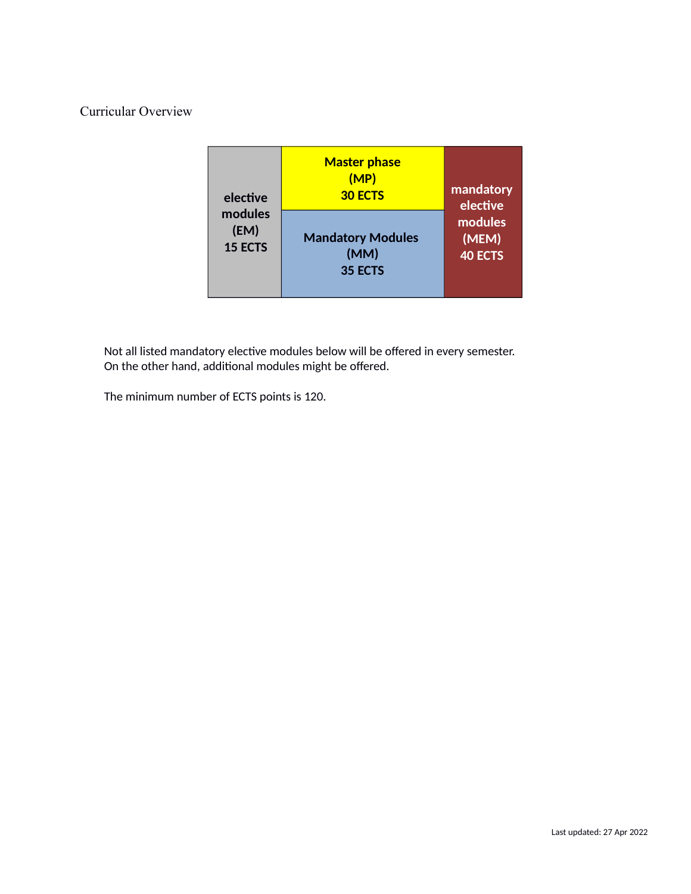### <span id="page-4-0"></span>Curricular Overview

| elective       | <b>Master phase</b><br>(MP)<br><b>30 ECTS</b> | mandatory<br>elective |
|----------------|-----------------------------------------------|-----------------------|
| modules        | <b>Mandatory Modules</b>                      | modules               |
| (EM)           | (MM)                                          | (MEM)                 |
| <b>15 ECTS</b> | 35 ECTS                                       | <b>40 ECTS</b>        |

Not all listed mandatory elective modules below will be offered in every semester. On the other hand, additional modules might be offered.

The minimum number of ECTS points is 120.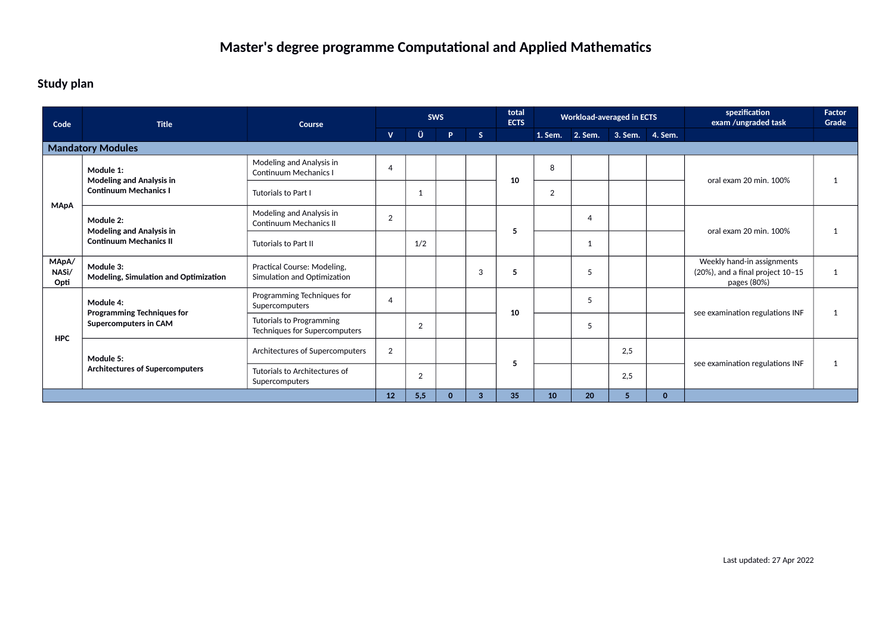### **Study plan**

| Code                                                                     | <b>Title</b>                                                     | Course                                                     |                |                | <b>SWS</b>   |              | total<br><b>ECTS</b> |    | <b>Workload-averaged in ECTS</b> |              |  | spezification<br>exam /ungraded task                                               | <b>Factor</b><br>Grade |
|--------------------------------------------------------------------------|------------------------------------------------------------------|------------------------------------------------------------|----------------|----------------|--------------|--------------|----------------------|----|----------------------------------|--------------|--|------------------------------------------------------------------------------------|------------------------|
|                                                                          |                                                                  |                                                            | v.             | Ü              | P.           | $\mathsf{S}$ |                      |    | 1. Sem. 2. Sem. 3. Sem. 4. Sem.  |              |  |                                                                                    |                        |
|                                                                          | <b>Mandatory Modules</b>                                         |                                                            |                |                |              |              |                      |    |                                  |              |  |                                                                                    |                        |
| Module 1:<br><b>Modeling and Analysis in</b>                             |                                                                  | Modeling and Analysis in<br><b>Continuum Mechanics I</b>   | $\overline{4}$ |                |              |              | 10                   | 8  |                                  |              |  | oral exam 20 min. 100%                                                             |                        |
|                                                                          | <b>Continuum Mechanics I</b>                                     | Tutorials to Part I                                        |                | -1             |              |              |                      | 2  |                                  |              |  |                                                                                    |                        |
| <b>MApA</b><br>Module 2:                                                 |                                                                  | Modeling and Analysis in<br><b>Continuum Mechanics II</b>  | $\overline{2}$ |                |              |              | 5                    |    | 4                                |              |  | oral exam 20 min. 100%                                                             | -1                     |
|                                                                          | <b>Modeling and Analysis in</b><br><b>Continuum Mechanics II</b> | <b>Tutorials to Part II</b>                                |                | 1/2            |              |              |                      |    | 1                                |              |  |                                                                                    |                        |
| MApA/<br>NASi/<br>Opti                                                   | Module 3:<br>Modeling, Simulation and Optimization               | Practical Course: Modeling,<br>Simulation and Optimization |                |                |              | 3            | 5                    |    | 5                                |              |  | Weekly hand-in assignments<br>$(20%)$ , and a final project $10-15$<br>pages (80%) | $\mathbf{1}$           |
|                                                                          | Module 4:                                                        | Programming Techniques for<br>Supercomputers               | $\overline{4}$ |                |              |              | 10                   |    | 5                                |              |  | see examination regulations INF                                                    | 1                      |
| <b>Programming Techniques for</b><br>Supercomputers in CAM<br><b>HPC</b> |                                                                  | Tutorials to Programming<br>Techniques for Supercomputers  |                | $\overline{2}$ |              |              |                      |    | 5                                |              |  |                                                                                    |                        |
|                                                                          | Module 5:                                                        | Architectures of Supercomputers                            | $\overline{2}$ |                |              |              | 5                    |    |                                  | 2,5          |  | see examination regulations INF                                                    |                        |
|                                                                          | <b>Architectures of Supercomputers</b>                           | Tutorials to Architectures of<br>Supercomputers            |                | $\overline{2}$ |              |              |                      |    |                                  | 2,5          |  |                                                                                    | 1                      |
|                                                                          |                                                                  | 12                                                         | 5,5            | $\Omega$       | $\mathbf{3}$ | 35           | 10                   | 20 | $\sqrt{5}$                       | $\mathbf{0}$ |  |                                                                                    |                        |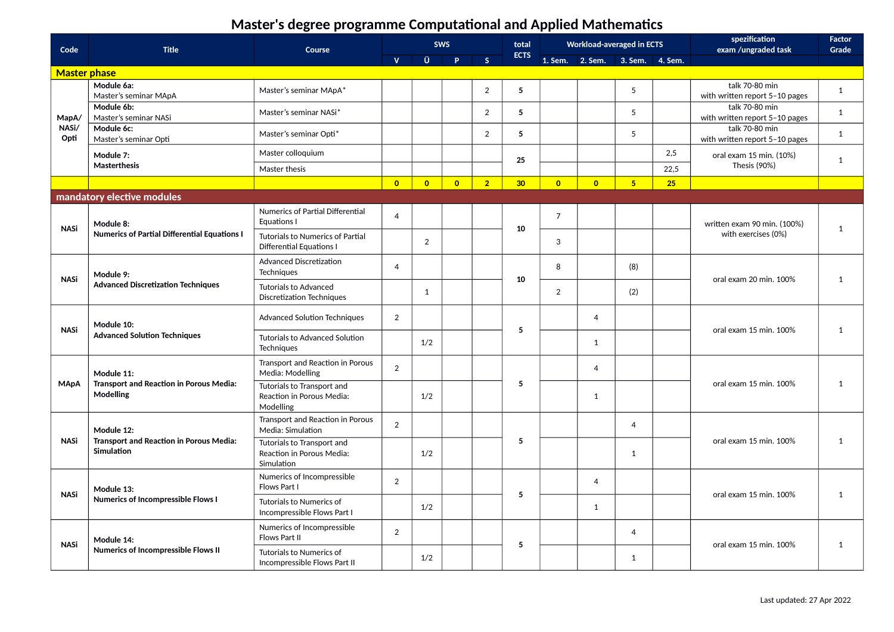| Code                | <b>Title</b>                                                        | Course                                                                | <b>SWS</b>          |                | total                  |                | <b>Workload-averaged in ECTS</b> |                |                                 | spezification<br>exam /ungraded task | Factor<br>Grade |                                                  |              |
|---------------------|---------------------------------------------------------------------|-----------------------------------------------------------------------|---------------------|----------------|------------------------|----------------|----------------------------------|----------------|---------------------------------|--------------------------------------|-----------------|--------------------------------------------------|--------------|
|                     |                                                                     |                                                                       | $\mathbf{V}$        | Ü              | <b>P</b>               | $\mathsf{S}$   | <b>ECTS</b>                      |                | 1. Sem. 2. Sem. 3. Sem. 4. Sem. |                                      |                 |                                                  |              |
| <b>Master phase</b> |                                                                     |                                                                       |                     |                |                        |                |                                  |                |                                 |                                      |                 |                                                  |              |
|                     | Module 6a:<br>Master's seminar MApA                                 | Master's seminar MApA*                                                |                     |                |                        | $\overline{2}$ | $5\overline{5}$                  |                |                                 | 5                                    |                 | talk 70-80 min<br>with written report 5-10 pages | $\mathbf{1}$ |
| MapA/               | Module 6b:<br>Master's seminar NASi                                 | Master's seminar NASi*                                                |                     |                |                        | $\overline{2}$ | 5                                |                |                                 | 5                                    |                 | talk 70-80 min<br>with written report 5-10 pages | 1            |
| NASi/<br>Opti       | Module 6c:<br>Master's seminar Opti                                 | Master's seminar Opti*                                                |                     |                |                        | $\overline{2}$ | $5\overline{5}$                  |                |                                 | 5                                    |                 | talk 70-80 min<br>with written report 5-10 pages | 1            |
|                     | Module 7:                                                           | Master colloquium                                                     |                     |                |                        |                | 25                               |                |                                 | 2,5                                  |                 | oral exam 15 min. (10%)                          | $\mathbf{1}$ |
|                     | <b>Masterthesis</b>                                                 | Master thesis                                                         |                     |                |                        |                |                                  |                |                                 |                                      | 22,5            | Thesis (90%)                                     |              |
|                     |                                                                     |                                                                       | $\overline{0}$      | $\overline{0}$ | $\overline{0}$         | $\overline{2}$ | 30 <sub>o</sub>                  | $\overline{0}$ | $\overline{0}$                  | 5                                    | 25              |                                                  |              |
|                     | mandatory elective modules                                          |                                                                       |                     |                |                        |                |                                  |                |                                 |                                      |                 |                                                  |              |
|                     | Module 8:                                                           | Numerics of Partial Differential<br>Equations I                       | $\overline{4}$      |                |                        |                |                                  | $\overline{7}$ |                                 |                                      |                 | written exam 90 min. (100%)                      |              |
| <b>NASi</b>         | <b>Numerics of Partial Differential Equations I</b>                 | Tutorials to Numerics of Partial<br>Differential Equations I          |                     | 2              |                        |                | 10                               | 3              |                                 |                                      |                 | with exercises (0%)                              | 1            |
|                     | Module 9:                                                           | <b>Advanced Discretization</b><br><b>Techniques</b>                   | $\overline{4}$      |                |                        |                |                                  | 8              |                                 | (8)                                  |                 |                                                  |              |
|                     | <b>NASi</b><br><b>Advanced Discretization Techniques</b>            | <b>Tutorials to Advanced</b><br><b>Discretization Techniques</b>      |                     | $\mathbf{1}$   |                        |                | 10                               | $\overline{2}$ |                                 | (2)                                  |                 | oral exam 20 min. 100%                           | 1            |
| <b>NASi</b>         | Module 10:                                                          | <b>Advanced Solution Techniques</b>                                   | 2                   |                |                        |                | 5                                |                | 4                               |                                      |                 | oral exam 15 min. 100%                           | 1            |
|                     | <b>Advanced Solution Techniques</b>                                 | <b>Tutorials to Advanced Solution</b><br><b>Techniques</b>            |                     | 1/2            |                        |                |                                  |                | $\mathbf{1}$                    |                                      |                 |                                                  |              |
|                     | Module 11:                                                          | Transport and Reaction in Porous<br>Media: Modelling                  | $\overline{2}$      |                |                        |                |                                  |                | $\overline{4}$                  |                                      |                 |                                                  |              |
| <b>MApA</b>         | <b>Transport and Reaction in Porous Media:</b><br>Modelling         | Tutorials to Transport and<br>Reaction in Porous Media:<br>Modelling  |                     | 1/2            |                        |                | 5                                |                | 1                               |                                      |                 | oral exam 15 min. 100%                           | $\mathbf{1}$ |
|                     | Module 12:                                                          | Transport and Reaction in Porous<br>Media: Simulation                 | 2                   |                |                        |                |                                  |                |                                 | $\overline{4}$                       |                 |                                                  |              |
| <b>NASi</b>         | <b>Transport and Reaction in Porous Media:</b><br><b>Simulation</b> | Tutorials to Transport and<br>Reaction in Porous Media:<br>Simulation |                     | 1/2            |                        |                | 5                                |                |                                 | $\mathbf{1}$                         |                 | oral exam 15 min. 100%                           | 1            |
| <b>NASi</b>         | Module 13:                                                          | Numerics of Incompressible<br>Flows Part I                            | 2                   |                |                        |                | 5                                |                | $\overline{4}$                  |                                      |                 | oral exam 15 min. 100%                           | 1            |
|                     | <b>Numerics of Incompressible Flows I</b>                           | Tutorials to Numerics of<br>Incompressible Flows Part I               |                     | 1/2            |                        |                |                                  |                | 1                               |                                      |                 |                                                  |              |
| <b>NASi</b>         | Module 14:                                                          | Numerics of Incompressible<br>Flows Part II                           | 2<br>$\overline{4}$ |                | oral exam 15 min. 100% | 1              |                                  |                |                                 |                                      |                 |                                                  |              |
|                     | Numerics of Incompressible Flows II                                 | Tutorials to Numerics of<br>Incompressible Flows Part II              |                     | 1/2            |                        |                | 5                                |                |                                 | $\mathbf{1}$                         |                 |                                                  |              |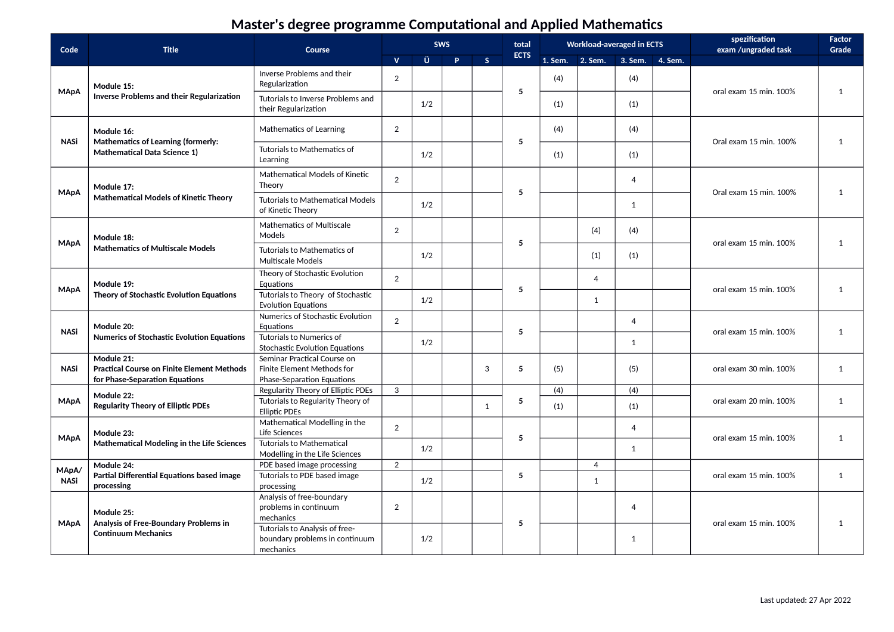| Code        | <b>Title</b>                                                                        | Course                                                                        |                |     | <b>SWS</b> |              | total       |              | <b>Workload-averaged in ECTS</b> |                | spezification<br>exam /ungraded task | Factor<br>Grade |
|-------------|-------------------------------------------------------------------------------------|-------------------------------------------------------------------------------|----------------|-----|------------|--------------|-------------|--------------|----------------------------------|----------------|--------------------------------------|-----------------|
|             |                                                                                     |                                                                               | $\mathbf{V}$   | Ü   | P          | S            | <b>ECTS</b> |              | 1. Sem. 2. Sem. 3. Sem. 4. Sem.  |                |                                      |                 |
| <b>MApA</b> | Module 15:                                                                          | Inverse Problems and their<br>Regularization                                  | $\overline{2}$ |     |            |              | 5           | (4)          |                                  | (4)            | oral exam 15 min. 100%               | 1               |
|             | <b>Inverse Problems and their Regularization</b>                                    | Tutorials to Inverse Problems and<br>their Regularization                     |                | 1/2 |            |              |             | (1)          |                                  | (1)            |                                      |                 |
| <b>NASi</b> | Module 16:<br><b>Mathematics of Learning (formerly:</b>                             | Mathematics of Learning                                                       | $\overline{2}$ |     |            |              | 5           | (4)          |                                  | (4)            | Oral exam 15 min. 100%               | $\mathbf{1}$    |
|             | <b>Mathematical Data Science 1)</b>                                                 | Tutorials to Mathematics of<br>Learning                                       |                | 1/2 |            |              |             | (1)          |                                  | (1)            |                                      |                 |
| <b>MApA</b> | Module 17:                                                                          | <b>Mathematical Models of Kinetic</b><br>Theory                               | $\overline{2}$ |     |            |              | 5           |              |                                  | $\overline{4}$ | Oral exam 15 min. 100%               | $\mathbf{1}$    |
|             | <b>Mathematical Models of Kinetic Theory</b>                                        | <b>Tutorials to Mathematical Models</b><br>of Kinetic Theory                  |                | 1/2 |            |              |             |              |                                  | $\mathbf{1}$   |                                      |                 |
| <b>MApA</b> | Module 18:                                                                          | Mathematics of Multiscale<br>Models                                           | $\overline{2}$ |     |            |              | 5           |              | (4)                              | (4)            | oral exam 15 min. 100%               | 1               |
|             | <b>Mathematics of Multiscale Models</b>                                             | Tutorials to Mathematics of<br><b>Multiscale Models</b>                       |                | 1/2 |            |              |             |              | (1)                              | (1)            |                                      |                 |
| <b>MApA</b> | Module 19:                                                                          | Theory of Stochastic Evolution<br>Equations                                   | 2              |     |            |              | 5           |              | $\overline{4}$                   |                | oral exam 15 min. 100%               | $\mathbf{1}$    |
|             | Theory of Stochastic Evolution Equations                                            | Tutorials to Theory of Stochastic<br><b>Evolution Equations</b>               |                | 1/2 |            |              |             |              | $\mathbf{1}$                     |                |                                      |                 |
| <b>NASi</b> | Module 20:<br><b>Numerics of Stochastic Evolution Equations</b>                     | Numerics of Stochastic Evolution<br>Equations<br>Tutorials to Numerics of     | $\overline{2}$ |     |            |              | 5           |              |                                  | $\overline{4}$ | oral exam 15 min. 100%               | $\mathbf{1}$    |
|             | Module 21:                                                                          | <b>Stochastic Evolution Equations</b><br>Seminar Practical Course on          |                | 1/2 |            |              |             |              |                                  | 1              |                                      |                 |
| <b>NASi</b> | <b>Practical Course on Finite Element Methods</b><br>for Phase-Separation Equations | Finite Element Methods for<br>Phase-Separation Equations                      |                |     |            | 3            | 5           | (5)          |                                  | (5)            | oral exam 30 min. 100%               | $\mathbf{1}$    |
|             | Module 22:                                                                          | Regularity Theory of Elliptic PDEs                                            | 3              |     |            |              |             | (4)          |                                  | (4)            |                                      |                 |
| <b>MApA</b> | <b>Regularity Theory of Elliptic PDEs</b>                                           | Tutorials to Regularity Theory of<br><b>Elliptic PDEs</b>                     |                |     |            | $\mathbf{1}$ | 5           | (1)          |                                  | (1)            | oral exam 20 min. 100%               | $\mathbf{1}$    |
| <b>MApA</b> | Module 23:                                                                          | Mathematical Modelling in the<br>Life Sciences                                | $\overline{2}$ |     |            |              | 5           |              |                                  | $\overline{4}$ | oral exam 15 min. 100%               | $\mathbf{1}$    |
|             | Mathematical Modeling in the Life Sciences                                          | <b>Tutorials to Mathematical</b><br>Modelling in the Life Sciences            |                | 1/2 |            |              |             |              |                                  | $\mathbf{1}$   |                                      |                 |
| MApA/       | Module 24:                                                                          | PDE based image processing                                                    | 2              |     |            |              |             |              | $\overline{4}$                   |                |                                      |                 |
| <b>NASi</b> | Partial Differential Equations based image<br>processing                            | Tutorials to PDE based image<br>processing                                    |                | 1/2 |            |              | 5           | $\mathbf{1}$ |                                  |                | oral exam 15 min. 100%               | $\mathbf{1}$    |
| <b>MApA</b> | Module 25:<br>Analysis of Free-Boundary Problems in                                 | Analysis of free-boundary<br>problems in continuum<br>mechanics               | 2              |     |            |              | 5           |              |                                  | $\overline{4}$ | oral exam 15 min. 100%               |                 |
|             | <b>Continuum Mechanics</b>                                                          | Tutorials to Analysis of free-<br>boundary problems in continuum<br>mechanics |                | 1/2 |            |              |             |              |                                  | $\mathbf{1}$   |                                      | 1               |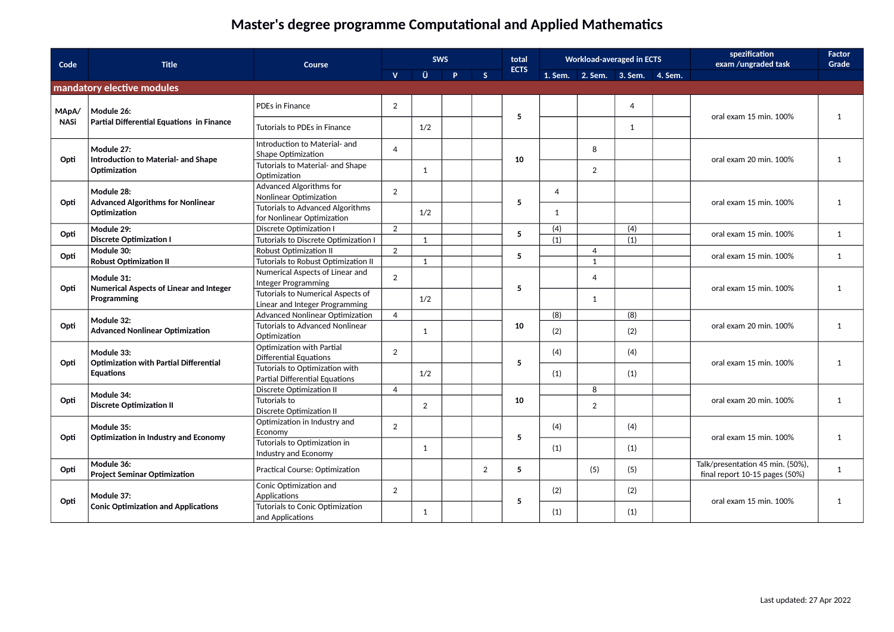| Code        | <b>Title</b>                                          | Course                                                                | <b>SWS</b>     |                |          |                | total       |                |                         | <b>Workload-averaged in ECTS</b> |  | spezification<br>exam /ungraded task                               | <b>Factor</b><br>Grade |
|-------------|-------------------------------------------------------|-----------------------------------------------------------------------|----------------|----------------|----------|----------------|-------------|----------------|-------------------------|----------------------------------|--|--------------------------------------------------------------------|------------------------|
|             |                                                       |                                                                       | $\mathbf{V}$   | Ü              | <b>P</b> | S              | <b>ECTS</b> | 1. Sem.        | 2. Sem. 3. Sem. 4. Sem. |                                  |  |                                                                    |                        |
|             | mandatory elective modules                            |                                                                       |                |                |          |                |             |                |                         |                                  |  |                                                                    |                        |
| MApA/       | Module 26:                                            | PDEs in Finance                                                       | 2              |                |          |                | 5           |                |                         | $\overline{4}$                   |  | oral exam 15 min. 100%                                             | 1                      |
| <b>NASi</b> | Partial Differential Equations in Finance             | Tutorials to PDEs in Finance                                          |                | 1/2            |          |                |             |                |                         | 1                                |  |                                                                    |                        |
| Opti        | Module 27:<br>Introduction to Material- and Shape     | Introduction to Material- and<br>Shape Optimization                   | $\overline{4}$ |                |          |                | 10          |                | 8                       |                                  |  | oral exam 20 min. 100%                                             | 1                      |
|             | Optimization                                          | Tutorials to Material- and Shape<br>Optimization                      |                | 1              |          |                |             |                | $\overline{2}$          |                                  |  |                                                                    |                        |
| Opti        | Module 28:<br>Advanced Algorithms for Nonlinear       | Advanced Algorithms for<br>Nonlinear Optimization                     | $\overline{2}$ |                |          |                | 5           | $\overline{4}$ |                         |                                  |  | oral exam 15 min. 100%                                             | 1                      |
|             | Optimization                                          | <b>Tutorials to Advanced Algorithms</b><br>for Nonlinear Optimization |                | 1/2            |          |                |             | 1              |                         |                                  |  |                                                                    |                        |
| Opti        | Module 29:                                            | <b>Discrete Optimization I</b>                                        | 2              |                |          |                | 5           | (4)            |                         | (4)                              |  | oral exam 15 min. 100%                                             | 1                      |
|             | <b>Discrete Optimization I</b>                        | Tutorials to Discrete Optimization I                                  |                | $\mathbf{1}$   |          |                |             | (1)            |                         | (1)                              |  |                                                                    |                        |
| Opti        | Module 30:                                            | Robust Optimization II                                                | 2              |                |          |                | 5           |                | $\overline{4}$          |                                  |  | oral exam 15 min. 100%                                             | $\mathbf{1}$           |
|             | <b>Robust Optimization II</b>                         | Tutorials to Robust Optimization II                                   |                | $\mathbf{1}$   |          |                |             |                | $\mathbf{1}$            |                                  |  |                                                                    |                        |
|             | Module 31:<br>Numerical Aspects of Linear and Integer | Numerical Aspects of Linear and<br>Integer Programming                | $\overline{2}$ |                |          |                | 5           |                | $\overline{4}$          |                                  |  | oral exam 15 min. 100%                                             | 1                      |
| Opti        | Programming                                           | Tutorials to Numerical Aspects of                                     |                | 1/2            |          |                |             |                | 1                       |                                  |  |                                                                    |                        |
|             |                                                       | Linear and Integer Programming                                        |                |                |          |                |             |                |                         |                                  |  |                                                                    |                        |
|             | Module 32:                                            | Advanced Nonlinear Optimization                                       | $\overline{4}$ |                |          |                |             | (8)            |                         | (8)                              |  |                                                                    |                        |
| Opti        | <b>Advanced Nonlinear Optimization</b>                | <b>Tutorials to Advanced Nonlinear</b><br>Optimization                |                | 1              |          |                | 10          | (2)            |                         | (2)                              |  | oral exam 20 min. 100%                                             | 1                      |
|             | Module 33:<br>Optimization with Partial Differential  | Optimization with Partial<br>Differential Equations                   | $\overline{2}$ |                |          |                |             | (4)            |                         | (4)                              |  |                                                                    |                        |
| Opti        | <b>Equations</b>                                      | Tutorials to Optimization with<br>Partial Differential Equations      |                | 1/2            |          |                | 5           | (1)            |                         | (1)                              |  | oral exam 15 min. 100%                                             | 1                      |
|             |                                                       | Discrete Optimization II                                              | $\overline{4}$ |                |          |                |             |                | 8                       |                                  |  |                                                                    |                        |
| Opti        | Module 34:<br><b>Discrete Optimization II</b>         | Tutorials to<br><b>Discrete Optimization II</b>                       |                | $\overline{2}$ |          |                | 10          |                | 2                       |                                  |  | oral exam 20 min. 100%                                             | 1                      |
|             | Module 35:                                            | Optimization in Industry and<br>Economy                               | $\overline{2}$ |                |          |                |             | (4)            |                         | (4)                              |  |                                                                    |                        |
| Opti        | <b>Optimization in Industry and Economy</b>           | Tutorials to Optimization in<br>Industry and Economy                  |                | 1              |          |                | 5           | (1)            |                         | (1)                              |  | oral exam 15 min. 100%                                             | 1                      |
| Opti        | Module 36:<br><b>Project Seminar Optimization</b>     | Practical Course: Optimization                                        |                |                |          | $\overline{2}$ | 5           |                | (5)                     | (5)                              |  | Talk/presentation 45 min. (50%),<br>final report 10-15 pages (50%) | 1                      |
|             | Module 37:                                            | Conic Optimization and<br>Applications                                | $\overline{2}$ |                |          |                |             | (2)            |                         | (2)                              |  |                                                                    |                        |
| Opti        | <b>Conic Optimization and Applications</b>            | Tutorials to Conic Optimization<br>and Applications                   |                | 1              |          |                | 5           | (1)            |                         | (1)                              |  | oral exam 15 min. 100%                                             | 1                      |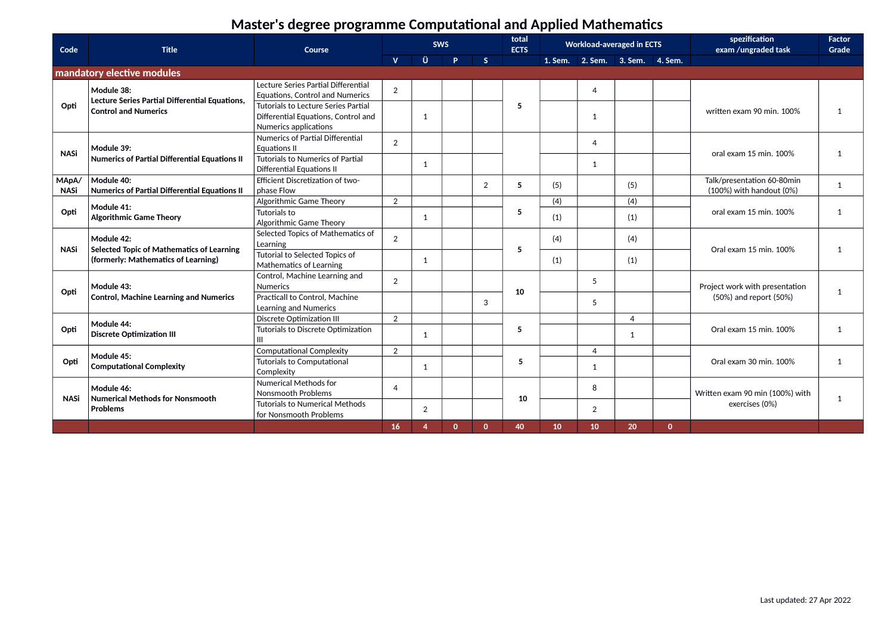| Code                 | <b>Title</b>                                                                  | Course                                                                                              |                | total<br><b>Workload-averaged in ECTS</b><br><b>SWS</b><br><b>ECTS</b> |              |              | spezification<br>exam /ungraded task | <b>Factor</b><br>Grade          |                |     |              |                                                              |              |
|----------------------|-------------------------------------------------------------------------------|-----------------------------------------------------------------------------------------------------|----------------|------------------------------------------------------------------------|--------------|--------------|--------------------------------------|---------------------------------|----------------|-----|--------------|--------------------------------------------------------------|--------------|
|                      |                                                                               |                                                                                                     | $\mathbf{V}$   | Ü                                                                      | <b>P</b>     | S            |                                      | 1. Sem. 2. Sem. 3. Sem. 4. Sem. |                |     |              |                                                              |              |
|                      | mandatory elective modules                                                    |                                                                                                     |                |                                                                        |              |              |                                      |                                 |                |     |              |                                                              |              |
|                      | Module 38:                                                                    | Lecture Series Partial Differential<br><b>Equations. Control and Numerics</b>                       | 2              |                                                                        |              |              |                                      |                                 | 4              |     |              |                                                              |              |
| Opti                 | Lecture Series Partial Differential Equations,<br><b>Control and Numerics</b> | Tutorials to Lecture Series Partial<br>Differential Equations, Control and<br>Numerics applications |                | 1                                                                      |              |              | 5                                    |                                 | $\overline{1}$ |     |              | written exam 90 min. 100%                                    | 1            |
| <b>NASi</b>          | Module 39:                                                                    | Numerics of Partial Differential<br><b>Equations II</b>                                             | 2              |                                                                        |              |              |                                      |                                 | 4              |     |              | oral exam 15 min. 100%                                       | $\mathbf{1}$ |
|                      | Numerics of Partial Differential Equations II                                 | <b>Tutorials to Numerics of Partial</b><br><b>Differential Equations II</b>                         |                | 1                                                                      |              |              |                                      |                                 | $\mathbf{1}$   |     |              |                                                              |              |
| MApA/<br><b>NASi</b> | Module 40:<br><b>Numerics of Partial Differential Equations II</b>            | Efficient Discretization of two-<br>phase Flow                                                      |                |                                                                        |              | 2            | 5                                    | (5)                             |                | (5) |              | Talk/presentation 60-80min<br>$(100\%)$ with handout $(0\%)$ | 1            |
|                      | Module 41:                                                                    | Algorithmic Game Theory                                                                             | 2              |                                                                        |              |              |                                      | (4)                             |                | (4) |              |                                                              |              |
| Opti                 | <b>Algorithmic Game Theory</b>                                                | <b>Tutorials to</b><br>Algorithmic Game Theory                                                      |                | 1                                                                      |              |              | 5                                    | (1)                             |                | (1) |              | oral exam 15 min. 100%                                       | 1            |
| <b>NASi</b>          | Module 42:<br><b>Selected Topic of Mathematics of Learning</b>                | Selected Topics of Mathematics of<br>Learning                                                       | 2              |                                                                        |              |              | 5                                    | (4)                             |                | (4) |              | Oral exam 15 min, 100%                                       | 1            |
|                      | (formerly: Mathematics of Learning)                                           | Tutorial to Selected Topics of<br>Mathematics of Learning                                           |                | 1                                                                      |              |              |                                      | (1)                             |                | (1) |              |                                                              |              |
| Opti                 | Module 43:                                                                    | Control, Machine Learning and<br><b>Numerics</b>                                                    | $\mathcal{P}$  |                                                                        |              |              | 10                                   |                                 | 5              |     |              | Project work with presentation                               | 1            |
|                      | <b>Control, Machine Learning and Numerics</b>                                 | Practicall to Control, Machine<br>Learning and Numerics                                             |                |                                                                        |              | 3            |                                      |                                 | 5              |     |              | (50%) and report (50%)                                       |              |
|                      | Module 44:                                                                    | <b>Discrete Optimization III</b>                                                                    | 2              |                                                                        |              |              |                                      |                                 |                | 4   |              |                                                              |              |
| Opti                 | <b>Discrete Optimization III</b>                                              | Tutorials to Discrete Optimization<br>Ш                                                             |                | 1                                                                      |              |              | 5                                    |                                 |                | 1   |              | Oral exam 15 min. 100%                                       | 1            |
|                      | Module 45:                                                                    | <b>Computational Complexity</b>                                                                     | 2              |                                                                        |              |              |                                      |                                 | 4              |     |              |                                                              |              |
| Opti                 | <b>Computational Complexity</b>                                               | <b>Tutorials to Computational</b><br>Complexity                                                     |                | 1                                                                      |              |              | 5                                    |                                 | 1              |     |              | Oral exam 30 min. 100%                                       | 1            |
| <b>NASi</b>          | Module 46:<br><b>Numerical Methods for Nonsmooth</b>                          | <b>Numerical Methods for</b><br><b>Nonsmooth Problems</b>                                           | $\overline{4}$ |                                                                        |              |              | 10                                   |                                 | 8              |     |              | Written exam 90 min (100%) with                              | $\mathbf{1}$ |
|                      | Problems                                                                      | <b>Tutorials to Numerical Methods</b><br>for Nonsmooth Problems                                     |                | 2                                                                      |              |              |                                      |                                 | 2              |     |              | exercises (0%)                                               |              |
|                      |                                                                               |                                                                                                     | 16             | $\boldsymbol{\Delta}$                                                  | $\mathbf{0}$ | $\mathbf{0}$ | 40                                   | 10                              | 10             | 20  | $\mathbf{0}$ |                                                              |              |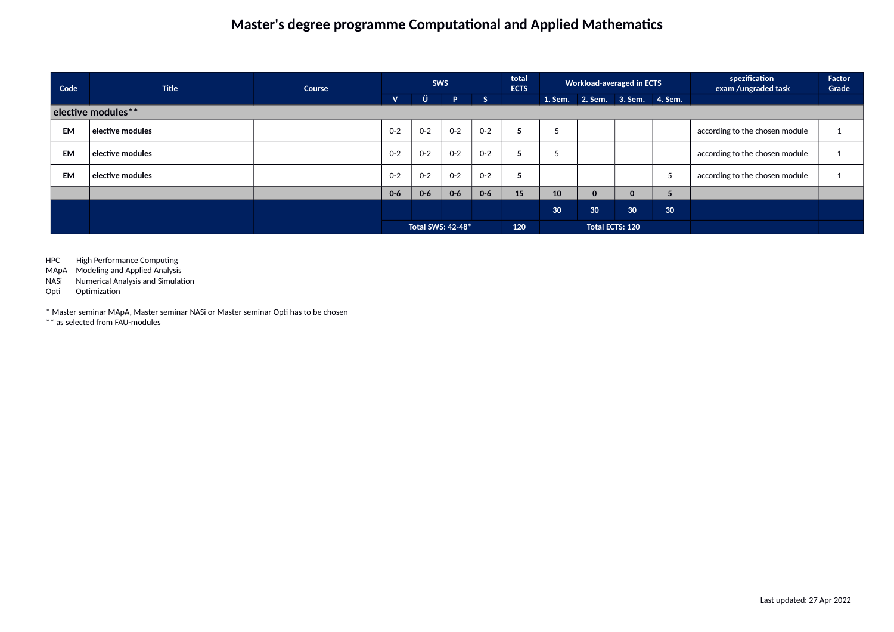| Code      | <b>Title</b>         | Course |              | <b>SWS</b>        |         |         | total<br><b>ECTS</b> |                 | <b>Workload-averaged in ECTS</b> |                        |    | spezification<br>exam /ungraded task | Factor<br>Grade |
|-----------|----------------------|--------|--------------|-------------------|---------|---------|----------------------|-----------------|----------------------------------|------------------------|----|--------------------------------------|-----------------|
|           |                      |        | $\mathbf{V}$ | Ü                 | P.      | S       |                      |                 | 1. Sem. 2. Sem. 3. Sem. 4. Sem.  |                        |    |                                      |                 |
|           | elective modules**   |        |              |                   |         |         |                      |                 |                                  |                        |    |                                      |                 |
| <b>EM</b> | $ $ elective modules |        | $O - 2$      | $O - 2$           | $0 - 2$ | $0 - 2$ | 5                    | c               |                                  |                        |    | according to the chosen module       |                 |
| <b>EM</b> | $ $ elective modules |        | $O - 2$      | $O - 2$           | $O - 2$ | $0 - 2$ | 5                    |                 |                                  |                        |    | according to the chosen module       |                 |
| <b>EM</b> | elective modules     |        | $O - 2$      | $O - 2$           | $O - 2$ | $0 - 2$ | 5                    |                 |                                  |                        |    | according to the chosen module       |                 |
|           |                      |        | $0 - 6$      | $0 - 6$           | $0-6$   | $0 - 6$ | 15                   | 10              | 0                                | $\mathbf{0}$           |    |                                      |                 |
|           |                      |        |              |                   |         |         |                      | 30 <sup>°</sup> | 30 <sub>o</sub>                  | 30 <sup>°</sup>        | 30 |                                      |                 |
|           |                      |        |              | Total SWS: 42-48* |         |         | 120                  |                 |                                  | <b>Total ECTS: 120</b> |    |                                      |                 |

HPC High Performance Computing

MApA Modeling and Applied Analysis

NASi Numerical Analysis and Simulation

Opti Optimization

\* Master seminar MApA, Master seminar NASi or Master seminar Opti has to be chosen

\*\* as selected from FAU-modules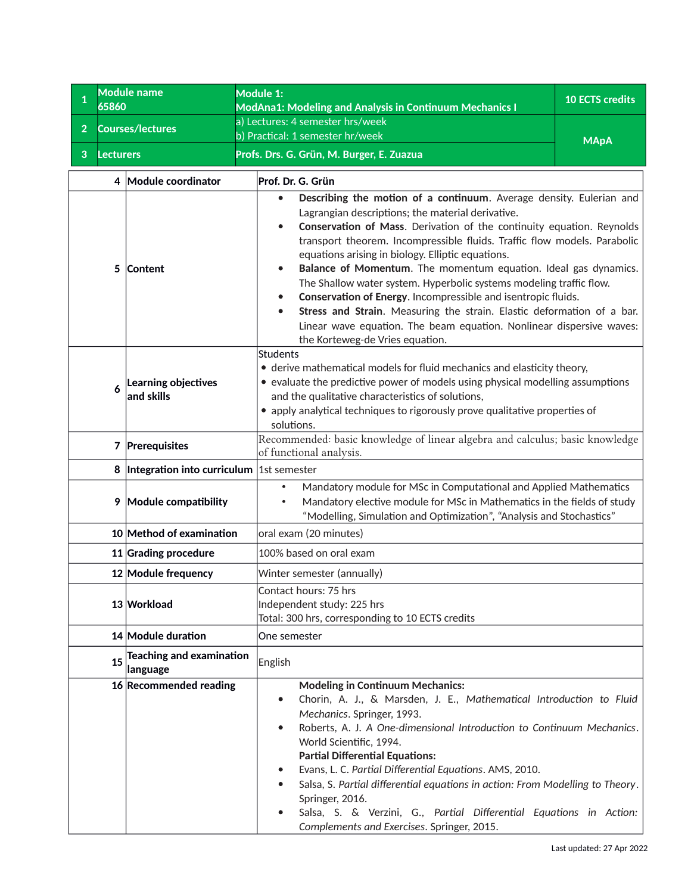<span id="page-11-0"></span>

| 1<br>65860            | <b>Module name</b>                          | <b>Module 1:</b><br><b>10 ECTS credits</b><br><b>ModAna1: Modeling and Analysis in Continuum Mechanics I</b>                                                                                                                                                                                                                                                                                                                                                                                                                                                                                                                                                                                                                            |             |  |  |  |  |  |  |  |  |  |
|-----------------------|---------------------------------------------|-----------------------------------------------------------------------------------------------------------------------------------------------------------------------------------------------------------------------------------------------------------------------------------------------------------------------------------------------------------------------------------------------------------------------------------------------------------------------------------------------------------------------------------------------------------------------------------------------------------------------------------------------------------------------------------------------------------------------------------------|-------------|--|--|--|--|--|--|--|--|--|
| $\overline{2}$        | <b>Courses/lectures</b>                     | a) Lectures: 4 semester hrs/week                                                                                                                                                                                                                                                                                                                                                                                                                                                                                                                                                                                                                                                                                                        |             |  |  |  |  |  |  |  |  |  |
|                       |                                             | b) Practical: 1 semester hr/week                                                                                                                                                                                                                                                                                                                                                                                                                                                                                                                                                                                                                                                                                                        | <b>MApA</b> |  |  |  |  |  |  |  |  |  |
| 3<br><b>Lecturers</b> |                                             | Profs. Drs. G. Grün, M. Burger, E. Zuazua                                                                                                                                                                                                                                                                                                                                                                                                                                                                                                                                                                                                                                                                                               |             |  |  |  |  |  |  |  |  |  |
| 4                     | Module coordinator                          | Prof. Dr. G. Grün                                                                                                                                                                                                                                                                                                                                                                                                                                                                                                                                                                                                                                                                                                                       |             |  |  |  |  |  |  |  |  |  |
| 5                     | <b>Content</b>                              | Describing the motion of a continuum. Average density. Eulerian and<br>Lagrangian descriptions; the material derivative.<br>Conservation of Mass. Derivation of the continuity equation. Reynolds<br>transport theorem. Incompressible fluids. Traffic flow models. Parabolic<br>equations arising in biology. Elliptic equations.<br>Balance of Momentum. The momentum equation. Ideal gas dynamics.<br>The Shallow water system. Hyperbolic systems modeling traffic flow.<br>Conservation of Energy. Incompressible and isentropic fluids.<br>Stress and Strain. Measuring the strain. Elastic deformation of a bar.<br>۰<br>Linear wave equation. The beam equation. Nonlinear dispersive waves:<br>the Korteweg-de Vries equation. |             |  |  |  |  |  |  |  |  |  |
| 6                     | Learning objectives<br>and skills           | <b>Students</b><br>• derive mathematical models for fluid mechanics and elasticity theory,<br>• evaluate the predictive power of models using physical modelling assumptions<br>and the qualitative characteristics of solutions,<br>• apply analytical techniques to rigorously prove qualitative properties of<br>solutions.                                                                                                                                                                                                                                                                                                                                                                                                          |             |  |  |  |  |  |  |  |  |  |
|                       | 7 Prerequisites                             | Recommended: basic knowledge of linear algebra and calculus; basic knowledge<br>of functional analysis.                                                                                                                                                                                                                                                                                                                                                                                                                                                                                                                                                                                                                                 |             |  |  |  |  |  |  |  |  |  |
|                       | 8 Integration into curriculum               | 1st semester                                                                                                                                                                                                                                                                                                                                                                                                                                                                                                                                                                                                                                                                                                                            |             |  |  |  |  |  |  |  |  |  |
| 9                     | Module compatibility                        | Mandatory module for MSc in Computational and Applied Mathematics<br>Mandatory elective module for MSc in Mathematics in the fields of study<br>"Modelling, Simulation and Optimization", "Analysis and Stochastics"                                                                                                                                                                                                                                                                                                                                                                                                                                                                                                                    |             |  |  |  |  |  |  |  |  |  |
|                       | 10 Method of examination                    | oral exam (20 minutes)                                                                                                                                                                                                                                                                                                                                                                                                                                                                                                                                                                                                                                                                                                                  |             |  |  |  |  |  |  |  |  |  |
|                       | 11 Grading procedure                        | 100% based on oral exam                                                                                                                                                                                                                                                                                                                                                                                                                                                                                                                                                                                                                                                                                                                 |             |  |  |  |  |  |  |  |  |  |
|                       | 12 Module frequency                         | Winter semester (annually)                                                                                                                                                                                                                                                                                                                                                                                                                                                                                                                                                                                                                                                                                                              |             |  |  |  |  |  |  |  |  |  |
|                       | 13 Workload                                 | Contact hours: 75 hrs<br>Independent study: 225 hrs<br>Total: 300 hrs, corresponding to 10 ECTS credits                                                                                                                                                                                                                                                                                                                                                                                                                                                                                                                                                                                                                                 |             |  |  |  |  |  |  |  |  |  |
|                       | 14 Module duration                          | One semester                                                                                                                                                                                                                                                                                                                                                                                                                                                                                                                                                                                                                                                                                                                            |             |  |  |  |  |  |  |  |  |  |
| 15                    | <b>Teaching and examination</b><br>language | English                                                                                                                                                                                                                                                                                                                                                                                                                                                                                                                                                                                                                                                                                                                                 |             |  |  |  |  |  |  |  |  |  |
|                       | 16 Recommended reading                      | <b>Modeling in Continuum Mechanics:</b><br>Chorin, A. J., & Marsden, J. E., Mathematical Introduction to Fluid<br>٠<br>Mechanics. Springer, 1993.<br>Roberts, A. J. A One-dimensional Introduction to Continuum Mechanics.<br>٠<br>World Scientific, 1994.<br><b>Partial Differential Equations:</b><br>Evans, L. C. Partial Differential Equations. AMS, 2010.<br>٠<br>Salsa, S. Partial differential equations in action: From Modelling to Theory.<br>Springer, 2016.<br>Salsa, S. & Verzini, G., Partial Differential Equations in Action:<br>Complements and Exercises. Springer, 2015.                                                                                                                                            |             |  |  |  |  |  |  |  |  |  |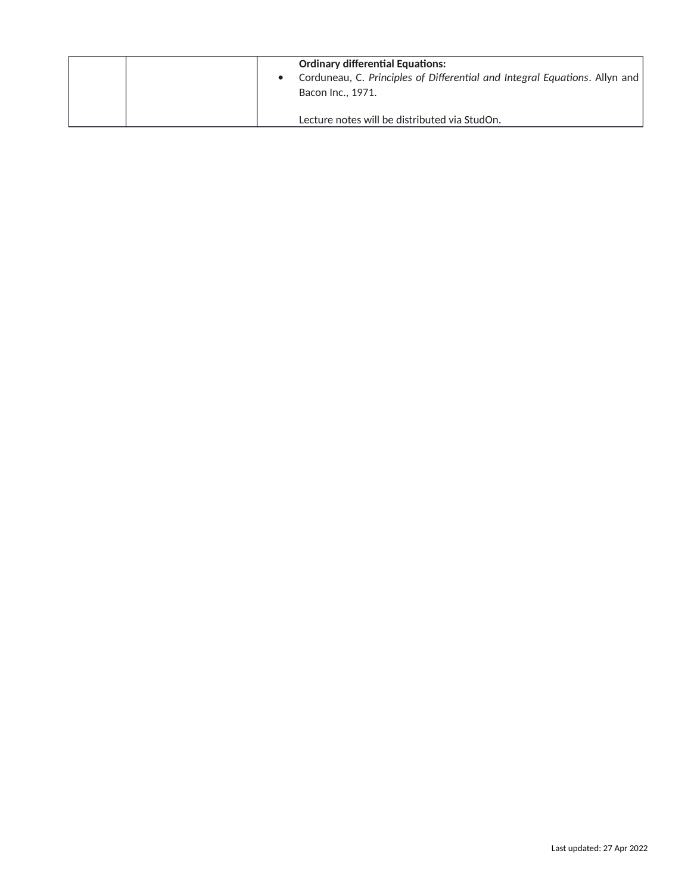| <b>Ordinary differential Equations:</b><br>Corduneau, C. Principles of Differential and Integral Equations. Allyn and<br>Bacon Inc., 1971. |
|--------------------------------------------------------------------------------------------------------------------------------------------|
| Lecture notes will be distributed via StudOn.                                                                                              |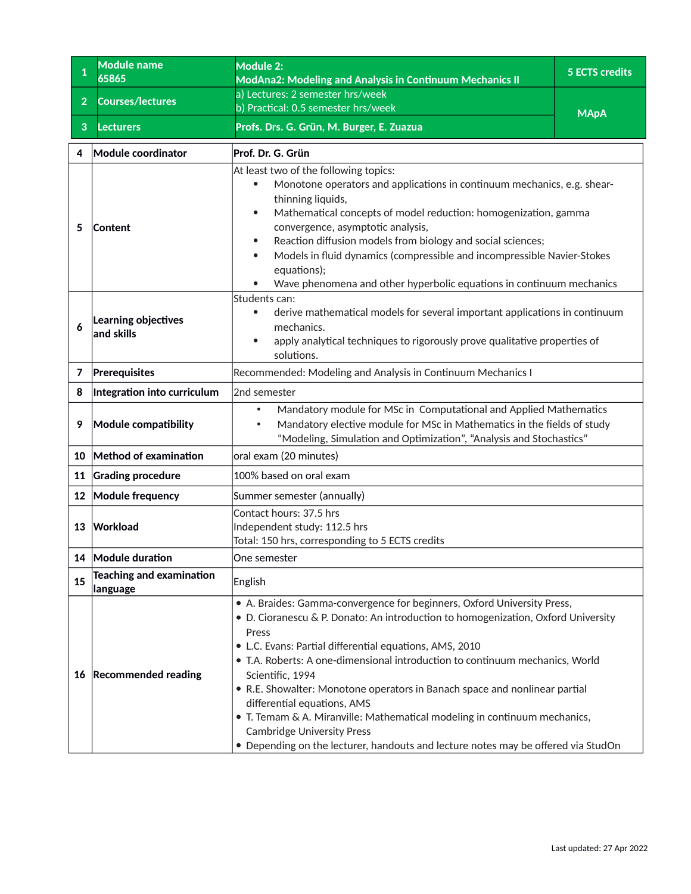<span id="page-13-0"></span>

| 1              | <b>Module name</b><br>65865                 | Module 2:<br><b>ModAna2: Modeling and Analysis in Continuum Mechanics II</b>                                                                                                                                                                                                                                                                                                                                                                                                                                                                                                                                                                             | <b>5 ECTS credits</b> |
|----------------|---------------------------------------------|----------------------------------------------------------------------------------------------------------------------------------------------------------------------------------------------------------------------------------------------------------------------------------------------------------------------------------------------------------------------------------------------------------------------------------------------------------------------------------------------------------------------------------------------------------------------------------------------------------------------------------------------------------|-----------------------|
| 2 <sup>1</sup> | <b>Courses/lectures</b>                     | a) Lectures: 2 semester hrs/week<br>b) Practical: 0.5 semester hrs/week                                                                                                                                                                                                                                                                                                                                                                                                                                                                                                                                                                                  |                       |
| 3              | <b>Lecturers</b>                            | Profs. Drs. G. Grün, M. Burger, E. Zuazua                                                                                                                                                                                                                                                                                                                                                                                                                                                                                                                                                                                                                | <b>MApA</b>           |
| 4              | Module coordinator                          | Prof. Dr. G. Grün                                                                                                                                                                                                                                                                                                                                                                                                                                                                                                                                                                                                                                        |                       |
| 5              | Content                                     | At least two of the following topics:<br>Monotone operators and applications in continuum mechanics, e.g. shear-<br>$\bullet$<br>thinning liquids,<br>Mathematical concepts of model reduction: homogenization, gamma<br>$\bullet$<br>convergence, asymptotic analysis,<br>Reaction diffusion models from biology and social sciences;<br>$\bullet$<br>Models in fluid dynamics (compressible and incompressible Navier-Stokes<br>$\bullet$<br>equations);<br>Wave phenomena and other hyperbolic equations in continuum mechanics                                                                                                                       |                       |
| 6              | Learning objectives<br>and skills           | Students can:<br>derive mathematical models for several important applications in continuum<br>$\bullet$<br>mechanics.<br>apply analytical techniques to rigorously prove qualitative properties of<br>$\bullet$<br>solutions.                                                                                                                                                                                                                                                                                                                                                                                                                           |                       |
| 7              | Prerequisites                               | Recommended: Modeling and Analysis in Continuum Mechanics I                                                                                                                                                                                                                                                                                                                                                                                                                                                                                                                                                                                              |                       |
| 8              | Integration into curriculum                 | 2nd semester                                                                                                                                                                                                                                                                                                                                                                                                                                                                                                                                                                                                                                             |                       |
| 9              | Module compatibility                        | Mandatory module for MSc in Computational and Applied Mathematics<br>$\bullet$<br>Mandatory elective module for MSc in Mathematics in the fields of study<br>$\bullet$<br>"Modeling, Simulation and Optimization", "Analysis and Stochastics"                                                                                                                                                                                                                                                                                                                                                                                                            |                       |
| 10             | Method of examination                       | oral exam (20 minutes)                                                                                                                                                                                                                                                                                                                                                                                                                                                                                                                                                                                                                                   |                       |
| 11             | <b>Grading procedure</b>                    | 100% based on oral exam                                                                                                                                                                                                                                                                                                                                                                                                                                                                                                                                                                                                                                  |                       |
| 12             | Module frequency                            | Summer semester (annually)                                                                                                                                                                                                                                                                                                                                                                                                                                                                                                                                                                                                                               |                       |
| 13             | Workload                                    | Contact hours: 37.5 hrs<br>Independent study: 112.5 hrs<br>Total: 150 hrs, corresponding to 5 ECTS credits                                                                                                                                                                                                                                                                                                                                                                                                                                                                                                                                               |                       |
|                | 14 Module duration                          | One semester                                                                                                                                                                                                                                                                                                                                                                                                                                                                                                                                                                                                                                             |                       |
| 15             | <b>Teaching and examination</b><br>language | English                                                                                                                                                                                                                                                                                                                                                                                                                                                                                                                                                                                                                                                  |                       |
|                | 16 Recommended reading                      | • A. Braides: Gamma-convergence for beginners, Oxford University Press,<br>• D. Cioranescu & P. Donato: An introduction to homogenization, Oxford University<br>Press<br>• L.C. Evans: Partial differential equations, AMS, 2010<br>• T.A. Roberts: A one-dimensional introduction to continuum mechanics, World<br>Scientific, 1994<br>• R.E. Showalter: Monotone operators in Banach space and nonlinear partial<br>differential equations, AMS<br>• T. Temam & A. Miranville: Mathematical modeling in continuum mechanics,<br><b>Cambridge University Press</b><br>• Depending on the lecturer, handouts and lecture notes may be offered via StudOn |                       |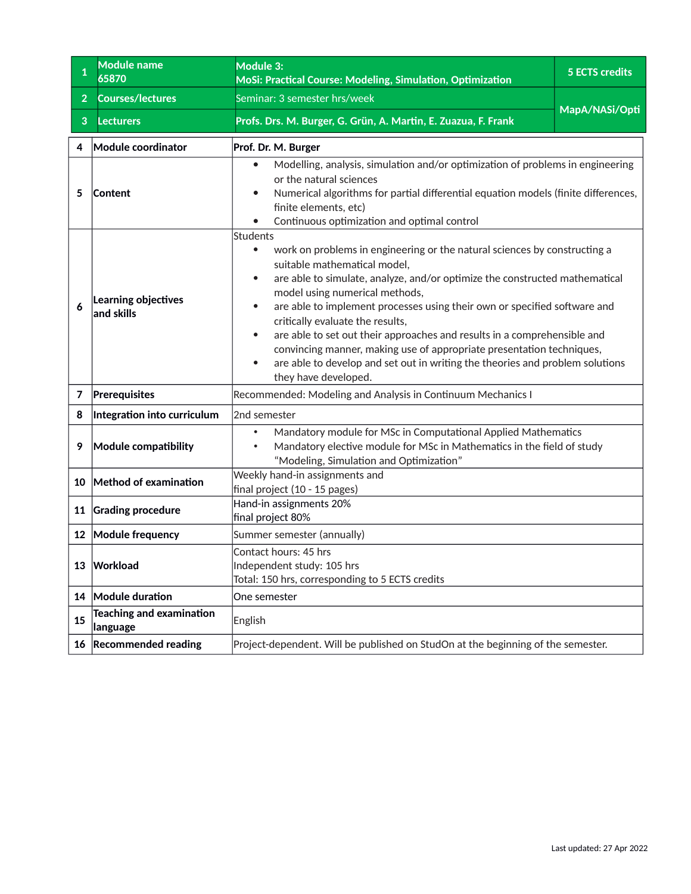<span id="page-14-0"></span>

| 1              | <b>Module name</b><br>65870                 | Module 3:<br>MoSi: Practical Course: Modeling, Simulation, Optimization                                                                                                                                                                                                                                                                                                                                                                                                                                                                                                                                                                                                                | <b>5 ECTS credits</b> |  |
|----------------|---------------------------------------------|----------------------------------------------------------------------------------------------------------------------------------------------------------------------------------------------------------------------------------------------------------------------------------------------------------------------------------------------------------------------------------------------------------------------------------------------------------------------------------------------------------------------------------------------------------------------------------------------------------------------------------------------------------------------------------------|-----------------------|--|
| $\overline{2}$ | <b>Courses/lectures</b>                     | Seminar: 3 semester hrs/week                                                                                                                                                                                                                                                                                                                                                                                                                                                                                                                                                                                                                                                           |                       |  |
| 3              | <b>Lecturers</b>                            | Profs. Drs. M. Burger, G. Grün, A. Martin, E. Zuazua, F. Frank                                                                                                                                                                                                                                                                                                                                                                                                                                                                                                                                                                                                                         | MapA/NASi/Opti        |  |
| 4              | Module coordinator                          | Prof. Dr. M. Burger                                                                                                                                                                                                                                                                                                                                                                                                                                                                                                                                                                                                                                                                    |                       |  |
| 5              | <b>Content</b>                              | Modelling, analysis, simulation and/or optimization of problems in engineering<br>٠<br>or the natural sciences<br>Numerical algorithms for partial differential equation models (finite differences,<br>٠<br>finite elements, etc)<br>Continuous optimization and optimal control                                                                                                                                                                                                                                                                                                                                                                                                      |                       |  |
|                | Learning objectives<br>$ $ and skills       | Students<br>work on problems in engineering or the natural sciences by constructing a<br>$\bullet$<br>suitable mathematical model,<br>are able to simulate, analyze, and/or optimize the constructed mathematical<br>$\bullet$<br>model using numerical methods,<br>are able to implement processes using their own or specified software and<br>$\bullet$<br>critically evaluate the results,<br>are able to set out their approaches and results in a comprehensible and<br>$\bullet$<br>convincing manner, making use of appropriate presentation techniques,<br>are able to develop and set out in writing the theories and problem solutions<br>$\bullet$<br>they have developed. |                       |  |
| 7              | Prerequisites                               | Recommended: Modeling and Analysis in Continuum Mechanics I                                                                                                                                                                                                                                                                                                                                                                                                                                                                                                                                                                                                                            |                       |  |
| 8              | Integration into curriculum                 | 2nd semester                                                                                                                                                                                                                                                                                                                                                                                                                                                                                                                                                                                                                                                                           |                       |  |
| 9              | Module compatibility                        | Mandatory module for MSc in Computational Applied Mathematics<br>$\bullet$<br>Mandatory elective module for MSc in Mathematics in the field of study<br>$\bullet$<br>"Modeling, Simulation and Optimization"                                                                                                                                                                                                                                                                                                                                                                                                                                                                           |                       |  |
| 10             | Method of examination                       | Weekly hand-in assignments and<br>final project (10 - 15 pages)                                                                                                                                                                                                                                                                                                                                                                                                                                                                                                                                                                                                                        |                       |  |
| 11             | <b>Grading procedure</b>                    | Hand-in assignments 20%<br>final project 80%                                                                                                                                                                                                                                                                                                                                                                                                                                                                                                                                                                                                                                           |                       |  |
|                | 12 Module frequency                         | Summer semester (annually)                                                                                                                                                                                                                                                                                                                                                                                                                                                                                                                                                                                                                                                             |                       |  |
| 13             | Workload                                    | Contact hours: 45 hrs<br>Independent study: 105 hrs<br>Total: 150 hrs, corresponding to 5 ECTS credits                                                                                                                                                                                                                                                                                                                                                                                                                                                                                                                                                                                 |                       |  |
|                | 14 Module duration                          | One semester                                                                                                                                                                                                                                                                                                                                                                                                                                                                                                                                                                                                                                                                           |                       |  |
| 15             | <b>Teaching and examination</b><br>language | English                                                                                                                                                                                                                                                                                                                                                                                                                                                                                                                                                                                                                                                                                |                       |  |
| 16             | <b>Recommended reading</b>                  | Project-dependent. Will be published on StudOn at the beginning of the semester.                                                                                                                                                                                                                                                                                                                                                                                                                                                                                                                                                                                                       |                       |  |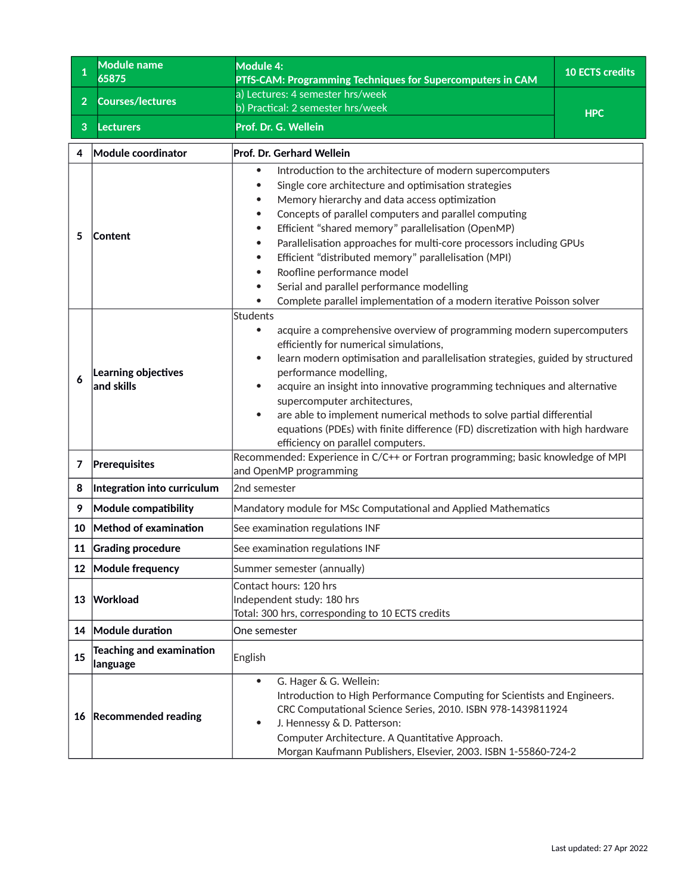<span id="page-15-0"></span>

| $\mathbf{1}$   | <b>Module name</b><br>65875                 | <b>Module 4:</b><br>PTfS-CAM: Programming Techniques for Supercomputers in CAM                                                                                                                                                                                                                                                                                                                                                                                                                                                                                                    | <b>10 ECTS credits</b> |
|----------------|---------------------------------------------|-----------------------------------------------------------------------------------------------------------------------------------------------------------------------------------------------------------------------------------------------------------------------------------------------------------------------------------------------------------------------------------------------------------------------------------------------------------------------------------------------------------------------------------------------------------------------------------|------------------------|
|                |                                             | a) Lectures: 4 semester hrs/week                                                                                                                                                                                                                                                                                                                                                                                                                                                                                                                                                  |                        |
| $\overline{2}$ | <b>Courses/lectures</b>                     | b) Practical: 2 semester hrs/week                                                                                                                                                                                                                                                                                                                                                                                                                                                                                                                                                 | <b>HPC</b>             |
| 3              | <b>Lecturers</b>                            | Prof. Dr. G. Wellein                                                                                                                                                                                                                                                                                                                                                                                                                                                                                                                                                              |                        |
| 4              | Module coordinator                          | Prof. Dr. Gerhard Wellein                                                                                                                                                                                                                                                                                                                                                                                                                                                                                                                                                         |                        |
| 5              | Content                                     | Introduction to the architecture of modern supercomputers<br>$\bullet$<br>Single core architecture and optimisation strategies<br>Memory hierarchy and data access optimization<br>Concepts of parallel computers and parallel computing<br>Efficient "shared memory" parallelisation (OpenMP)<br>Parallelisation approaches for multi-core processors including GPUs<br>Efficient "distributed memory" parallelisation (MPI)<br>Roofline performance model<br>Serial and parallel performance modelling<br>Complete parallel implementation of a modern iterative Poisson solver |                        |
| 6              | Learning objectives<br>and skills           | Students<br>acquire a comprehensive overview of programming modern supercomputers<br>$\bullet$<br>efficiently for numerical simulations,<br>learn modern optimisation and parallelisation strategies, guided by structured<br>$\bullet$<br>performance modelling,<br>acquire an insight into innovative programming techniques and alternative<br>supercomputer architectures,<br>are able to implement numerical methods to solve partial differential<br>equations (PDEs) with finite difference (FD) discretization with high hardware<br>efficiency on parallel computers.    |                        |
| 7              | Prerequisites                               | Recommended: Experience in C/C++ or Fortran programming; basic knowledge of MPI<br>and OpenMP programming                                                                                                                                                                                                                                                                                                                                                                                                                                                                         |                        |
| 8              | Integration into curriculum                 | 2nd semester                                                                                                                                                                                                                                                                                                                                                                                                                                                                                                                                                                      |                        |
| 9              | Module compatibility                        | Mandatory module for MSc Computational and Applied Mathematics                                                                                                                                                                                                                                                                                                                                                                                                                                                                                                                    |                        |
| 10             | Method of examination                       | See examination regulations INF                                                                                                                                                                                                                                                                                                                                                                                                                                                                                                                                                   |                        |
|                | 11 Grading procedure                        | See examination regulations INF                                                                                                                                                                                                                                                                                                                                                                                                                                                                                                                                                   |                        |
| 12             | Module frequency                            | Summer semester (annually)                                                                                                                                                                                                                                                                                                                                                                                                                                                                                                                                                        |                        |
| 13             | Workload                                    | Contact hours: 120 hrs<br>Independent study: 180 hrs<br>Total: 300 hrs, corresponding to 10 ECTS credits                                                                                                                                                                                                                                                                                                                                                                                                                                                                          |                        |
|                | 14 Module duration                          | One semester                                                                                                                                                                                                                                                                                                                                                                                                                                                                                                                                                                      |                        |
| 15             | <b>Teaching and examination</b><br>language | English                                                                                                                                                                                                                                                                                                                                                                                                                                                                                                                                                                           |                        |
| 16             | <b>Recommended reading</b>                  | G. Hager & G. Wellein:<br>$\bullet$<br>Introduction to High Performance Computing for Scientists and Engineers.<br>CRC Computational Science Series, 2010. ISBN 978-1439811924<br>J. Hennessy & D. Patterson:<br>٠<br>Computer Architecture. A Quantitative Approach.<br>Morgan Kaufmann Publishers, Elsevier, 2003. ISBN 1-55860-724-2                                                                                                                                                                                                                                           |                        |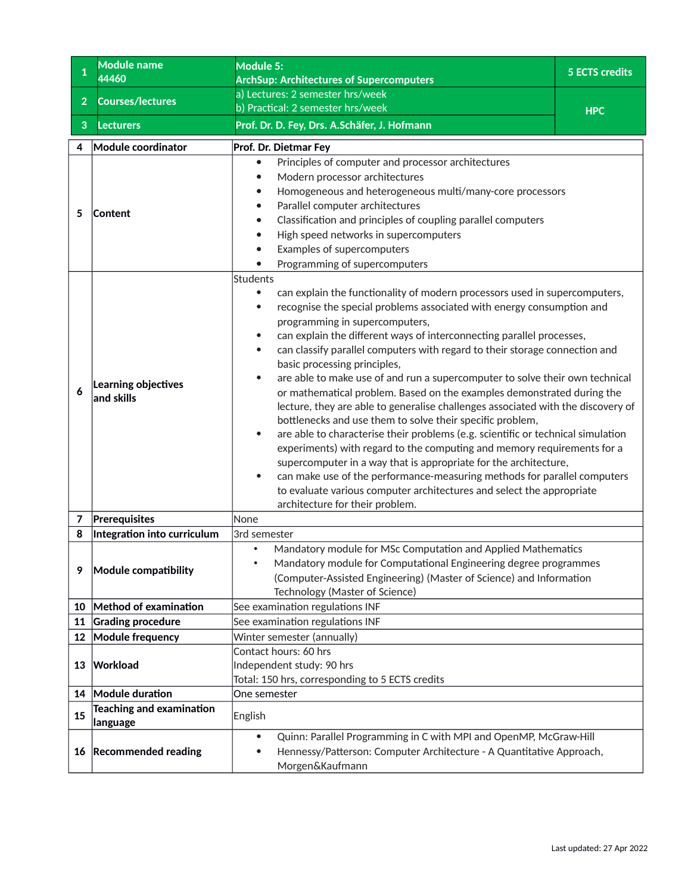<span id="page-16-0"></span>

| $\mathbf{1}$   | <b>Module name</b><br>44460                         | Module 5:<br><b>ArchSup: Architectures of Supercomputers</b>                                                                                                                                                                                                                                                                                                                                                                                                                                                                                                                                                                                                                                                                                                                                                                                                                                                                                                                                                                                                                                                                           | <b>5 ECTS credits</b> |
|----------------|-----------------------------------------------------|----------------------------------------------------------------------------------------------------------------------------------------------------------------------------------------------------------------------------------------------------------------------------------------------------------------------------------------------------------------------------------------------------------------------------------------------------------------------------------------------------------------------------------------------------------------------------------------------------------------------------------------------------------------------------------------------------------------------------------------------------------------------------------------------------------------------------------------------------------------------------------------------------------------------------------------------------------------------------------------------------------------------------------------------------------------------------------------------------------------------------------------|-----------------------|
|                |                                                     | a) Lectures: 2 semester hrs/week                                                                                                                                                                                                                                                                                                                                                                                                                                                                                                                                                                                                                                                                                                                                                                                                                                                                                                                                                                                                                                                                                                       |                       |
| 2 <sup>1</sup> | <b>Courses/lectures</b>                             | b) Practical: 2 semester hrs/week                                                                                                                                                                                                                                                                                                                                                                                                                                                                                                                                                                                                                                                                                                                                                                                                                                                                                                                                                                                                                                                                                                      | <b>HPC</b>            |
| 3              | <b>Lecturers</b>                                    | Prof. Dr. D. Fey, Drs. A.Schäfer, J. Hofmann                                                                                                                                                                                                                                                                                                                                                                                                                                                                                                                                                                                                                                                                                                                                                                                                                                                                                                                                                                                                                                                                                           |                       |
| 4              | <b>Module coordinator</b>                           | Prof. Dr. Dietmar Fey                                                                                                                                                                                                                                                                                                                                                                                                                                                                                                                                                                                                                                                                                                                                                                                                                                                                                                                                                                                                                                                                                                                  |                       |
| 5              | <b>Content</b>                                      | Principles of computer and processor architectures<br>$\bullet$<br>Modern processor architectures<br>Homogeneous and heterogeneous multi/many-core processors<br>Parallel computer architectures<br>Classification and principles of coupling parallel computers<br>High speed networks in supercomputers<br>Examples of supercomputers<br>Programming of supercomputers                                                                                                                                                                                                                                                                                                                                                                                                                                                                                                                                                                                                                                                                                                                                                               |                       |
| 6              | Learning objectives<br>and skills                   | <b>Students</b><br>can explain the functionality of modern processors used in supercomputers,<br>recognise the special problems associated with energy consumption and<br>programming in supercomputers,<br>can explain the different ways of interconnecting parallel processes,<br>can classify parallel computers with regard to their storage connection and<br>basic processing principles,<br>are able to make use of and run a supercomputer to solve their own technical<br>or mathematical problem. Based on the examples demonstrated during the<br>lecture, they are able to generalise challenges associated with the discovery of<br>bottlenecks and use them to solve their specific problem,<br>are able to characterise their problems (e.g. scientific or technical simulation<br>experiments) with regard to the computing and memory requirements for a<br>supercomputer in a way that is appropriate for the architecture,<br>can make use of the performance-measuring methods for parallel computers<br>to evaluate various computer architectures and select the appropriate<br>architecture for their problem. |                       |
| 7              | Prerequisites                                       | None                                                                                                                                                                                                                                                                                                                                                                                                                                                                                                                                                                                                                                                                                                                                                                                                                                                                                                                                                                                                                                                                                                                                   |                       |
| 8<br>9         | Integration into curriculum<br>Module compatibility | 3rd semester<br>Mandatory module for MSc Computation and Applied Mathematics<br>$\bullet$<br>Mandatory module for Computational Engineering degree programmes<br>(Computer-Assisted Engineering) (Master of Science) and Information<br>Technology (Master of Science)                                                                                                                                                                                                                                                                                                                                                                                                                                                                                                                                                                                                                                                                                                                                                                                                                                                                 |                       |
| 10<br>11       | Method of examination<br><b>Grading procedure</b>   | See examination regulations INF<br>See examination regulations INF                                                                                                                                                                                                                                                                                                                                                                                                                                                                                                                                                                                                                                                                                                                                                                                                                                                                                                                                                                                                                                                                     |                       |
| 12             | Module frequency                                    | Winter semester (annually)                                                                                                                                                                                                                                                                                                                                                                                                                                                                                                                                                                                                                                                                                                                                                                                                                                                                                                                                                                                                                                                                                                             |                       |
| 13             | Workload                                            | Contact hours: 60 hrs<br>Independent study: 90 hrs<br>Total: 150 hrs, corresponding to 5 ECTS credits                                                                                                                                                                                                                                                                                                                                                                                                                                                                                                                                                                                                                                                                                                                                                                                                                                                                                                                                                                                                                                  |                       |
| 14             | Module duration                                     | One semester                                                                                                                                                                                                                                                                                                                                                                                                                                                                                                                                                                                                                                                                                                                                                                                                                                                                                                                                                                                                                                                                                                                           |                       |
| 15             | <b>Teaching and examination</b><br>language         | English                                                                                                                                                                                                                                                                                                                                                                                                                                                                                                                                                                                                                                                                                                                                                                                                                                                                                                                                                                                                                                                                                                                                |                       |
| 16             | <b>Recommended reading</b>                          | Quinn: Parallel Programming in C with MPI and OpenMP, McGraw-Hill<br>$\bullet$<br>Hennessy/Patterson: Computer Architecture - A Quantitative Approach,<br>$\bullet$<br>Morgen&Kaufmann                                                                                                                                                                                                                                                                                                                                                                                                                                                                                                                                                                                                                                                                                                                                                                                                                                                                                                                                                 |                       |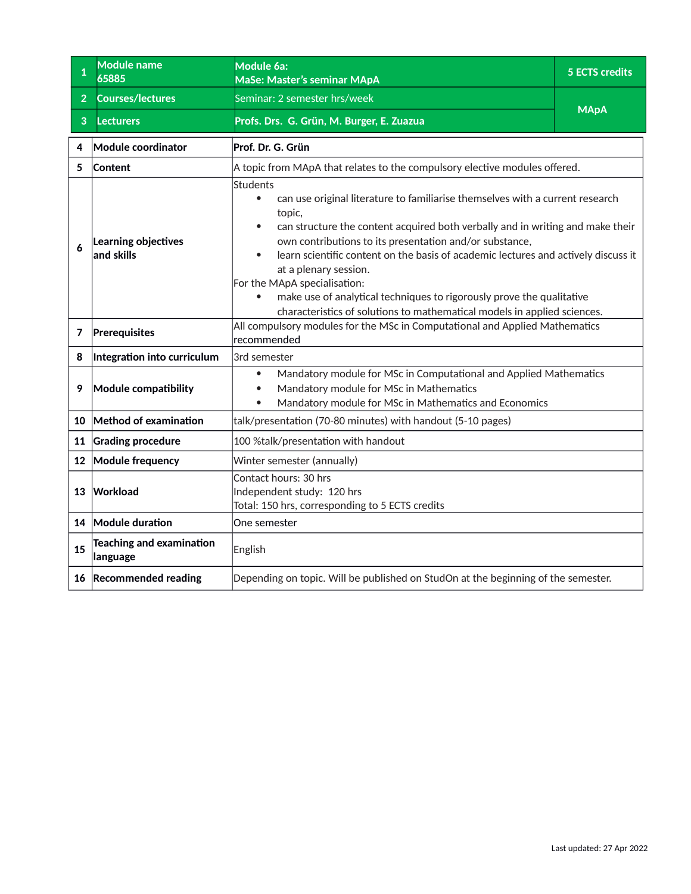<span id="page-17-0"></span>

| 1              | <b>Module name</b><br>65885                 | Module 6a:<br>MaSe: Master's seminar MApA                                                                                                                                                                                                                                                                                                                                                                                                                                                                                                                                                   | <b>5 ECTS credits</b> |
|----------------|---------------------------------------------|---------------------------------------------------------------------------------------------------------------------------------------------------------------------------------------------------------------------------------------------------------------------------------------------------------------------------------------------------------------------------------------------------------------------------------------------------------------------------------------------------------------------------------------------------------------------------------------------|-----------------------|
| 2 <sup>1</sup> | <b>Courses/lectures</b>                     | Seminar: 2 semester hrs/week                                                                                                                                                                                                                                                                                                                                                                                                                                                                                                                                                                |                       |
| 3              | <b>Lecturers</b>                            | Profs. Drs. G. Grün, M. Burger, E. Zuazua                                                                                                                                                                                                                                                                                                                                                                                                                                                                                                                                                   | <b>MApA</b>           |
| 4              | Module coordinator                          | Prof. Dr. G. Grün                                                                                                                                                                                                                                                                                                                                                                                                                                                                                                                                                                           |                       |
| 5              | Content                                     | A topic from MApA that relates to the compulsory elective modules offered.                                                                                                                                                                                                                                                                                                                                                                                                                                                                                                                  |                       |
| 6              | Learning objectives<br>and skills           | Students<br>can use original literature to familiarise themselves with a current research<br>$\bullet$<br>topic,<br>can structure the content acquired both verbally and in writing and make their<br>own contributions to its presentation and/or substance,<br>learn scientific content on the basis of academic lectures and actively discuss it<br>$\bullet$<br>at a plenary session.<br>For the MApA specialisation:<br>make use of analytical techniques to rigorously prove the qualitative<br>$\bullet$<br>characteristics of solutions to mathematical models in applied sciences. |                       |
| 7              | Prerequisites                               | All compulsory modules for the MSc in Computational and Applied Mathematics<br>recommended                                                                                                                                                                                                                                                                                                                                                                                                                                                                                                  |                       |
| 8              | Integration into curriculum                 | 3rd semester                                                                                                                                                                                                                                                                                                                                                                                                                                                                                                                                                                                |                       |
| 9              | Module compatibility                        | Mandatory module for MSc in Computational and Applied Mathematics<br>$\bullet$<br>Mandatory module for MSc in Mathematics<br>Mandatory module for MSc in Mathematics and Economics<br>$\bullet$                                                                                                                                                                                                                                                                                                                                                                                             |                       |
| 10             | Method of examination                       | talk/presentation (70-80 minutes) with handout (5-10 pages)                                                                                                                                                                                                                                                                                                                                                                                                                                                                                                                                 |                       |
| 11             | <b>Grading procedure</b>                    | 100 %talk/presentation with handout                                                                                                                                                                                                                                                                                                                                                                                                                                                                                                                                                         |                       |
| 12             | Module frequency                            | Winter semester (annually)                                                                                                                                                                                                                                                                                                                                                                                                                                                                                                                                                                  |                       |
| 13             | Workload                                    | Contact hours: 30 hrs<br>Independent study: 120 hrs<br>Total: 150 hrs, corresponding to 5 ECTS credits                                                                                                                                                                                                                                                                                                                                                                                                                                                                                      |                       |
| 14             | Module duration                             | One semester                                                                                                                                                                                                                                                                                                                                                                                                                                                                                                                                                                                |                       |
| 15             | <b>Teaching and examination</b><br>language | English                                                                                                                                                                                                                                                                                                                                                                                                                                                                                                                                                                                     |                       |
|                | 16 Recommended reading                      | Depending on topic. Will be published on StudOn at the beginning of the semester.                                                                                                                                                                                                                                                                                                                                                                                                                                                                                                           |                       |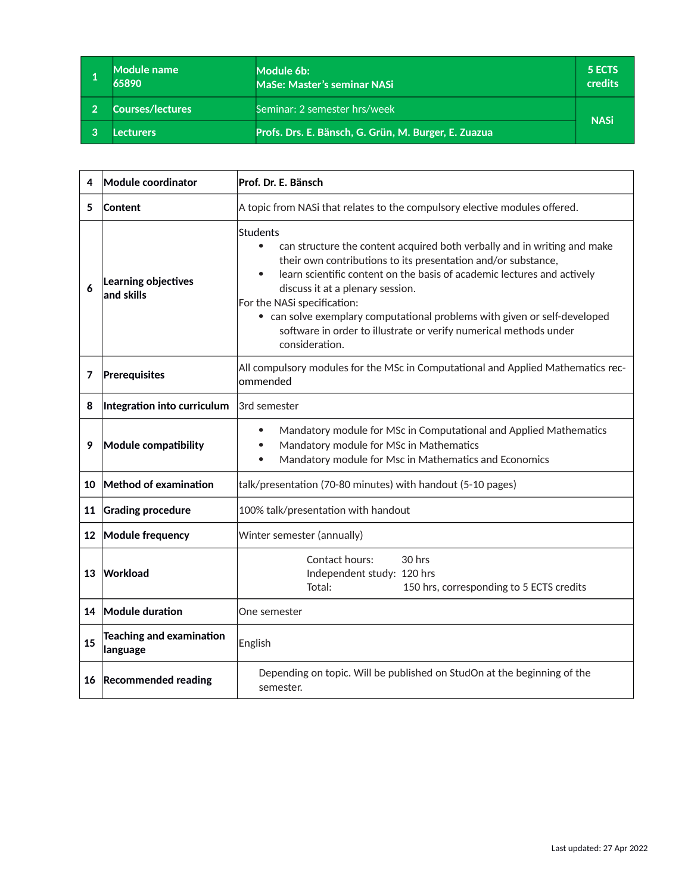<span id="page-18-0"></span>

|   | Module name<br>65890 | Module 6b:<br><b>MaSe: Master's seminar NASi</b>     | 5 ECTS<br>credits |
|---|----------------------|------------------------------------------------------|-------------------|
| റ | Courses/lectures     | Seminar: 2 semester hrs/week                         |                   |
|   | Lecturers            | Profs. Drs. E. Bänsch, G. Grün, M. Burger, E. Zuazua | <b>NASi</b>       |

| 4  | Module coordinator                          | Prof. Dr. E. Bänsch                                                                                                                                                                                                                                                                                                                                                                                                                                                                               |  |
|----|---------------------------------------------|---------------------------------------------------------------------------------------------------------------------------------------------------------------------------------------------------------------------------------------------------------------------------------------------------------------------------------------------------------------------------------------------------------------------------------------------------------------------------------------------------|--|
| 5  | Content                                     | A topic from NASi that relates to the compulsory elective modules offered.                                                                                                                                                                                                                                                                                                                                                                                                                        |  |
| 6  | Learning objectives<br>and skills           | Students<br>can structure the content acquired both verbally and in writing and make<br>$\bullet$<br>their own contributions to its presentation and/or substance,<br>learn scientific content on the basis of academic lectures and actively<br>$\bullet$<br>discuss it at a plenary session.<br>For the NASi specification:<br>• can solve exemplary computational problems with given or self-developed<br>software in order to illustrate or verify numerical methods under<br>consideration. |  |
| 7  | Prerequisites                               | All compulsory modules for the MSc in Computational and Applied Mathematics rec-<br>ommended                                                                                                                                                                                                                                                                                                                                                                                                      |  |
| 8  | Integration into curriculum                 | 3rd semester                                                                                                                                                                                                                                                                                                                                                                                                                                                                                      |  |
| 9  | Module compatibility                        | Mandatory module for MSc in Computational and Applied Mathematics<br>$\bullet$<br>Mandatory module for MSc in Mathematics<br>$\bullet$<br>Mandatory module for Msc in Mathematics and Economics<br>$\bullet$                                                                                                                                                                                                                                                                                      |  |
| 10 | Method of examination                       | talk/presentation (70-80 minutes) with handout (5-10 pages)                                                                                                                                                                                                                                                                                                                                                                                                                                       |  |
| 11 | <b>Grading procedure</b>                    | 100% talk/presentation with handout                                                                                                                                                                                                                                                                                                                                                                                                                                                               |  |
| 12 | Module frequency                            | Winter semester (annually)                                                                                                                                                                                                                                                                                                                                                                                                                                                                        |  |
| 13 | <b>Workload</b>                             | Contact hours:<br>30 hrs<br>Independent study: 120 hrs<br>Total:<br>150 hrs, corresponding to 5 ECTS credits                                                                                                                                                                                                                                                                                                                                                                                      |  |
| 14 | Module duration                             | One semester                                                                                                                                                                                                                                                                                                                                                                                                                                                                                      |  |
| 15 | <b>Teaching and examination</b><br>language | English                                                                                                                                                                                                                                                                                                                                                                                                                                                                                           |  |
| 16 | <b>Recommended reading</b>                  | Depending on topic. Will be published on StudOn at the beginning of the<br>semester.                                                                                                                                                                                                                                                                                                                                                                                                              |  |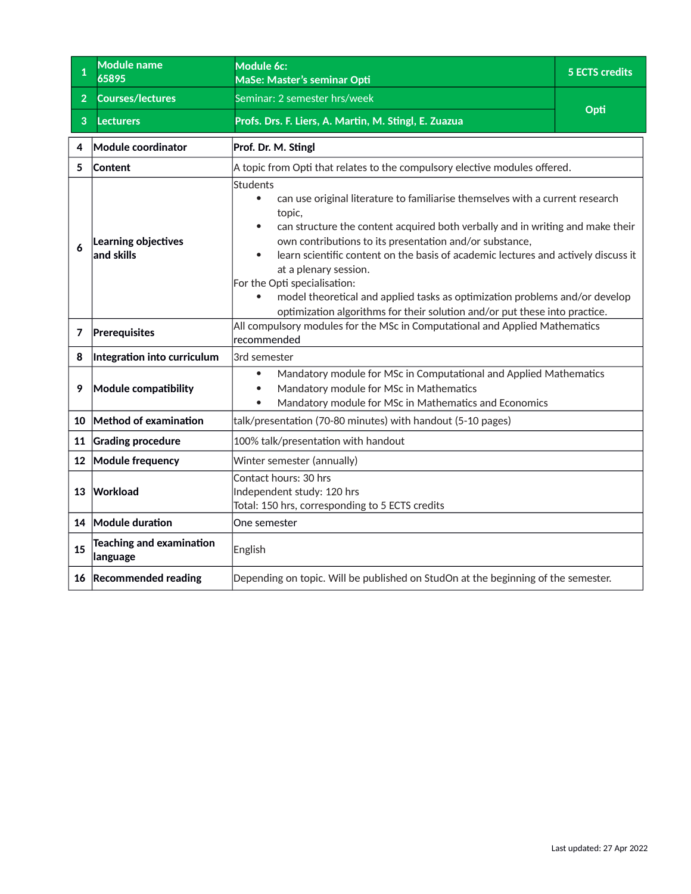<span id="page-19-0"></span>

| $\mathbf 1$    | <b>Module name</b><br>65895                 | Module 6c:<br>MaSe: Master's seminar Opti                                                                                                                                                                                                                                                                                                                                                                                                                                                                                                                                                                  | <b>5 ECTS credits</b> |
|----------------|---------------------------------------------|------------------------------------------------------------------------------------------------------------------------------------------------------------------------------------------------------------------------------------------------------------------------------------------------------------------------------------------------------------------------------------------------------------------------------------------------------------------------------------------------------------------------------------------------------------------------------------------------------------|-----------------------|
| 2 <sup>1</sup> | <b>Courses/lectures</b>                     | Seminar: 2 semester hrs/week                                                                                                                                                                                                                                                                                                                                                                                                                                                                                                                                                                               |                       |
| 3              | <b>Lecturers</b>                            | Profs. Drs. F. Liers, A. Martin, M. Stingl, E. Zuazua                                                                                                                                                                                                                                                                                                                                                                                                                                                                                                                                                      | Opti                  |
| 4              | Module coordinator                          | Prof. Dr. M. Stingl                                                                                                                                                                                                                                                                                                                                                                                                                                                                                                                                                                                        |                       |
| 5              | Content                                     | A topic from Opti that relates to the compulsory elective modules offered.                                                                                                                                                                                                                                                                                                                                                                                                                                                                                                                                 |                       |
| 6              | Learning objectives<br>and skills           | <b>Students</b><br>can use original literature to familiarise themselves with a current research<br>$\bullet$<br>topic,<br>can structure the content acquired both verbally and in writing and make their<br>own contributions to its presentation and/or substance,<br>learn scientific content on the basis of academic lectures and actively discuss it<br>$\bullet$<br>at a plenary session.<br>For the Opti specialisation:<br>model theoretical and applied tasks as optimization problems and/or develop<br>$\bullet$<br>optimization algorithms for their solution and/or put these into practice. |                       |
| 7              | Prerequisites                               | All compulsory modules for the MSc in Computational and Applied Mathematics<br>recommended                                                                                                                                                                                                                                                                                                                                                                                                                                                                                                                 |                       |
| 8              | Integration into curriculum                 | 3rd semester                                                                                                                                                                                                                                                                                                                                                                                                                                                                                                                                                                                               |                       |
| 9              | Module compatibility                        | Mandatory module for MSc in Computational and Applied Mathematics<br>$\bullet$<br>Mandatory module for MSc in Mathematics<br>Mandatory module for MSc in Mathematics and Economics<br>$\bullet$                                                                                                                                                                                                                                                                                                                                                                                                            |                       |
| 10             | Method of examination                       | talk/presentation (70-80 minutes) with handout (5-10 pages)                                                                                                                                                                                                                                                                                                                                                                                                                                                                                                                                                |                       |
| 11             | <b>Grading procedure</b>                    | 100% talk/presentation with handout                                                                                                                                                                                                                                                                                                                                                                                                                                                                                                                                                                        |                       |
| 12             | Module frequency                            | Winter semester (annually)                                                                                                                                                                                                                                                                                                                                                                                                                                                                                                                                                                                 |                       |
| 13             | Workload                                    | Contact hours: 30 hrs<br>Independent study: 120 hrs<br>Total: 150 hrs, corresponding to 5 ECTS credits                                                                                                                                                                                                                                                                                                                                                                                                                                                                                                     |                       |
|                | 14 Module duration                          | One semester                                                                                                                                                                                                                                                                                                                                                                                                                                                                                                                                                                                               |                       |
| 15             | <b>Teaching and examination</b><br>language | English                                                                                                                                                                                                                                                                                                                                                                                                                                                                                                                                                                                                    |                       |
|                | 16 Recommended reading                      | Depending on topic. Will be published on StudOn at the beginning of the semester.                                                                                                                                                                                                                                                                                                                                                                                                                                                                                                                          |                       |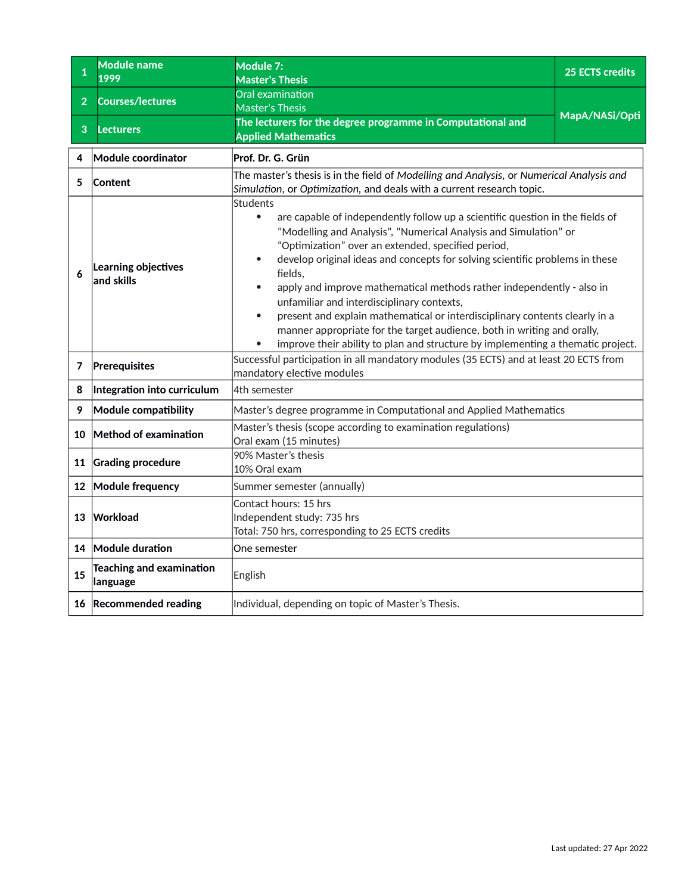<span id="page-20-0"></span>

| 1              | <b>Module name</b><br>1999                  | Module 7:<br><b>Master's Thesis</b>                                                                                                                                                                                                                                                                                                                                                                                                                                                                                                                                                                                                                                                                                              | <b>25 ECTS credits</b> |
|----------------|---------------------------------------------|----------------------------------------------------------------------------------------------------------------------------------------------------------------------------------------------------------------------------------------------------------------------------------------------------------------------------------------------------------------------------------------------------------------------------------------------------------------------------------------------------------------------------------------------------------------------------------------------------------------------------------------------------------------------------------------------------------------------------------|------------------------|
| 2 <sup>1</sup> | <b>Courses/lectures</b>                     | Oral examination<br><b>Master's Thesis</b>                                                                                                                                                                                                                                                                                                                                                                                                                                                                                                                                                                                                                                                                                       | MapA/NASi/Opti         |
| 3              | <b>Lecturers</b>                            | The lecturers for the degree programme in Computational and<br><b>Applied Mathematics</b>                                                                                                                                                                                                                                                                                                                                                                                                                                                                                                                                                                                                                                        |                        |
| 4              | Module coordinator                          | Prof. Dr. G. Grün                                                                                                                                                                                                                                                                                                                                                                                                                                                                                                                                                                                                                                                                                                                |                        |
| 5              | Content                                     | The master's thesis is in the field of Modelling and Analysis, or Numerical Analysis and<br>Simulation, or Optimization, and deals with a current research topic.                                                                                                                                                                                                                                                                                                                                                                                                                                                                                                                                                                |                        |
|                | Learning objectives<br>and skills           | <b>Students</b><br>are capable of independently follow up a scientific question in the fields of<br>$\bullet$<br>"Modelling and Analysis", "Numerical Analysis and Simulation" or<br>"Optimization" over an extended, specified period,<br>develop original ideas and concepts for solving scientific problems in these<br>fields.<br>apply and improve mathematical methods rather independently - also in<br>unfamiliar and interdisciplinary contexts,<br>present and explain mathematical or interdisciplinary contents clearly in a<br>$\bullet$<br>manner appropriate for the target audience, both in writing and orally,<br>improve their ability to plan and structure by implementing a thematic project.<br>$\bullet$ |                        |
| 7              | Prerequisites                               | Successful participation in all mandatory modules (35 ECTS) and at least 20 ECTS from<br>mandatory elective modules                                                                                                                                                                                                                                                                                                                                                                                                                                                                                                                                                                                                              |                        |
| 8              | Integration into curriculum                 | 4th semester                                                                                                                                                                                                                                                                                                                                                                                                                                                                                                                                                                                                                                                                                                                     |                        |
| 9              | Module compatibility                        | Master's degree programme in Computational and Applied Mathematics                                                                                                                                                                                                                                                                                                                                                                                                                                                                                                                                                                                                                                                               |                        |
| 10             | Method of examination                       | Master's thesis (scope according to examination regulations)<br>Oral exam (15 minutes)                                                                                                                                                                                                                                                                                                                                                                                                                                                                                                                                                                                                                                           |                        |
| 11             | <b>Grading procedure</b>                    | 90% Master's thesis<br>10% Oral exam                                                                                                                                                                                                                                                                                                                                                                                                                                                                                                                                                                                                                                                                                             |                        |
| 12             | Module frequency                            | Summer semester (annually)                                                                                                                                                                                                                                                                                                                                                                                                                                                                                                                                                                                                                                                                                                       |                        |
| 13             | Workload                                    | Contact hours: 15 hrs<br>Independent study: 735 hrs<br>Total: 750 hrs, corresponding to 25 ECTS credits                                                                                                                                                                                                                                                                                                                                                                                                                                                                                                                                                                                                                          |                        |
|                | 14 Module duration                          | One semester                                                                                                                                                                                                                                                                                                                                                                                                                                                                                                                                                                                                                                                                                                                     |                        |
| 15             | <b>Teaching and examination</b><br>language | English                                                                                                                                                                                                                                                                                                                                                                                                                                                                                                                                                                                                                                                                                                                          |                        |
|                | 16 Recommended reading                      | Individual, depending on topic of Master's Thesis.                                                                                                                                                                                                                                                                                                                                                                                                                                                                                                                                                                                                                                                                               |                        |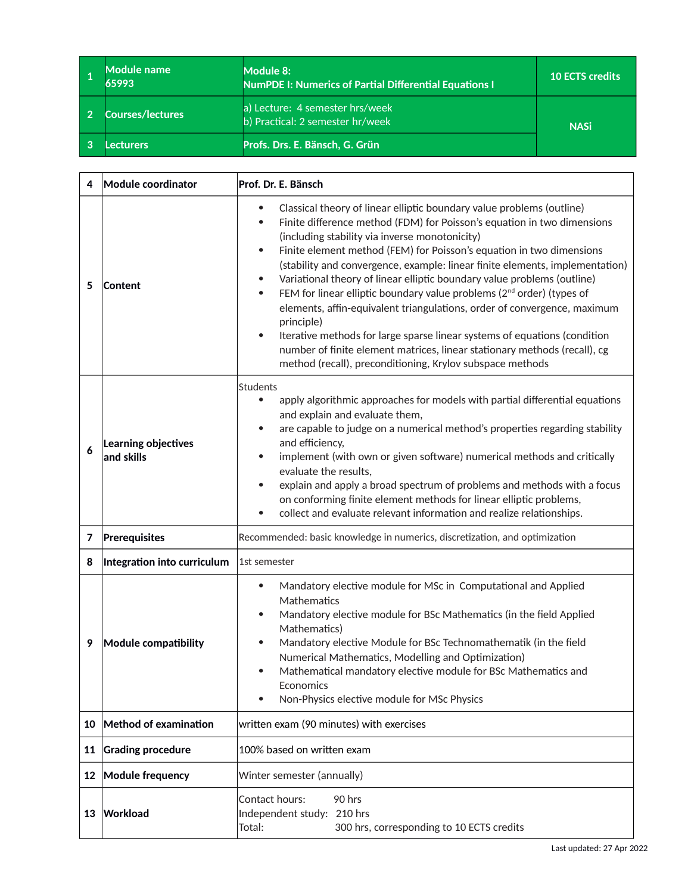<span id="page-21-0"></span>

| Module name<br>65993    | Module 8:<br><b>NumPDE I: Numerics of Partial Differential Equations I</b> | <b>10 ECTS credits</b> |
|-------------------------|----------------------------------------------------------------------------|------------------------|
| <b>Courses/lectures</b> | a) Lecture: 4 semester hrs/week<br>b) Practical: 2 semester hr/week        | <b>NASi</b>            |
| .ecturers               | Profs. Drs. E. Bänsch, G. Grün                                             |                        |

| 4       | Module coordinator                | Prof. Dr. E. Bänsch                                                                                                                                                                                                                                                                                                                                                                                                                                                                                                                                                                                                                                                                                                                                                                                                                                                                                              |  |
|---------|-----------------------------------|------------------------------------------------------------------------------------------------------------------------------------------------------------------------------------------------------------------------------------------------------------------------------------------------------------------------------------------------------------------------------------------------------------------------------------------------------------------------------------------------------------------------------------------------------------------------------------------------------------------------------------------------------------------------------------------------------------------------------------------------------------------------------------------------------------------------------------------------------------------------------------------------------------------|--|
| 5       | <b>Content</b>                    | Classical theory of linear elliptic boundary value problems (outline)<br>$\bullet$<br>Finite difference method (FDM) for Poisson's equation in two dimensions<br>$\bullet$<br>(including stability via inverse monotonicity)<br>Finite element method (FEM) for Poisson's equation in two dimensions<br>$\bullet$<br>(stability and convergence, example: linear finite elements, implementation)<br>Variational theory of linear elliptic boundary value problems (outline)<br>$\bullet$<br>FEM for linear elliptic boundary value problems ( $2nd$ order) (types of<br>$\bullet$<br>elements, affin-equivalent triangulations, order of convergence, maximum<br>principle)<br>Iterative methods for large sparse linear systems of equations (condition<br>$\bullet$<br>number of finite element matrices, linear stationary methods (recall), cg<br>method (recall), preconditioning, Krylov subspace methods |  |
| 6       | Learning objectives<br>and skills | <b>Students</b><br>apply algorithmic approaches for models with partial differential equations<br>$\bullet$<br>and explain and evaluate them,<br>are capable to judge on a numerical method's properties regarding stability<br>$\bullet$<br>and efficiency,<br>implement (with own or given software) numerical methods and critically<br>$\bullet$<br>evaluate the results.<br>explain and apply a broad spectrum of problems and methods with a focus<br>$\bullet$<br>on conforming finite element methods for linear elliptic problems,<br>collect and evaluate relevant information and realize relationships.<br>$\bullet$                                                                                                                                                                                                                                                                                 |  |
| 7       | Prerequisites                     | Recommended: basic knowledge in numerics, discretization, and optimization                                                                                                                                                                                                                                                                                                                                                                                                                                                                                                                                                                                                                                                                                                                                                                                                                                       |  |
| 8       | Integration into curriculum       | 1st semester                                                                                                                                                                                                                                                                                                                                                                                                                                                                                                                                                                                                                                                                                                                                                                                                                                                                                                     |  |
| 9       | Module compatibility              | Mandatory elective module for MSc in Computational and Applied<br>$\bullet$<br>Mathematics<br>Mandatory elective module for BSc Mathematics (in the field Applied<br>$\bullet$<br>Mathematics)<br>Mandatory elective Module for BSc Technomathematik (in the field<br>$\bullet$<br>Numerical Mathematics, Modelling and Optimization)<br>Mathematical mandatory elective module for BSc Mathematics and<br>$\bullet$<br>Economics<br>Non-Physics elective module for MSc Physics<br>$\bullet$                                                                                                                                                                                                                                                                                                                                                                                                                    |  |
| 10      | Method of examination             | written exam (90 minutes) with exercises                                                                                                                                                                                                                                                                                                                                                                                                                                                                                                                                                                                                                                                                                                                                                                                                                                                                         |  |
| 11      | <b>Grading procedure</b>          | 100% based on written exam                                                                                                                                                                                                                                                                                                                                                                                                                                                                                                                                                                                                                                                                                                                                                                                                                                                                                       |  |
| $12 \,$ | Module frequency                  | Winter semester (annually)                                                                                                                                                                                                                                                                                                                                                                                                                                                                                                                                                                                                                                                                                                                                                                                                                                                                                       |  |
| 13      | Workload                          | 90 hrs<br>Contact hours:<br>Independent study: 210 hrs<br>Total:<br>300 hrs, corresponding to 10 ECTS credits                                                                                                                                                                                                                                                                                                                                                                                                                                                                                                                                                                                                                                                                                                                                                                                                    |  |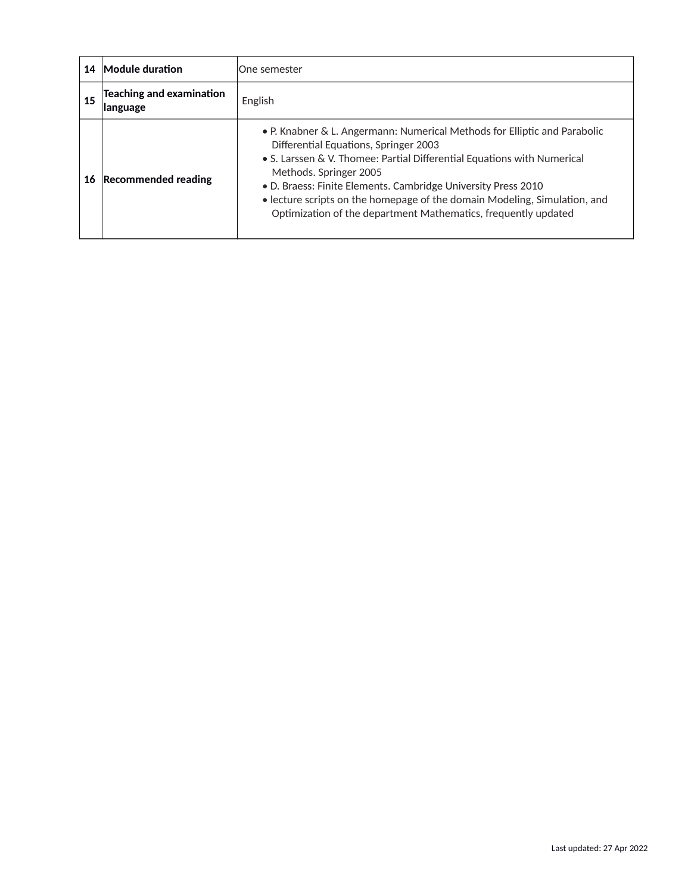| 14 | Module duration                             | lOne semester                                                                                                                                                                                                                                                                                                                                                                                                                           |
|----|---------------------------------------------|-----------------------------------------------------------------------------------------------------------------------------------------------------------------------------------------------------------------------------------------------------------------------------------------------------------------------------------------------------------------------------------------------------------------------------------------|
| 15 | <b>Teaching and examination</b><br>language | English                                                                                                                                                                                                                                                                                                                                                                                                                                 |
| 16 | <b>Recommended reading</b>                  | • P. Knabner & L. Angermann: Numerical Methods for Elliptic and Parabolic<br>Differential Equations, Springer 2003<br>• S. Larssen & V. Thomee: Partial Differential Equations with Numerical<br>Methods. Springer 2005<br>• D. Braess: Finite Elements. Cambridge University Press 2010<br>• lecture scripts on the homepage of the domain Modeling, Simulation, and<br>Optimization of the department Mathematics, frequently updated |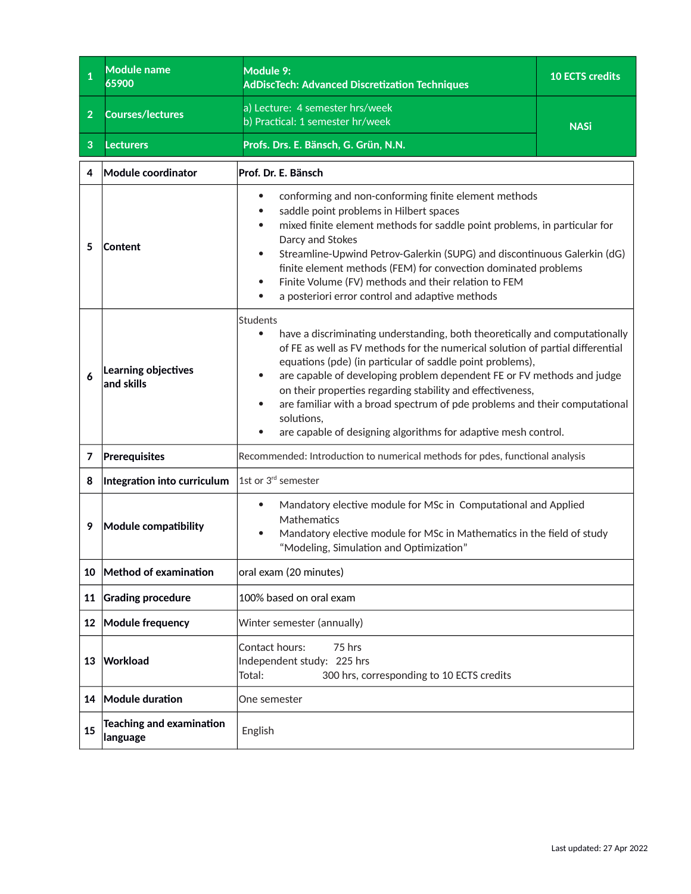<span id="page-23-0"></span>

| 1              | <b>Module name</b><br>65900                 | Module 9:<br><b>AdDiscTech: Advanced Discretization Techniques</b>                                                                                                                                                                                                                                                                                                                                                                                                                                                                                                            | <b>10 ECTS credits</b> |
|----------------|---------------------------------------------|-------------------------------------------------------------------------------------------------------------------------------------------------------------------------------------------------------------------------------------------------------------------------------------------------------------------------------------------------------------------------------------------------------------------------------------------------------------------------------------------------------------------------------------------------------------------------------|------------------------|
| 2 <sup>1</sup> | <b>Courses/lectures</b>                     | a) Lecture: 4 semester hrs/week<br>b) Practical: 1 semester hr/week                                                                                                                                                                                                                                                                                                                                                                                                                                                                                                           | <b>NASi</b>            |
| 3              | Lecturers                                   | Profs. Drs. E. Bänsch, G. Grün, N.N.                                                                                                                                                                                                                                                                                                                                                                                                                                                                                                                                          |                        |
| 4              | Module coordinator                          | Prof. Dr. E. Bänsch                                                                                                                                                                                                                                                                                                                                                                                                                                                                                                                                                           |                        |
| 5              | Content                                     | conforming and non-conforming finite element methods<br>$\bullet$<br>saddle point problems in Hilbert spaces<br>mixed finite element methods for saddle point problems, in particular for<br>Darcy and Stokes<br>Streamline-Upwind Petrov-Galerkin (SUPG) and discontinuous Galerkin (dG)<br>finite element methods (FEM) for convection dominated problems<br>Finite Volume (FV) methods and their relation to FEM<br>a posteriori error control and adaptive methods<br>$\bullet$                                                                                           |                        |
| 6              | Learning objectives<br>$ $ and skills       | <b>Students</b><br>have a discriminating understanding, both theoretically and computationally<br>$\bullet$<br>of FE as well as FV methods for the numerical solution of partial differential<br>equations (pde) (in particular of saddle point problems),<br>are capable of developing problem dependent FE or FV methods and judge<br>on their properties regarding stability and effectiveness,<br>are familiar with a broad spectrum of pde problems and their computational<br>solutions,<br>are capable of designing algorithms for adaptive mesh control.<br>$\bullet$ |                        |
| 7              | Prerequisites                               | Recommended: Introduction to numerical methods for pdes, functional analysis                                                                                                                                                                                                                                                                                                                                                                                                                                                                                                  |                        |
| 8              | Integration into curriculum                 | 1st or 3 <sup>rd</sup> semester                                                                                                                                                                                                                                                                                                                                                                                                                                                                                                                                               |                        |
| 9              | Module compatibility                        | Mandatory elective module for MSc in Computational and Applied<br>$\bullet$<br>Mathematics<br>Mandatory elective module for MSc in Mathematics in the field of study<br>$\bullet$<br>"Modeling, Simulation and Optimization"                                                                                                                                                                                                                                                                                                                                                  |                        |
| 10             | Method of examination                       | oral exam (20 minutes)                                                                                                                                                                                                                                                                                                                                                                                                                                                                                                                                                        |                        |
| 11             | <b>Grading procedure</b>                    | 100% based on oral exam                                                                                                                                                                                                                                                                                                                                                                                                                                                                                                                                                       |                        |
| $12 \,$        | Module frequency                            | Winter semester (annually)                                                                                                                                                                                                                                                                                                                                                                                                                                                                                                                                                    |                        |
| 13             | Workload                                    | Contact hours:<br>75 hrs<br>Independent study: 225 hrs<br>300 hrs, corresponding to 10 ECTS credits<br>Total:                                                                                                                                                                                                                                                                                                                                                                                                                                                                 |                        |
| 14             | Module duration                             | One semester                                                                                                                                                                                                                                                                                                                                                                                                                                                                                                                                                                  |                        |
| 15             | <b>Teaching and examination</b><br>language | English                                                                                                                                                                                                                                                                                                                                                                                                                                                                                                                                                                       |                        |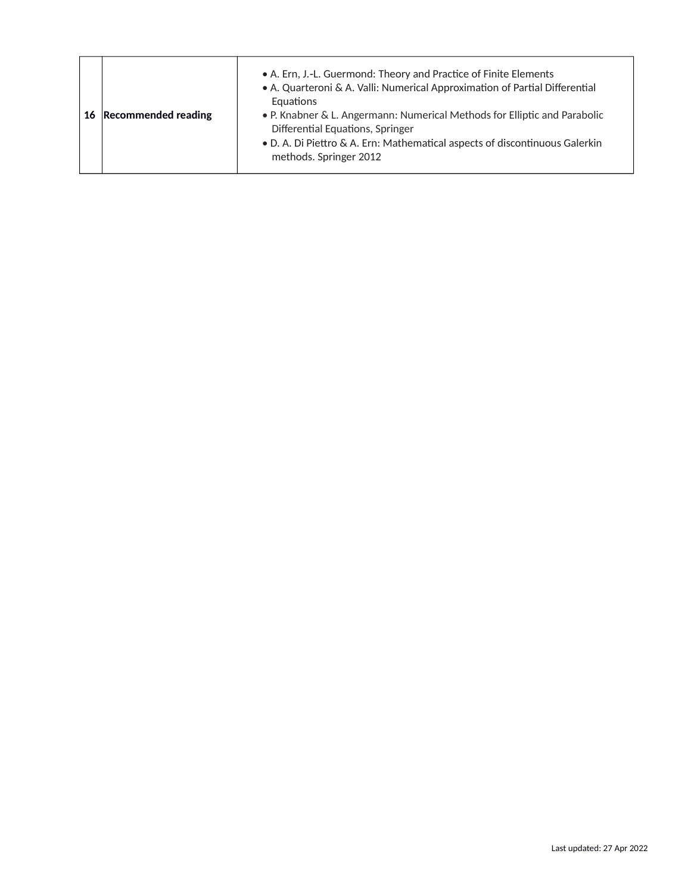| . P. Knabner & L. Angermann: Numerical Methods for Elliptic and Parabolic<br>Differential Equations, Springer<br>• D. A. Di Piettro & A. Ern: Mathematical aspects of discontinuous Galerkin<br>methods. Springer 2012 |
|------------------------------------------------------------------------------------------------------------------------------------------------------------------------------------------------------------------------|
|------------------------------------------------------------------------------------------------------------------------------------------------------------------------------------------------------------------------|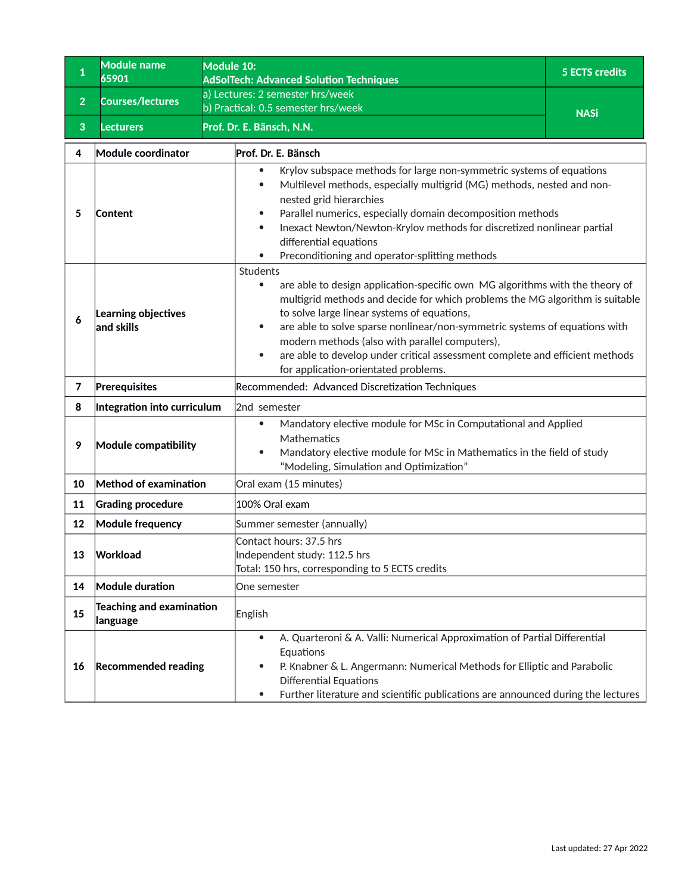<span id="page-25-0"></span>

| $\mathbf{1}$   | <b>Module name</b><br>65901                                                                                            | Module 10:<br><b>AdSolTech: Advanced Solution Techniques</b>                                                                                                                                                                                                                                                                                                                                                                                                                                                           | <b>5 ECTS credits</b> |  |
|----------------|------------------------------------------------------------------------------------------------------------------------|------------------------------------------------------------------------------------------------------------------------------------------------------------------------------------------------------------------------------------------------------------------------------------------------------------------------------------------------------------------------------------------------------------------------------------------------------------------------------------------------------------------------|-----------------------|--|
| $\overline{2}$ | <b>Courses/lectures</b>                                                                                                | a) Lectures: 2 semester hrs/week                                                                                                                                                                                                                                                                                                                                                                                                                                                                                       |                       |  |
|                |                                                                                                                        | b) Practical: 0.5 semester hrs/week<br>Prof. Dr. E. Bänsch, N.N.                                                                                                                                                                                                                                                                                                                                                                                                                                                       | <b>NASi</b>           |  |
| 3              | <b>Lecturers</b>                                                                                                       |                                                                                                                                                                                                                                                                                                                                                                                                                                                                                                                        |                       |  |
| 4              | Module coordinator                                                                                                     | Prof. Dr. E. Bänsch                                                                                                                                                                                                                                                                                                                                                                                                                                                                                                    |                       |  |
| 5              | Content                                                                                                                | Krylov subspace methods for large non-symmetric systems of equations<br>$\bullet$<br>Multilevel methods, especially multigrid (MG) methods, nested and non-<br>$\bullet$<br>nested grid hierarchies<br>Parallel numerics, especially domain decomposition methods<br>$\bullet$<br>Inexact Newton/Newton-Krylov methods for discretized nonlinear partial<br>$\bullet$<br>differential equations<br>Preconditioning and operator-splitting methods                                                                      |                       |  |
| 6              | Learning objectives<br>and skills                                                                                      | Students<br>are able to design application-specific own MG algorithms with the theory of<br>$\bullet$<br>multigrid methods and decide for which problems the MG algorithm is suitable<br>to solve large linear systems of equations,<br>are able to solve sparse nonlinear/non-symmetric systems of equations with<br>$\bullet$<br>modern methods (also with parallel computers),<br>are able to develop under critical assessment complete and efficient methods<br>$\bullet$<br>for application-orientated problems. |                       |  |
| 7              | Prerequisites                                                                                                          | Recommended: Advanced Discretization Techniques                                                                                                                                                                                                                                                                                                                                                                                                                                                                        |                       |  |
| 8              | Integration into curriculum                                                                                            | 2nd semester                                                                                                                                                                                                                                                                                                                                                                                                                                                                                                           |                       |  |
| 9              | Module compatibility                                                                                                   | Mandatory elective module for MSc in Computational and Applied<br>$\bullet$<br>Mathematics<br>Mandatory elective module for MSc in Mathematics in the field of study<br>"Modeling, Simulation and Optimization"                                                                                                                                                                                                                                                                                                        |                       |  |
| 10             | Method of examination                                                                                                  | Oral exam (15 minutes)                                                                                                                                                                                                                                                                                                                                                                                                                                                                                                 |                       |  |
| 11             | <b>Grading procedure</b>                                                                                               | 100% Oral exam                                                                                                                                                                                                                                                                                                                                                                                                                                                                                                         |                       |  |
| 12             | <b>Module frequency</b>                                                                                                | Summer semester (annually)                                                                                                                                                                                                                                                                                                                                                                                                                                                                                             |                       |  |
| 13             | Contact hours: 37.5 hrs<br>Workload<br>Independent study: 112.5 hrs<br>Total: 150 hrs, corresponding to 5 ECTS credits |                                                                                                                                                                                                                                                                                                                                                                                                                                                                                                                        |                       |  |
| 14             | Module duration                                                                                                        | One semester                                                                                                                                                                                                                                                                                                                                                                                                                                                                                                           |                       |  |
| 15             | <b>Teaching and examination</b><br>language                                                                            | English                                                                                                                                                                                                                                                                                                                                                                                                                                                                                                                |                       |  |
| 16             | <b>Recommended reading</b>                                                                                             | A. Quarteroni & A. Valli: Numerical Approximation of Partial Differential<br>$\bullet$<br>Equations<br>P. Knabner & L. Angermann: Numerical Methods for Elliptic and Parabolic<br>$\bullet$<br><b>Differential Equations</b><br>Further literature and scientific publications are announced during the lectures<br>$\bullet$                                                                                                                                                                                          |                       |  |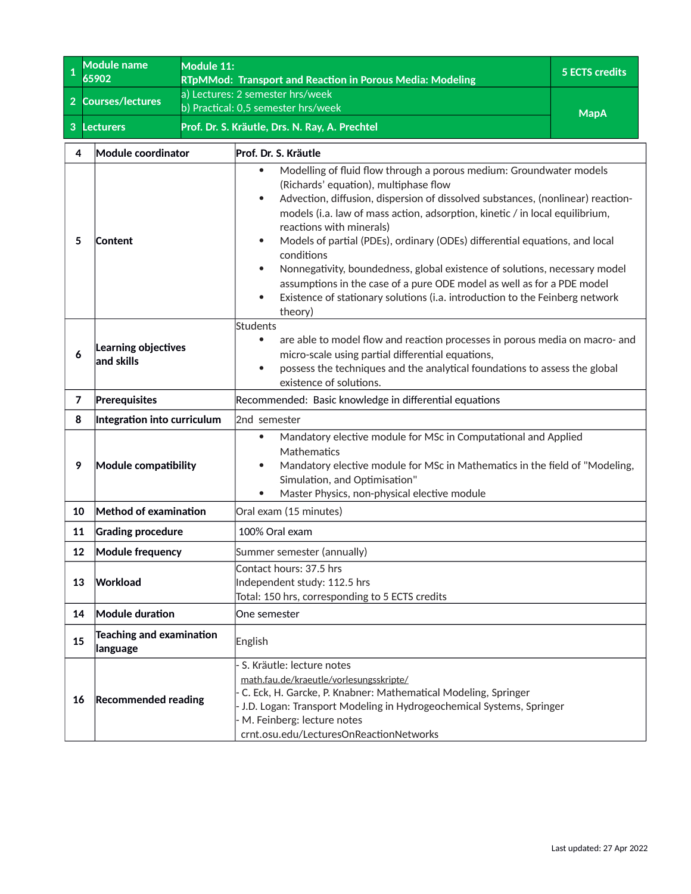<span id="page-26-0"></span>

| $\overline{\mathbf{1}}$ | <b>Module name</b><br>65902                 | Module 11: |                                                                                                                                                                                                                                                                                                                                                                                                                                                                                                                                                                                                                                                                                                                              | <b>5 ECTS credits</b> |
|-------------------------|---------------------------------------------|------------|------------------------------------------------------------------------------------------------------------------------------------------------------------------------------------------------------------------------------------------------------------------------------------------------------------------------------------------------------------------------------------------------------------------------------------------------------------------------------------------------------------------------------------------------------------------------------------------------------------------------------------------------------------------------------------------------------------------------------|-----------------------|
|                         |                                             |            | RTpMMod: Transport and Reaction in Porous Media: Modeling<br>a) Lectures: 2 semester hrs/week                                                                                                                                                                                                                                                                                                                                                                                                                                                                                                                                                                                                                                |                       |
| 2 <sup>1</sup>          | <b>Courses/lectures</b>                     |            | b) Practical: 0,5 semester hrs/week                                                                                                                                                                                                                                                                                                                                                                                                                                                                                                                                                                                                                                                                                          |                       |
| 3                       | <b>Lecturers</b>                            |            | Prof. Dr. S. Kräutle, Drs. N. Ray, A. Prechtel                                                                                                                                                                                                                                                                                                                                                                                                                                                                                                                                                                                                                                                                               | <b>MapA</b>           |
| 4                       | Module coordinator                          |            | Prof. Dr. S. Kräutle                                                                                                                                                                                                                                                                                                                                                                                                                                                                                                                                                                                                                                                                                                         |                       |
| 5                       | <b>Content</b>                              |            | Modelling of fluid flow through a porous medium: Groundwater models<br>$\bullet$<br>(Richards' equation), multiphase flow<br>Advection, diffusion, dispersion of dissolved substances, (nonlinear) reaction-<br>$\bullet$<br>models (i.a. law of mass action, adsorption, kinetic / in local equilibrium,<br>reactions with minerals)<br>Models of partial (PDEs), ordinary (ODEs) differential equations, and local<br>$\bullet$<br>conditions<br>Nonnegativity, boundedness, global existence of solutions, necessary model<br>$\bullet$<br>assumptions in the case of a pure ODE model as well as for a PDE model<br>Existence of stationary solutions (i.a. introduction to the Feinberg network<br>$\bullet$<br>theory) |                       |
| 6                       | Learning objectives<br>and skills           |            | Students<br>are able to model flow and reaction processes in porous media on macro- and<br>$\bullet$<br>micro-scale using partial differential equations,<br>possess the techniques and the analytical foundations to assess the global<br>$\bullet$<br>existence of solutions.                                                                                                                                                                                                                                                                                                                                                                                                                                              |                       |
| $\overline{7}$          | Prerequisites                               |            | Recommended: Basic knowledge in differential equations                                                                                                                                                                                                                                                                                                                                                                                                                                                                                                                                                                                                                                                                       |                       |
| 8                       | Integration into curriculum                 |            | 2nd semester                                                                                                                                                                                                                                                                                                                                                                                                                                                                                                                                                                                                                                                                                                                 |                       |
| 9                       | Module compatibility                        |            | Mandatory elective module for MSc in Computational and Applied<br>$\bullet$<br>Mathematics<br>Mandatory elective module for MSc in Mathematics in the field of "Modeling,<br>$\bullet$<br>Simulation, and Optimisation"<br>Master Physics, non-physical elective module<br>$\bullet$                                                                                                                                                                                                                                                                                                                                                                                                                                         |                       |
| 10                      | Method of examination                       |            | Oral exam (15 minutes)                                                                                                                                                                                                                                                                                                                                                                                                                                                                                                                                                                                                                                                                                                       |                       |
| 11                      | <b>Grading procedure</b>                    |            | 100% Oral exam                                                                                                                                                                                                                                                                                                                                                                                                                                                                                                                                                                                                                                                                                                               |                       |
| 12                      | Module frequency                            |            | Summer semester (annually)                                                                                                                                                                                                                                                                                                                                                                                                                                                                                                                                                                                                                                                                                                   |                       |
| 13                      | Workload                                    |            | Contact hours: 37.5 hrs<br>Independent study: 112.5 hrs<br>Total: 150 hrs, corresponding to 5 ECTS credits                                                                                                                                                                                                                                                                                                                                                                                                                                                                                                                                                                                                                   |                       |
| 14                      | Module duration                             |            | One semester                                                                                                                                                                                                                                                                                                                                                                                                                                                                                                                                                                                                                                                                                                                 |                       |
| 15                      | Teaching and examination<br><b>language</b> |            | English                                                                                                                                                                                                                                                                                                                                                                                                                                                                                                                                                                                                                                                                                                                      |                       |
| 16                      | <b>Recommended reading</b>                  |            | S. Kräutle: lecture notes<br>math.fau.de/kraeutle/vorlesungsskripte/<br>C. Eck, H. Garcke, P. Knabner: Mathematical Modeling, Springer<br>J.D. Logan: Transport Modeling in Hydrogeochemical Systems, Springer<br>M. Feinberg: lecture notes<br>crnt.osu.edu/LecturesOnReactionNetworks                                                                                                                                                                                                                                                                                                                                                                                                                                      |                       |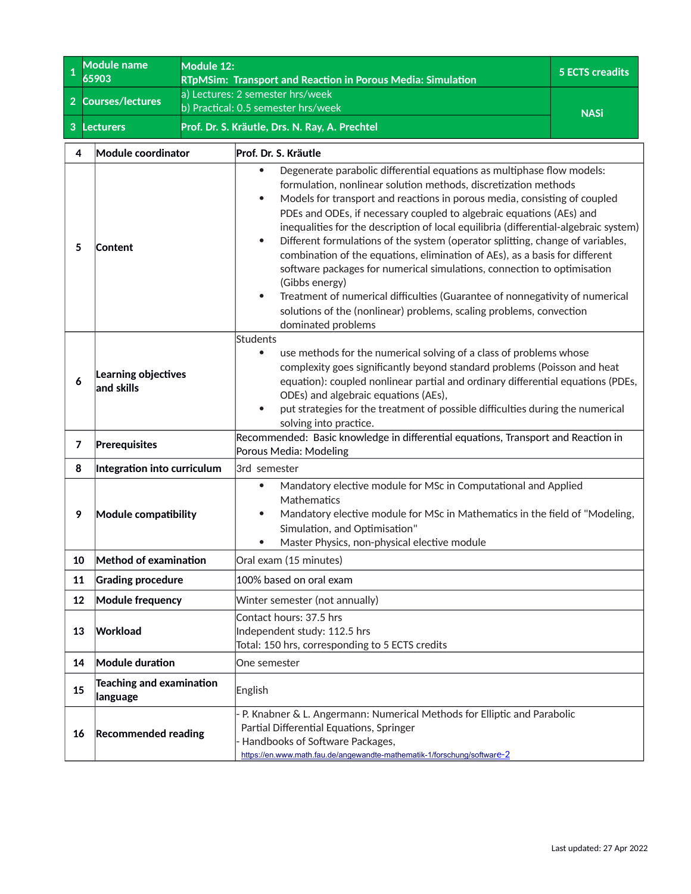<span id="page-27-0"></span>

| $\mathbf 1$    | <b>Module name</b><br>65903                                                                                            | Module 12: |                                                                                                                                                                                                                                                                                                                                                                                                                                                                                                                                                                                                                                                                                                                                                                                                                                                    | <b>5 ECTS creadits</b> |
|----------------|------------------------------------------------------------------------------------------------------------------------|------------|----------------------------------------------------------------------------------------------------------------------------------------------------------------------------------------------------------------------------------------------------------------------------------------------------------------------------------------------------------------------------------------------------------------------------------------------------------------------------------------------------------------------------------------------------------------------------------------------------------------------------------------------------------------------------------------------------------------------------------------------------------------------------------------------------------------------------------------------------|------------------------|
|                |                                                                                                                        |            | RTpMSim: Transport and Reaction in Porous Media: Simulation<br>a) Lectures: 2 semester hrs/week                                                                                                                                                                                                                                                                                                                                                                                                                                                                                                                                                                                                                                                                                                                                                    |                        |
| $\overline{2}$ | <b>Courses/lectures</b>                                                                                                |            | b) Practical: 0.5 semester hrs/week                                                                                                                                                                                                                                                                                                                                                                                                                                                                                                                                                                                                                                                                                                                                                                                                                | <b>NASi</b>            |
| $\mathbf{3}$   | <b>Lecturers</b>                                                                                                       |            | Prof. Dr. S. Kräutle, Drs. N. Ray, A. Prechtel                                                                                                                                                                                                                                                                                                                                                                                                                                                                                                                                                                                                                                                                                                                                                                                                     |                        |
| 4              | Module coordinator                                                                                                     |            | Prof. Dr. S. Kräutle                                                                                                                                                                                                                                                                                                                                                                                                                                                                                                                                                                                                                                                                                                                                                                                                                               |                        |
| 5              | Content                                                                                                                |            | Degenerate parabolic differential equations as multiphase flow models:<br>formulation, nonlinear solution methods, discretization methods<br>Models for transport and reactions in porous media, consisting of coupled<br>$\bullet$<br>PDEs and ODEs, if necessary coupled to algebraic equations (AEs) and<br>inequalities for the description of local equilibria (differential-algebraic system)<br>Different formulations of the system (operator splitting, change of variables,<br>$\bullet$<br>combination of the equations, elimination of AEs), as a basis for different<br>software packages for numerical simulations, connection to optimisation<br>(Gibbs energy)<br>Treatment of numerical difficulties (Guarantee of nonnegativity of numerical<br>$\bullet$<br>solutions of the (nonlinear) problems, scaling problems, convection |                        |
| 6              | Learning objectives<br>and skills                                                                                      |            | dominated problems<br><b>Students</b><br>use methods for the numerical solving of a class of problems whose<br>$\bullet$<br>complexity goes significantly beyond standard problems (Poisson and heat<br>equation): coupled nonlinear partial and ordinary differential equations (PDEs,<br>ODEs) and algebraic equations (AEs),<br>put strategies for the treatment of possible difficulties during the numerical<br>$\bullet$<br>solving into practice.                                                                                                                                                                                                                                                                                                                                                                                           |                        |
| $\overline{7}$ | Prerequisites                                                                                                          |            | Recommended: Basic knowledge in differential equations, Transport and Reaction in<br>Porous Media: Modeling                                                                                                                                                                                                                                                                                                                                                                                                                                                                                                                                                                                                                                                                                                                                        |                        |
| 8              | Integration into curriculum                                                                                            |            | 3rd semester                                                                                                                                                                                                                                                                                                                                                                                                                                                                                                                                                                                                                                                                                                                                                                                                                                       |                        |
| 9              | Module compatibility                                                                                                   |            | Mandatory elective module for MSc in Computational and Applied<br>$\bullet$<br>Mathematics<br>Mandatory elective module for MSc in Mathematics in the field of "Modeling,<br>$\bullet$<br>Simulation, and Optimisation"<br>Master Physics, non-physical elective module                                                                                                                                                                                                                                                                                                                                                                                                                                                                                                                                                                            |                        |
| 10             | Method of examination                                                                                                  |            | Oral exam (15 minutes)                                                                                                                                                                                                                                                                                                                                                                                                                                                                                                                                                                                                                                                                                                                                                                                                                             |                        |
| 11             | <b>Grading procedure</b>                                                                                               |            | 100% based on oral exam                                                                                                                                                                                                                                                                                                                                                                                                                                                                                                                                                                                                                                                                                                                                                                                                                            |                        |
| 12             | Module frequency                                                                                                       |            | Winter semester (not annually)                                                                                                                                                                                                                                                                                                                                                                                                                                                                                                                                                                                                                                                                                                                                                                                                                     |                        |
| 13             | Contact hours: 37.5 hrs<br>Workload<br>Independent study: 112.5 hrs<br>Total: 150 hrs, corresponding to 5 ECTS credits |            |                                                                                                                                                                                                                                                                                                                                                                                                                                                                                                                                                                                                                                                                                                                                                                                                                                                    |                        |
| 14             | Module duration                                                                                                        |            | One semester                                                                                                                                                                                                                                                                                                                                                                                                                                                                                                                                                                                                                                                                                                                                                                                                                                       |                        |
| 15             | Teaching and examination<br> language                                                                                  |            | English                                                                                                                                                                                                                                                                                                                                                                                                                                                                                                                                                                                                                                                                                                                                                                                                                                            |                        |
| 16             | <b>Recommended reading</b>                                                                                             |            | P. Knabner & L. Angermann: Numerical Methods for Elliptic and Parabolic<br>Partial Differential Equations, Springer<br>Handbooks of Software Packages,<br>https://en.www.math.fau.de/angewandte-mathematik-1/forschung/software-2                                                                                                                                                                                                                                                                                                                                                                                                                                                                                                                                                                                                                  |                        |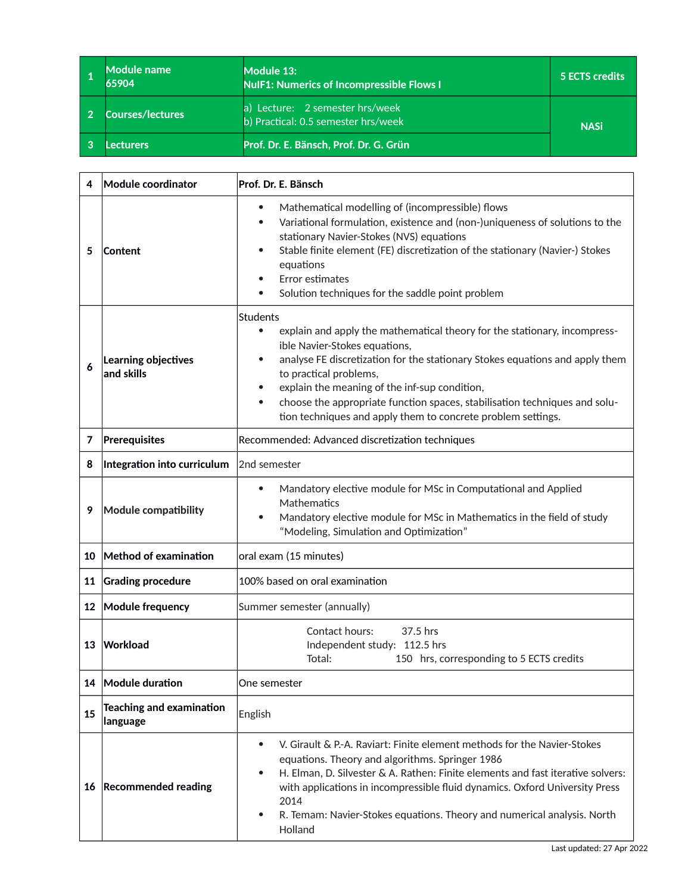| <b>Module name</b><br>65904 | Module 13:<br><b>NulF1: Numerics of Incompressible Flows I</b>            | 5 ECTS credits |
|-----------------------------|---------------------------------------------------------------------------|----------------|
| <b>Courses/lectures</b>     | Lecture: 2 semester hrs/week<br>a)<br>b) Practical: 0.5 semester hrs/week | <b>NASi</b>    |
| .ecturers                   | Prof. Dr. E. Bänsch, Prof. Dr. G. Grün                                    |                |

<span id="page-28-0"></span>т

f,

T

| 4               | Module coordinator                          | Prof. Dr. E. Bänsch                                                                                                                                                                                                                                                                                                                                                                                                                                                    |  |
|-----------------|---------------------------------------------|------------------------------------------------------------------------------------------------------------------------------------------------------------------------------------------------------------------------------------------------------------------------------------------------------------------------------------------------------------------------------------------------------------------------------------------------------------------------|--|
| 5               | Content                                     | Mathematical modelling of (incompressible) flows<br>$\bullet$<br>Variational formulation, existence and (non-)uniqueness of solutions to the<br>$\bullet$<br>stationary Navier-Stokes (NVS) equations<br>Stable finite element (FE) discretization of the stationary (Navier-) Stokes<br>equations<br>Error estimates<br>Solution techniques for the saddle point problem                                                                                              |  |
| 6               | Learning objectives<br>and skills           | Students<br>explain and apply the mathematical theory for the stationary, incompress-<br>$\bullet$<br>ible Navier-Stokes equations,<br>analyse FE discretization for the stationary Stokes equations and apply them<br>to practical problems,<br>explain the meaning of the inf-sup condition,<br>$\bullet$<br>choose the appropriate function spaces, stabilisation techniques and solu-<br>$\bullet$<br>tion techniques and apply them to concrete problem settings. |  |
| 7               | Prerequisites                               | Recommended: Advanced discretization techniques                                                                                                                                                                                                                                                                                                                                                                                                                        |  |
| 8               | Integration into curriculum                 | 2nd semester                                                                                                                                                                                                                                                                                                                                                                                                                                                           |  |
| 9               | <b>Module compatibility</b>                 | Mandatory elective module for MSc in Computational and Applied<br>$\bullet$<br>Mathematics<br>Mandatory elective module for MSc in Mathematics in the field of study<br>"Modeling, Simulation and Optimization"                                                                                                                                                                                                                                                        |  |
|                 | 10 Method of examination                    | oral exam (15 minutes)                                                                                                                                                                                                                                                                                                                                                                                                                                                 |  |
| 11              | <b>Grading procedure</b>                    | 100% based on oral examination                                                                                                                                                                                                                                                                                                                                                                                                                                         |  |
| 12 <sup>°</sup> | Module frequency                            | Summer semester (annually)                                                                                                                                                                                                                                                                                                                                                                                                                                             |  |
| 13              | Workload                                    | Contact hours:<br>37.5 hrs<br>Independent study: 112.5 hrs<br>Total:<br>150 hrs, corresponding to 5 ECTS credits                                                                                                                                                                                                                                                                                                                                                       |  |
|                 | 14 Module duration                          | One semester                                                                                                                                                                                                                                                                                                                                                                                                                                                           |  |
| 15              | <b>Teaching and examination</b><br>language | English                                                                                                                                                                                                                                                                                                                                                                                                                                                                |  |
|                 | 16 Recommended reading                      | V. Girault & P.-A. Raviart: Finite element methods for the Navier-Stokes<br>$\bullet$<br>equations. Theory and algorithms. Springer 1986<br>H. Elman, D. Silvester & A. Rathen: Finite elements and fast iterative solvers:<br>$\bullet$<br>with applications in incompressible fluid dynamics. Oxford University Press<br>2014<br>R. Temam: Navier-Stokes equations. Theory and numerical analysis. North<br>Holland                                                  |  |

٦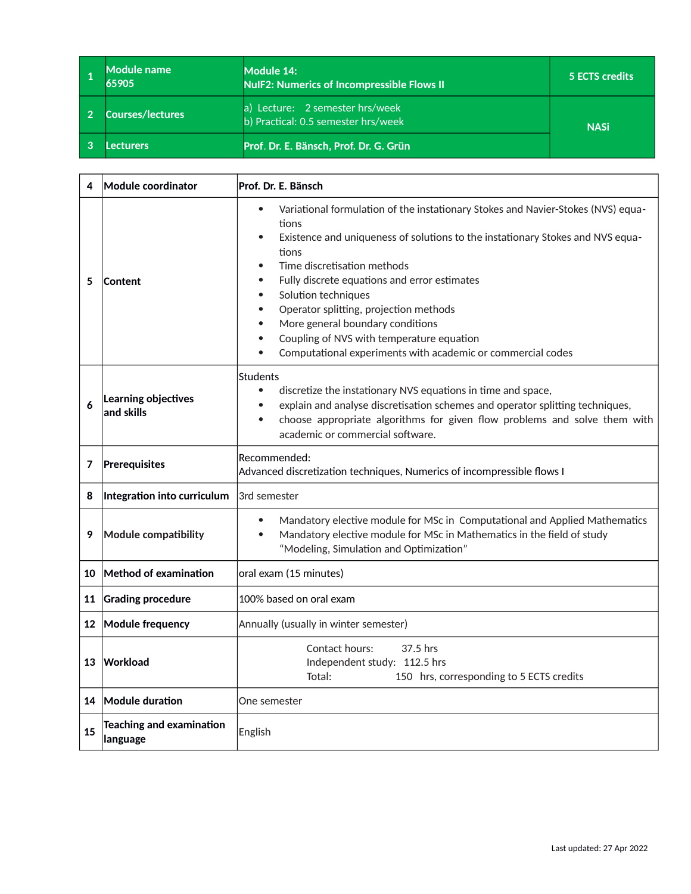<span id="page-30-0"></span>

| Module name<br>65905    | Module 14:<br><b>NulF2: Numerics of Incompressible Flows II</b>        | 5 ECTS credits |
|-------------------------|------------------------------------------------------------------------|----------------|
| <b>Courses/lectures</b> | a) Lecture: 2 semester hrs/week<br>b) Practical: 0.5 semester hrs/week | <b>NASi</b>    |
| .ecturers               | Prof. Dr. E. Bänsch, Prof. Dr. G. Grün                                 |                |

| 4  | Module coordinator                          | Prof. Dr. E. Bänsch                                                                                                                                                                                                                                                                                                                                                                                                                                                                                                                                                                          |  |
|----|---------------------------------------------|----------------------------------------------------------------------------------------------------------------------------------------------------------------------------------------------------------------------------------------------------------------------------------------------------------------------------------------------------------------------------------------------------------------------------------------------------------------------------------------------------------------------------------------------------------------------------------------------|--|
| 5  | Content                                     | Variational formulation of the instationary Stokes and Navier-Stokes (NVS) equa-<br>$\bullet$<br>tions<br>Existence and uniqueness of solutions to the instationary Stokes and NVS equa-<br>$\bullet$<br>tions<br>Time discretisation methods<br>$\bullet$<br>Fully discrete equations and error estimates<br>$\bullet$<br>Solution techniques<br>$\bullet$<br>Operator splitting, projection methods<br>$\bullet$<br>More general boundary conditions<br>$\bullet$<br>Coupling of NVS with temperature equation<br>Computational experiments with academic or commercial codes<br>$\bullet$ |  |
| 6  | Learning objectives<br>$ $ and skills       | Students<br>discretize the instationary NVS equations in time and space,<br>$\bullet$<br>explain and analyse discretisation schemes and operator splitting techniques,<br>$\bullet$<br>choose appropriate algorithms for given flow problems and solve them with<br>$\bullet$<br>academic or commercial software.                                                                                                                                                                                                                                                                            |  |
| 7  | Prerequisites                               | Recommended:<br>Advanced discretization techniques, Numerics of incompressible flows I                                                                                                                                                                                                                                                                                                                                                                                                                                                                                                       |  |
| 8  | Integration into curriculum                 | 3rd semester                                                                                                                                                                                                                                                                                                                                                                                                                                                                                                                                                                                 |  |
| 9  | Module compatibility                        | Mandatory elective module for MSc in Computational and Applied Mathematics<br>$\bullet$<br>Mandatory elective module for MSc in Mathematics in the field of study<br>$\bullet$<br>"Modeling, Simulation and Optimization"                                                                                                                                                                                                                                                                                                                                                                    |  |
| 10 | Method of examination                       | oral exam (15 minutes)                                                                                                                                                                                                                                                                                                                                                                                                                                                                                                                                                                       |  |
| 11 | Grading procedure                           | 100% based on oral exam                                                                                                                                                                                                                                                                                                                                                                                                                                                                                                                                                                      |  |
|    | 12 Module frequency                         | Annually (usually in winter semester)                                                                                                                                                                                                                                                                                                                                                                                                                                                                                                                                                        |  |
| 13 | Workload                                    | Contact hours:<br>37.5 hrs<br>Independent study: 112.5 hrs<br>150 hrs, corresponding to 5 ECTS credits<br>Total:                                                                                                                                                                                                                                                                                                                                                                                                                                                                             |  |
|    | 14 Module duration                          | One semester                                                                                                                                                                                                                                                                                                                                                                                                                                                                                                                                                                                 |  |
| 15 | <b>Teaching and examination</b><br>language | English                                                                                                                                                                                                                                                                                                                                                                                                                                                                                                                                                                                      |  |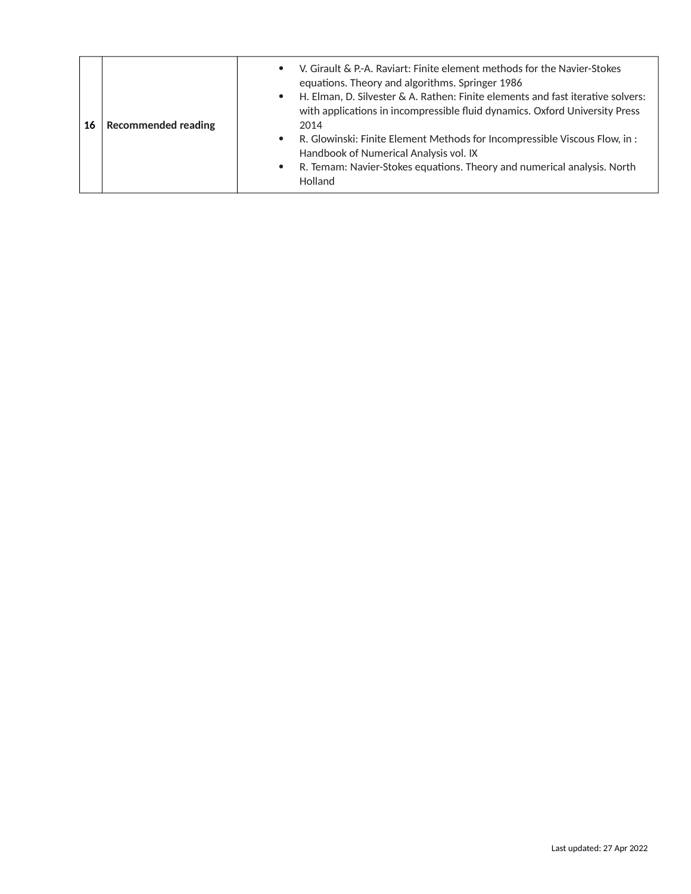| <b>Recommended reading</b><br>16 | V. Girault & P.-A. Raviart: Finite element methods for the Navier-Stokes<br>$\bullet$<br>equations. Theory and algorithms. Springer 1986<br>H. Elman, D. Silvester & A. Rathen: Finite elements and fast iterative solvers:<br>$\bullet$<br>with applications in incompressible fluid dynamics. Oxford University Press<br>2014<br>R. Glowinski: Finite Element Methods for Incompressible Viscous Flow, in :<br>$\bullet$<br>Handbook of Numerical Analysis vol. IX<br>R. Temam: Navier-Stokes equations. Theory and numerical analysis. North<br>$\bullet$<br>Holland |
|----------------------------------|-------------------------------------------------------------------------------------------------------------------------------------------------------------------------------------------------------------------------------------------------------------------------------------------------------------------------------------------------------------------------------------------------------------------------------------------------------------------------------------------------------------------------------------------------------------------------|
|----------------------------------|-------------------------------------------------------------------------------------------------------------------------------------------------------------------------------------------------------------------------------------------------------------------------------------------------------------------------------------------------------------------------------------------------------------------------------------------------------------------------------------------------------------------------------------------------------------------------|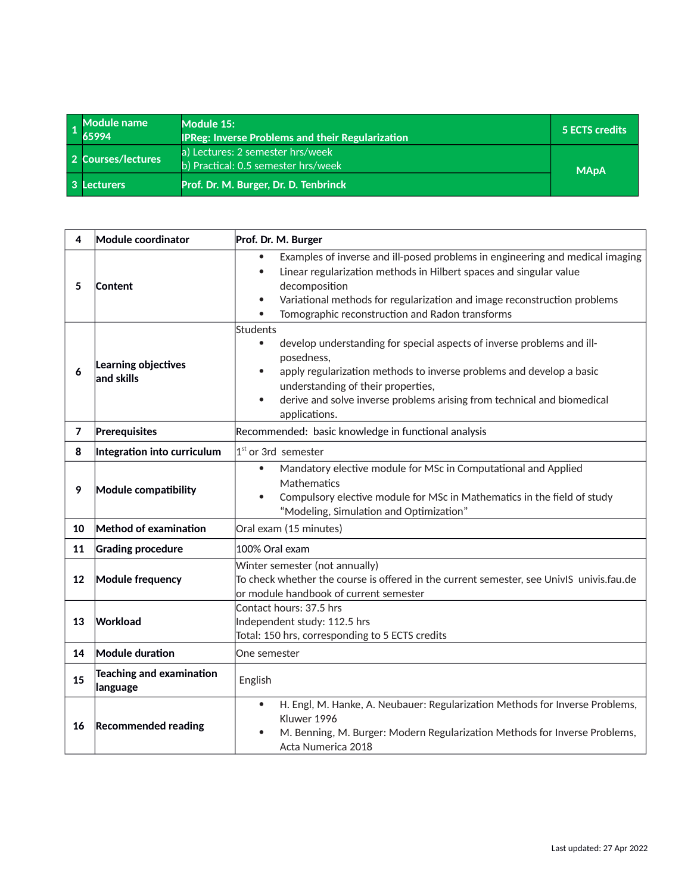<span id="page-32-0"></span>

| Module name<br>65994 | Module 15:<br><b>IPReg: Inverse Problems and their Regularization</b>   | 5 ECTS credits |
|----------------------|-------------------------------------------------------------------------|----------------|
| 2 Courses/lectures   | a) Lectures: 2 semester hrs/week<br>b) Practical: 0.5 semester hrs/week | <b>MApA</b>    |
| 3 Lecturers          | Prof. Dr. M. Burger, Dr. D. Tenbrinck                                   |                |

| 4  | Module coordinator                   | Prof. Dr. M. Burger                                                                                                                                                                                                                                                                                                                               |  |
|----|--------------------------------------|---------------------------------------------------------------------------------------------------------------------------------------------------------------------------------------------------------------------------------------------------------------------------------------------------------------------------------------------------|--|
| 5  | Content                              | Examples of inverse and ill-posed problems in engineering and medical imaging<br>Linear regularization methods in Hilbert spaces and singular value<br>$\bullet$<br>decomposition<br>Variational methods for regularization and image reconstruction problems<br>$\bullet$<br>Tomographic reconstruction and Radon transforms<br>$\bullet$        |  |
| 6  | Learning objectives<br>and skills    | Students<br>develop understanding for special aspects of inverse problems and ill-<br>$\bullet$<br>posedness,<br>apply regularization methods to inverse problems and develop a basic<br>$\bullet$<br>understanding of their properties,<br>derive and solve inverse problems arising from technical and biomedical<br>$\bullet$<br>applications. |  |
| 7  | Prerequisites                        | Recommended: basic knowledge in functional analysis                                                                                                                                                                                                                                                                                               |  |
| 8  | Integration into curriculum          | 1 <sup>st</sup> or 3rd semester                                                                                                                                                                                                                                                                                                                   |  |
| 9  | Module compatibility                 | Mandatory elective module for MSc in Computational and Applied<br>$\bullet$<br>Mathematics<br>Compulsory elective module for MSc in Mathematics in the field of study<br>$\bullet$<br>"Modeling, Simulation and Optimization"                                                                                                                     |  |
| 10 | Method of examination                | Oral exam (15 minutes)                                                                                                                                                                                                                                                                                                                            |  |
| 11 | <b>Grading procedure</b>             | 100% Oral exam                                                                                                                                                                                                                                                                                                                                    |  |
| 12 | <b>Module frequency</b>              | Winter semester (not annually)<br>To check whether the course is offered in the current semester, see UnivIS univis.fau.de<br>or module handbook of current semester                                                                                                                                                                              |  |
| 13 | Workload                             | Contact hours: 37.5 hrs<br>Independent study: 112.5 hrs<br>Total: 150 hrs, corresponding to 5 ECTS credits                                                                                                                                                                                                                                        |  |
| 14 | Module duration                      | One semester                                                                                                                                                                                                                                                                                                                                      |  |
| 15 | Teaching and examination<br>language | English                                                                                                                                                                                                                                                                                                                                           |  |
| 16 | <b>Recommended reading</b>           | H. Engl, M. Hanke, A. Neubauer: Regularization Methods for Inverse Problems,<br>$\bullet$<br>Kluwer 1996<br>M. Benning, M. Burger: Modern Regularization Methods for Inverse Problems,<br>٠<br>Acta Numerica 2018                                                                                                                                 |  |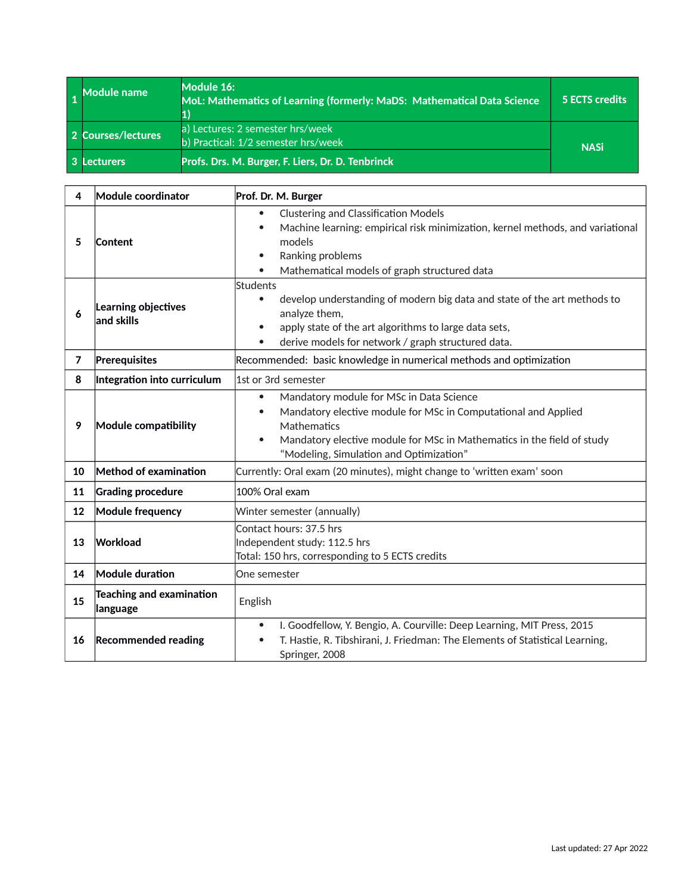<span id="page-33-0"></span>

| <b>Module name</b> | Module 16:<br>MoL: Mathematics of Learning (formerly: MaDS: Mathematical Data Science | <b>5 ECTS credits</b> |
|--------------------|---------------------------------------------------------------------------------------|-----------------------|
| 2 Courses/lectures | a) Lectures: 2 semester hrs/week '<br>b) Practical: 1/2 semester hrs/week             | <b>NASi</b>           |
| <b>Lecturers</b>   | Profs. Drs. M. Burger, F. Liers, Dr. D. Tenbrinck                                     |                       |

| 4              | Module coordinator                   | Prof. Dr. M. Burger                                                                                                                                                                                                                                                                   |  |
|----------------|--------------------------------------|---------------------------------------------------------------------------------------------------------------------------------------------------------------------------------------------------------------------------------------------------------------------------------------|--|
| 5              | Content                              | <b>Clustering and Classification Models</b><br>$\bullet$<br>Machine learning: empirical risk minimization, kernel methods, and variational<br>$\bullet$<br>models<br>Ranking problems<br>$\bullet$<br>Mathematical models of graph structured data                                    |  |
| 6              | Learning objectives<br>and skills    | Students<br>develop understanding of modern big data and state of the art methods to<br>$\bullet$<br>analyze them,<br>apply state of the art algorithms to large data sets,<br>$\bullet$<br>derive models for network / graph structured data.<br>$\bullet$                           |  |
| $\overline{7}$ | Prerequisites                        | Recommended: basic knowledge in numerical methods and optimization                                                                                                                                                                                                                    |  |
| 8              | Integration into curriculum          | 1st or 3rd semester                                                                                                                                                                                                                                                                   |  |
| 9              | Module compatibility                 | Mandatory module for MSc in Data Science<br>$\bullet$<br>Mandatory elective module for MSc in Computational and Applied<br>$\bullet$<br>Mathematics<br>Mandatory elective module for MSc in Mathematics in the field of study<br>$\bullet$<br>"Modeling, Simulation and Optimization" |  |
| 10             | Method of examination                | Currently: Oral exam (20 minutes), might change to 'written exam' soon                                                                                                                                                                                                                |  |
| 11             | <b>Grading procedure</b>             | 100% Oral exam                                                                                                                                                                                                                                                                        |  |
| 12             | <b>Module frequency</b>              | Winter semester (annually)                                                                                                                                                                                                                                                            |  |
| 13             | Workload                             | Contact hours: 37.5 hrs<br>Independent study: 112.5 hrs<br>Total: 150 hrs, corresponding to 5 ECTS credits                                                                                                                                                                            |  |
| 14             | Module duration                      | One semester                                                                                                                                                                                                                                                                          |  |
| 15             | Teaching and examination<br>language | English                                                                                                                                                                                                                                                                               |  |
| 16             | <b>Recommended reading</b>           | I. Goodfellow, Y. Bengio, A. Courville: Deep Learning, MIT Press, 2015<br>$\bullet$<br>T. Hastie, R. Tibshirani, J. Friedman: The Elements of Statistical Learning,<br>Springer, 2008                                                                                                 |  |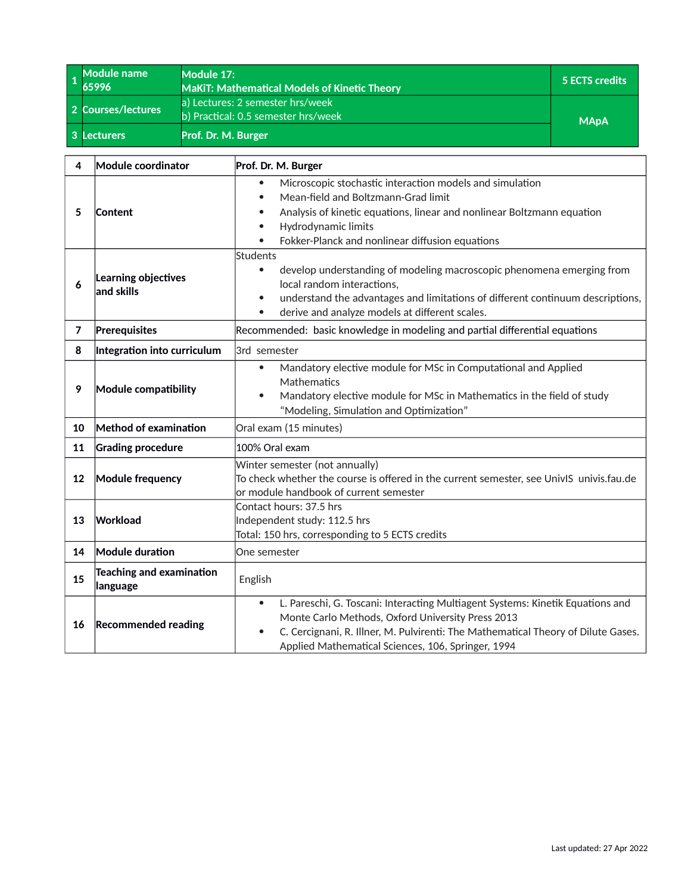<span id="page-34-0"></span>

| Module name<br>65996 | Module 17:<br><b>MaKIT: Mathematical Models of Kinetic Theory</b>       | 5 ECTS credits |
|----------------------|-------------------------------------------------------------------------|----------------|
| 2 Courses/lectures   | a) Lectures: 2 semester hrs/week<br>b) Practical: 0.5 semester hrs/week | <b>MApA</b>    |
| 3 Lecturers          | Prof. Dr. M. Burger                                                     |                |

| 4              | Module coordinator                    | Prof. Dr. M. Burger                                                                                                                                                                                                                                                                                      |  |
|----------------|---------------------------------------|----------------------------------------------------------------------------------------------------------------------------------------------------------------------------------------------------------------------------------------------------------------------------------------------------------|--|
| 5              | Content                               | Microscopic stochastic interaction models and simulation<br>$\bullet$<br>Mean-field and Boltzmann-Grad limit<br>$\bullet$<br>Analysis of kinetic equations, linear and nonlinear Boltzmann equation<br>$\bullet$<br>Hydrodynamic limits<br>$\bullet$<br>Fokker-Planck and nonlinear diffusion equations  |  |
| 6              | Learning objectives<br>$ $ and skills | Students<br>develop understanding of modeling macroscopic phenomena emerging from<br>$\bullet$<br>local random interactions,<br>understand the advantages and limitations of different continuum descriptions,<br>$\bullet$<br>derive and analyze models at different scales.<br>$\bullet$               |  |
| $\overline{7}$ | Prerequisites                         | Recommended: basic knowledge in modeling and partial differential equations                                                                                                                                                                                                                              |  |
| 8              | Integration into curriculum           | 3rd semester                                                                                                                                                                                                                                                                                             |  |
| 9              | Module compatibility                  | Mandatory elective module for MSc in Computational and Applied<br>$\bullet$<br>Mathematics<br>Mandatory elective module for MSc in Mathematics in the field of study<br>$\bullet$<br>"Modeling, Simulation and Optimization"                                                                             |  |
| 10             | Method of examination                 | Oral exam (15 minutes)                                                                                                                                                                                                                                                                                   |  |
| 11             | <b>Grading procedure</b>              | 100% Oral exam                                                                                                                                                                                                                                                                                           |  |
| 12             | <b>Module frequency</b>               | Winter semester (not annually)<br>To check whether the course is offered in the current semester, see UnivIS univis.fau.de<br>or module handbook of current semester                                                                                                                                     |  |
| 13             | Workload                              | Contact hours: 37.5 hrs<br>Independent study: 112.5 hrs<br>Total: 150 hrs, corresponding to 5 ECTS credits                                                                                                                                                                                               |  |
| 14             | Module duration                       | One semester                                                                                                                                                                                                                                                                                             |  |
| 15             | Teaching and examination<br>language  | English                                                                                                                                                                                                                                                                                                  |  |
| 16             | <b>Recommended reading</b>            | L. Pareschi, G. Toscani: Interacting Multiagent Systems: Kinetik Equations and<br>$\bullet$<br>Monte Carlo Methods, Oxford University Press 2013<br>C. Cercignani, R. Illner, M. Pulvirenti: The Mathematical Theory of Dilute Gases.<br>$\bullet$<br>Applied Mathematical Sciences, 106, Springer, 1994 |  |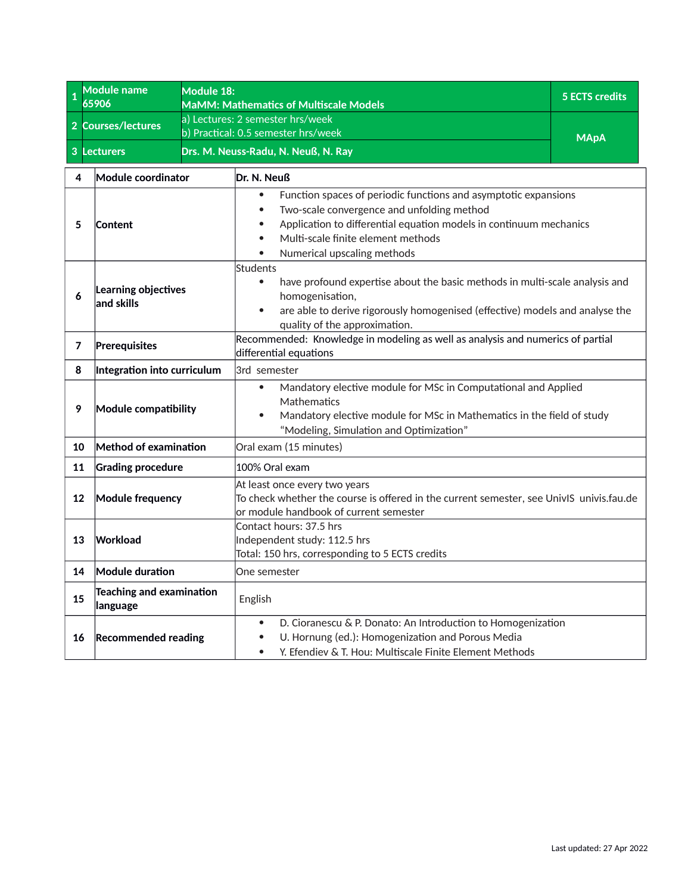<span id="page-35-0"></span>

| <b>Module name</b><br>Module 18:<br>$\mathbf{1}$<br>65906 |                                                                                                                           |  | MaMM: Mathematics of Multiscale Models                                                                                                                                                                                                                                                                       | 5 ECTS credits |
|-----------------------------------------------------------|---------------------------------------------------------------------------------------------------------------------------|--|--------------------------------------------------------------------------------------------------------------------------------------------------------------------------------------------------------------------------------------------------------------------------------------------------------------|----------------|
| $\overline{2}$                                            | <b>Courses/lectures</b>                                                                                                   |  | a) Lectures: 2 semester hrs/week                                                                                                                                                                                                                                                                             |                |
|                                                           |                                                                                                                           |  | b) Practical: 0.5 semester hrs/week                                                                                                                                                                                                                                                                          | <b>MApA</b>    |
| 3                                                         | <b>Lecturers</b>                                                                                                          |  | Drs. M. Neuss-Radu, N. Neuß, N. Ray                                                                                                                                                                                                                                                                          |                |
| 4                                                         | Module coordinator                                                                                                        |  | Dr. N. Neuß                                                                                                                                                                                                                                                                                                  |                |
| 5                                                         | Content<br>Learning objectives<br>6<br>and skills                                                                         |  | Function spaces of periodic functions and asymptotic expansions<br>$\bullet$<br>Two-scale convergence and unfolding method<br>$\bullet$<br>Application to differential equation models in continuum mechanics<br>$\bullet$<br>Multi-scale finite element methods<br>$\bullet$<br>Numerical upscaling methods |                |
|                                                           |                                                                                                                           |  | Students<br>have profound expertise about the basic methods in multi-scale analysis and<br>$\bullet$<br>homogenisation,<br>are able to derive rigorously homogenised (effective) models and analyse the<br>$\bullet$<br>quality of the approximation.                                                        |                |
| 7                                                         | Recommended: Knowledge in modeling as well as analysis and numerics of partial<br>Prerequisites<br>differential equations |  |                                                                                                                                                                                                                                                                                                              |                |
| 8                                                         | Integration into curriculum                                                                                               |  | 3rd semester                                                                                                                                                                                                                                                                                                 |                |
| 9                                                         | Module compatibility                                                                                                      |  | Mandatory elective module for MSc in Computational and Applied<br>$\bullet$<br>Mathematics<br>Mandatory elective module for MSc in Mathematics in the field of study<br>$\bullet$<br>"Modeling, Simulation and Optimization"                                                                                 |                |
| 10                                                        | Method of examination                                                                                                     |  | Oral exam (15 minutes)                                                                                                                                                                                                                                                                                       |                |
| 11                                                        | <b>Grading procedure</b>                                                                                                  |  | 100% Oral exam                                                                                                                                                                                                                                                                                               |                |
| 12                                                        | <b>Module frequency</b>                                                                                                   |  | At least once every two years<br>To check whether the course is offered in the current semester, see UnivIS univis.fau.de<br>or module handbook of current semester                                                                                                                                          |                |
| 13                                                        | Contact hours: 37.5 hrs<br>Workload<br>Independent study: 112.5 hrs<br>Total: 150 hrs, corresponding to 5 ECTS credits    |  |                                                                                                                                                                                                                                                                                                              |                |
| 14                                                        | Module duration                                                                                                           |  | One semester                                                                                                                                                                                                                                                                                                 |                |
| 15                                                        | Teaching and examination<br>language                                                                                      |  | English                                                                                                                                                                                                                                                                                                      |                |
| 16                                                        | <b>Recommended reading</b>                                                                                                |  | D. Cioranescu & P. Donato: An Introduction to Homogenization<br>$\bullet$<br>U. Hornung (ed.): Homogenization and Porous Media<br>$\bullet$<br>Y. Efendiev & T. Hou: Multiscale Finite Element Methods<br>$\bullet$                                                                                          |                |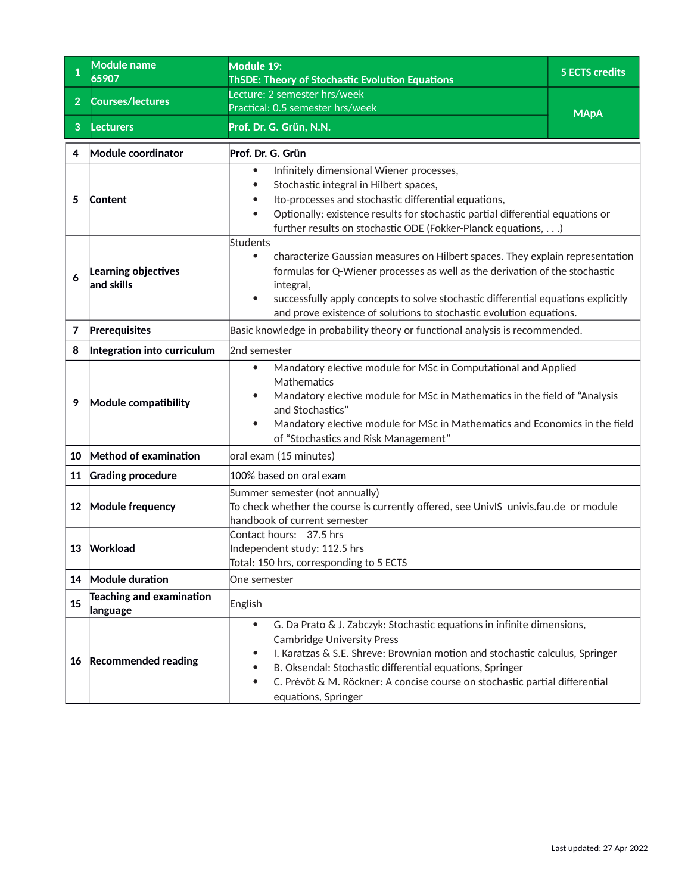<span id="page-36-0"></span>

| $\mathbf{1}$   | <b>Module name</b><br>65907                 | Module 19:<br><b>ThSDE: Theory of Stochastic Evolution Equations</b>                                                                                                                                                                                                                                                                                                                                 | <b>5 ECTS credits</b> |  |
|----------------|---------------------------------------------|------------------------------------------------------------------------------------------------------------------------------------------------------------------------------------------------------------------------------------------------------------------------------------------------------------------------------------------------------------------------------------------------------|-----------------------|--|
| 2 <sup>1</sup> | <b>Courses/lectures</b>                     | Lecture: 2 semester hrs/week                                                                                                                                                                                                                                                                                                                                                                         |                       |  |
| 3              |                                             | Practical: 0.5 semester hrs/week<br>Prof. Dr. G. Grün, N.N.                                                                                                                                                                                                                                                                                                                                          | <b>MApA</b>           |  |
|                | <b>Lecturers</b>                            |                                                                                                                                                                                                                                                                                                                                                                                                      |                       |  |
| 4              | Module coordinator                          | Prof. Dr. G. Grün                                                                                                                                                                                                                                                                                                                                                                                    |                       |  |
| 5              | <b>Content</b>                              | Infinitely dimensional Wiener processes,<br>Stochastic integral in Hilbert spaces,<br>Ito-processes and stochastic differential equations,<br>Optionally: existence results for stochastic partial differential equations or<br>further results on stochastic ODE (Fokker-Planck equations,)                                                                                                         |                       |  |
| 6              | Learning objectives<br>$ $ and skills       | Students<br>characterize Gaussian measures on Hilbert spaces. They explain representation<br>$\bullet$<br>formulas for Q-Wiener processes as well as the derivation of the stochastic<br>integral,<br>successfully apply concepts to solve stochastic differential equations explicitly<br>and prove existence of solutions to stochastic evolution equations.                                       |                       |  |
| 7              | Prerequisites                               | Basic knowledge in probability theory or functional analysis is recommended.                                                                                                                                                                                                                                                                                                                         |                       |  |
| 8              | Integration into curriculum                 | 2nd semester                                                                                                                                                                                                                                                                                                                                                                                         |                       |  |
| 9              | <b>Module compatibility</b>                 | Mandatory elective module for MSc in Computational and Applied<br>$\bullet$<br>Mathematics<br>Mandatory elective module for MSc in Mathematics in the field of "Analysis<br>$\bullet$<br>and Stochastics"<br>Mandatory elective module for MSc in Mathematics and Economics in the field<br>of "Stochastics and Risk Management"                                                                     |                       |  |
| 10             | Method of examination                       | oral exam (15 minutes)                                                                                                                                                                                                                                                                                                                                                                               |                       |  |
| 11             | <b>Grading procedure</b>                    | 100% based on oral exam                                                                                                                                                                                                                                                                                                                                                                              |                       |  |
| 12             | Module frequency                            | Summer semester (not annually)<br>To check whether the course is currently offered, see UnivIS univis.fau.de or module<br>handbook of current semester                                                                                                                                                                                                                                               |                       |  |
| 13             | Workload                                    | Contact hours: 37.5 hrs<br>Independent study: 112.5 hrs<br>Total: 150 hrs, corresponding to 5 ECTS                                                                                                                                                                                                                                                                                                   |                       |  |
| 14             | Module duration                             | One semester                                                                                                                                                                                                                                                                                                                                                                                         |                       |  |
| 15             | <b>Teaching and examination</b><br>language | English                                                                                                                                                                                                                                                                                                                                                                                              |                       |  |
| 16             | <b>Recommended reading</b>                  | G. Da Prato & J. Zabczyk: Stochastic equations in infinite dimensions,<br>$\bullet$<br><b>Cambridge University Press</b><br>I. Karatzas & S.E. Shreve: Brownian motion and stochastic calculus, Springer<br>$\bullet$<br>B. Oksendal: Stochastic differential equations, Springer<br>C. Prévôt & M. Röckner: A concise course on stochastic partial differential<br>$\bullet$<br>equations, Springer |                       |  |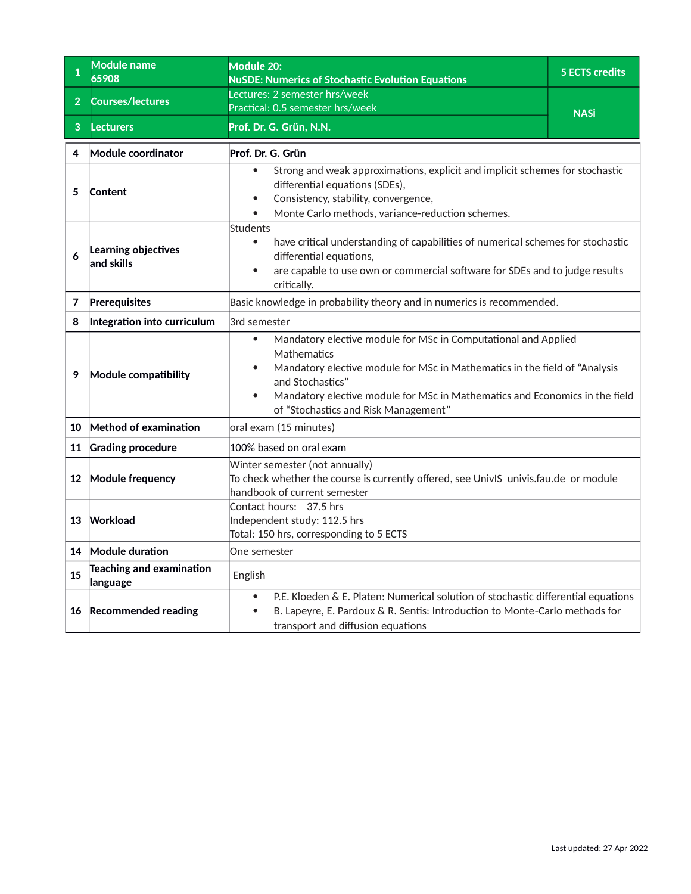<span id="page-37-0"></span>

|                | <b>Module name</b><br>65908          | <b>Module 20:</b><br><b>NuSDE: Numerics of Stochastic Evolution Equations</b>                                                                                                                                                                                                                                       | <b>5 ECTS credits</b> |  |
|----------------|--------------------------------------|---------------------------------------------------------------------------------------------------------------------------------------------------------------------------------------------------------------------------------------------------------------------------------------------------------------------|-----------------------|--|
| 2 <sup>1</sup> | <b>Courses/lectures</b>              | Lectures: 2 semester hrs/week                                                                                                                                                                                                                                                                                       |                       |  |
|                |                                      | Practical: 0.5 semester hrs/week                                                                                                                                                                                                                                                                                    | <b>NASi</b>           |  |
| 3              | <b>Lecturers</b>                     | Prof. Dr. G. Grün, N.N.                                                                                                                                                                                                                                                                                             |                       |  |
| 4              | Module coordinator                   | Prof. Dr. G. Grün                                                                                                                                                                                                                                                                                                   |                       |  |
| 5              | Content                              | Strong and weak approximations, explicit and implicit schemes for stochastic<br>differential equations (SDEs),<br>Consistency, stability, convergence,<br>Monte Carlo methods, variance-reduction schemes.                                                                                                          |                       |  |
| 6              | Learning objectives<br>and skills    | <b>Students</b><br>have critical understanding of capabilities of numerical schemes for stochastic<br>$\bullet$<br>differential equations,<br>are capable to use own or commercial software for SDEs and to judge results<br>critically.                                                                            |                       |  |
| 7              | Prerequisites                        | Basic knowledge in probability theory and in numerics is recommended.                                                                                                                                                                                                                                               |                       |  |
| 8              | Integration into curriculum          | 3rd semester                                                                                                                                                                                                                                                                                                        |                       |  |
| 9              | Module compatibility                 | Mandatory elective module for MSc in Computational and Applied<br>Mathematics<br>Mandatory elective module for MSc in Mathematics in the field of "Analysis<br>and Stochastics"<br>Mandatory elective module for MSc in Mathematics and Economics in the field<br>$\bullet$<br>of "Stochastics and Risk Management" |                       |  |
| 10             | Method of examination                | oral exam (15 minutes)                                                                                                                                                                                                                                                                                              |                       |  |
| 11             | <b>Grading procedure</b>             | 100% based on oral exam                                                                                                                                                                                                                                                                                             |                       |  |
|                | 12 Module frequency                  | Winter semester (not annually)<br>To check whether the course is currently offered, see UnivIS univis.fau.de or module<br>handbook of current semester                                                                                                                                                              |                       |  |
| 13             | Workload                             | Contact hours: 37.5 hrs<br>Independent study: 112.5 hrs<br>Total: 150 hrs, corresponding to 5 ECTS                                                                                                                                                                                                                  |                       |  |
| 14             | Module duration                      | One semester                                                                                                                                                                                                                                                                                                        |                       |  |
| 15             | Teaching and examination<br>language | English                                                                                                                                                                                                                                                                                                             |                       |  |
|                | 16 Recommended reading               | P.E. Kloeden & E. Platen: Numerical solution of stochastic differential equations<br>$\bullet$<br>B. Lapeyre, E. Pardoux & R. Sentis: Introduction to Monte-Carlo methods for<br>transport and diffusion equations                                                                                                  |                       |  |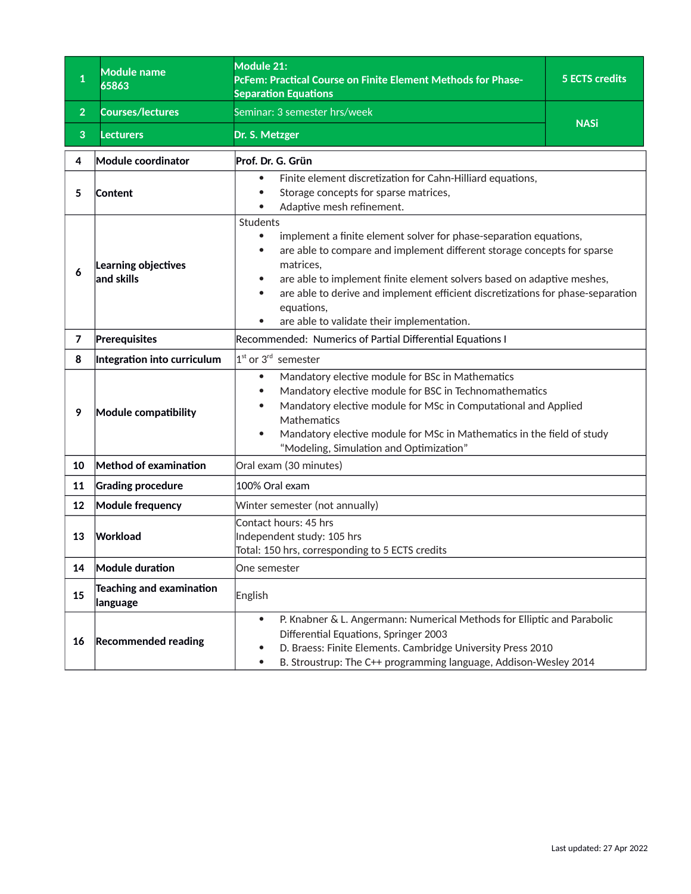<span id="page-38-0"></span>

| $\mathbf{1}$   | Module name<br>65863                               | Module 21:<br>PcFem: Practical Course on Finite Element Methods for Phase-<br><b>Separation Equations</b>                                                                                                                                                                                                                                                                                                                                                       | 5 ECTS credits |  |
|----------------|----------------------------------------------------|-----------------------------------------------------------------------------------------------------------------------------------------------------------------------------------------------------------------------------------------------------------------------------------------------------------------------------------------------------------------------------------------------------------------------------------------------------------------|----------------|--|
| $\overline{2}$ | <b>Courses/lectures</b>                            | Seminar: 3 semester hrs/week                                                                                                                                                                                                                                                                                                                                                                                                                                    |                |  |
| 3              | <b>Lecturers</b>                                   | Dr. S. Metzger                                                                                                                                                                                                                                                                                                                                                                                                                                                  | <b>NASi</b>    |  |
| 4              | Module coordinator                                 | Prof. Dr. G. Grün                                                                                                                                                                                                                                                                                                                                                                                                                                               |                |  |
| 5              | Content                                            | Finite element discretization for Cahn-Hilliard equations,<br>$\bullet$<br>Storage concepts for sparse matrices,<br>$\bullet$<br>Adaptive mesh refinement.                                                                                                                                                                                                                                                                                                      |                |  |
| 6              | Learning objectives<br>and skills                  | Students<br>implement a finite element solver for phase-separation equations,<br>$\bullet$<br>are able to compare and implement different storage concepts for sparse<br>$\bullet$<br>matrices,<br>are able to implement finite element solvers based on adaptive meshes,<br>$\bullet$<br>are able to derive and implement efficient discretizations for phase-separation<br>$\bullet$<br>equations,<br>are able to validate their implementation.<br>$\bullet$ |                |  |
| $\overline{7}$ | Prerequisites                                      | Recommended: Numerics of Partial Differential Equations I                                                                                                                                                                                                                                                                                                                                                                                                       |                |  |
| 8              | Integration into curriculum                        | $1st$ or 3 <sup>rd</sup> semester                                                                                                                                                                                                                                                                                                                                                                                                                               |                |  |
| 9              | Module compatibility                               | Mandatory elective module for BSc in Mathematics<br>$\bullet$<br>Mandatory elective module for BSC in Technomathematics<br>$\bullet$<br>Mandatory elective module for MSc in Computational and Applied<br>$\bullet$<br>Mathematics<br>Mandatory elective module for MSc in Mathematics in the field of study<br>$\bullet$<br>"Modeling, Simulation and Optimization"                                                                                            |                |  |
| 10             | Method of examination                              | Oral exam (30 minutes)                                                                                                                                                                                                                                                                                                                                                                                                                                          |                |  |
| 11             | <b>Grading procedure</b>                           | 100% Oral exam                                                                                                                                                                                                                                                                                                                                                                                                                                                  |                |  |
| 12             | Module frequency                                   | Winter semester (not annually)                                                                                                                                                                                                                                                                                                                                                                                                                                  |                |  |
| 13             | Workload                                           | Contact hours: 45 hrs<br>Independent study: 105 hrs<br>Total: 150 hrs, corresponding to 5 ECTS credits                                                                                                                                                                                                                                                                                                                                                          |                |  |
| 14             | Module duration                                    | One semester                                                                                                                                                                                                                                                                                                                                                                                                                                                    |                |  |
| 15             | <b>Teaching and examination</b><br><b>language</b> | English                                                                                                                                                                                                                                                                                                                                                                                                                                                         |                |  |
| 16             | <b>Recommended reading</b>                         | P. Knabner & L. Angermann: Numerical Methods for Elliptic and Parabolic<br>$\bullet$<br>Differential Equations, Springer 2003<br>D. Braess: Finite Elements. Cambridge University Press 2010<br>$\bullet$<br>B. Stroustrup: The C++ programming language, Addison-Wesley 2014<br>$\bullet$                                                                                                                                                                      |                |  |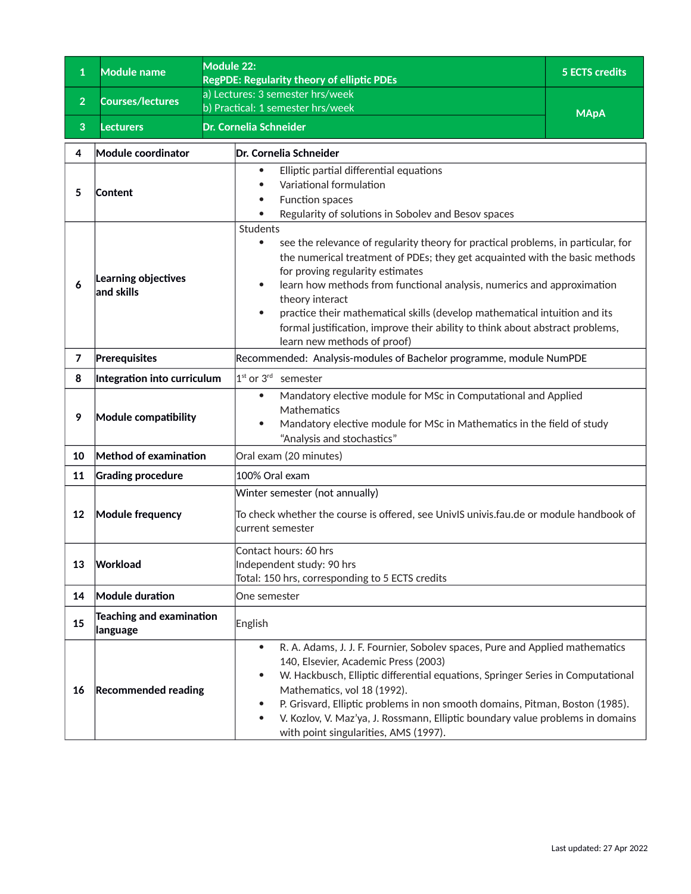<span id="page-39-0"></span>

| 1              | <b>Module name</b>                    | Module 22:<br><b>RegPDE: Regularity theory of elliptic PDEs</b>                                                                                                                                                                                                                                                                                                                                                                                                                                                                                    | <b>5 ECTS credits</b> |  |
|----------------|---------------------------------------|----------------------------------------------------------------------------------------------------------------------------------------------------------------------------------------------------------------------------------------------------------------------------------------------------------------------------------------------------------------------------------------------------------------------------------------------------------------------------------------------------------------------------------------------------|-----------------------|--|
| $\overline{2}$ | <b>Courses/lectures</b>               | a) Lectures: 3 semester hrs/week<br>b) Practical: 1 semester hrs/week                                                                                                                                                                                                                                                                                                                                                                                                                                                                              |                       |  |
| 3              | <b>Lecturers</b>                      | Dr. Cornelia Schneider                                                                                                                                                                                                                                                                                                                                                                                                                                                                                                                             | <b>MApA</b>           |  |
| 4              | Module coordinator                    | Dr. Cornelia Schneider                                                                                                                                                                                                                                                                                                                                                                                                                                                                                                                             |                       |  |
| 5              | Content                               | Elliptic partial differential equations<br>Variational formulation<br>$\bullet$<br>Function spaces<br>Regularity of solutions in Sobolev and Besov spaces<br>$\bullet$                                                                                                                                                                                                                                                                                                                                                                             |                       |  |
| 6              | Learning objectives<br>$ $ and skills | Students<br>see the relevance of regularity theory for practical problems, in particular, for<br>$\bullet$<br>the numerical treatment of PDEs; they get acquainted with the basic methods<br>for proving regularity estimates<br>learn how methods from functional analysis, numerics and approximation<br>$\bullet$<br>theory interact<br>practice their mathematical skills (develop mathematical intuition and its<br>$\bullet$<br>formal justification, improve their ability to think about abstract problems,<br>learn new methods of proof) |                       |  |
| $\overline{7}$ | Prerequisites                         | Recommended: Analysis-modules of Bachelor programme, module NumPDE                                                                                                                                                                                                                                                                                                                                                                                                                                                                                 |                       |  |
| 8              | Integration into curriculum           | $1st$ or 3 <sup>rd</sup> semester                                                                                                                                                                                                                                                                                                                                                                                                                                                                                                                  |                       |  |
| 9              | Module compatibility                  | Mandatory elective module for MSc in Computational and Applied<br>$\bullet$<br>Mathematics<br>Mandatory elective module for MSc in Mathematics in the field of study<br>$\bullet$<br>"Analysis and stochastics"                                                                                                                                                                                                                                                                                                                                    |                       |  |
| 10             | Method of examination                 | Oral exam (20 minutes)                                                                                                                                                                                                                                                                                                                                                                                                                                                                                                                             |                       |  |
| 11             | <b>Grading procedure</b>              | 100% Oral exam                                                                                                                                                                                                                                                                                                                                                                                                                                                                                                                                     |                       |  |
| 12             | <b>Module frequency</b>               | Winter semester (not annually)<br>To check whether the course is offered, see UnivIS univis.fau.de or module handbook of<br>current semester                                                                                                                                                                                                                                                                                                                                                                                                       |                       |  |
| 13             | Workload                              | Contact hours: 60 hrs<br>Independent study: 90 hrs<br>Total: 150 hrs, corresponding to 5 ECTS credits                                                                                                                                                                                                                                                                                                                                                                                                                                              |                       |  |
| 14             | <b>Module duration</b>                | One semester                                                                                                                                                                                                                                                                                                                                                                                                                                                                                                                                       |                       |  |
| 15             | Teaching and examination<br> language | English                                                                                                                                                                                                                                                                                                                                                                                                                                                                                                                                            |                       |  |
| 16             | <b>Recommended reading</b>            | R. A. Adams, J. J. F. Fournier, Sobolev spaces, Pure and Applied mathematics<br>$\bullet$<br>140, Elsevier, Academic Press (2003)<br>W. Hackbusch, Elliptic differential equations, Springer Series in Computational<br>$\bullet$<br>Mathematics, vol 18 (1992).<br>P. Grisvard, Elliptic problems in non smooth domains, Pitman, Boston (1985).<br>$\bullet$<br>V. Kozlov, V. Maz'ya, J. Rossmann, Elliptic boundary value problems in domains<br>$\bullet$<br>with point singularities, AMS (1997).                                              |                       |  |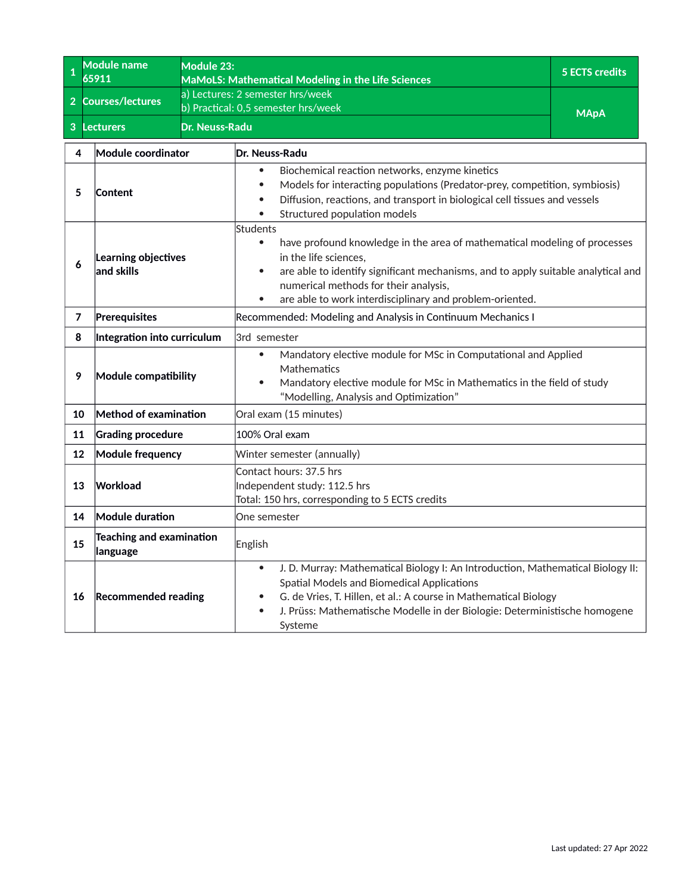<span id="page-40-0"></span>

| $\mathbf{1}$                                     | <b>Module name</b><br>65911                 | Module 23:     | <b>MaMoLS: Mathematical Modeling in the Life Sciences</b>                                                                                                                                                                                                                                                                                       | <b>5 ECTS credits</b> |  |
|--------------------------------------------------|---------------------------------------------|----------------|-------------------------------------------------------------------------------------------------------------------------------------------------------------------------------------------------------------------------------------------------------------------------------------------------------------------------------------------------|-----------------------|--|
| $\overline{2}$                                   | <b>Courses/lectures</b>                     |                | a) Lectures: 2 semester hrs/week<br>b) Practical: 0,5 semester hrs/week                                                                                                                                                                                                                                                                         | <b>MApA</b>           |  |
| 3 <sup>2</sup>                                   | <b>Lecturers</b>                            | Dr. Neuss-Radu |                                                                                                                                                                                                                                                                                                                                                 |                       |  |
| 4                                                | Module coordinator                          |                | Dr. Neuss-Radu                                                                                                                                                                                                                                                                                                                                  |                       |  |
| 5                                                | Content                                     |                | Biochemical reaction networks, enzyme kinetics<br>$\bullet$<br>Models for interacting populations (Predator-prey, competition, symbiosis)<br>$\bullet$<br>Diffusion, reactions, and transport in biological cell tissues and vessels<br>$\bullet$<br>Structured population models                                                               |                       |  |
| 6                                                | Learning objectives<br>and skills           |                | Students<br>have profound knowledge in the area of mathematical modeling of processes<br>$\bullet$<br>in the life sciences.<br>are able to identify significant mechanisms, and to apply suitable analytical and<br>$\bullet$<br>numerical methods for their analysis,<br>are able to work interdisciplinary and problem-oriented.<br>$\bullet$ |                       |  |
| 7                                                | Prerequisites                               |                | Recommended: Modeling and Analysis in Continuum Mechanics I                                                                                                                                                                                                                                                                                     |                       |  |
| 8<br>Integration into curriculum<br>3rd semester |                                             |                |                                                                                                                                                                                                                                                                                                                                                 |                       |  |
| 9                                                | Module compatibility                        |                | Mandatory elective module for MSc in Computational and Applied<br>$\bullet$<br>Mathematics<br>Mandatory elective module for MSc in Mathematics in the field of study<br>$\bullet$<br>"Modelling, Analysis and Optimization"                                                                                                                     |                       |  |
| 10                                               | Method of examination                       |                | Oral exam (15 minutes)                                                                                                                                                                                                                                                                                                                          |                       |  |
| 11                                               | <b>Grading procedure</b>                    |                | 100% Oral exam                                                                                                                                                                                                                                                                                                                                  |                       |  |
| 12                                               | <b>Module frequency</b>                     |                | Winter semester (annually)                                                                                                                                                                                                                                                                                                                      |                       |  |
| 13                                               | Workload                                    |                | Contact hours: 37.5 hrs<br>Independent study: 112.5 hrs<br>Total: 150 hrs, corresponding to 5 ECTS credits                                                                                                                                                                                                                                      |                       |  |
| 14                                               | Module duration                             |                | One semester                                                                                                                                                                                                                                                                                                                                    |                       |  |
| 15                                               | <b>Teaching and examination</b><br>language |                | English                                                                                                                                                                                                                                                                                                                                         |                       |  |
| 16                                               | <b>Recommended reading</b>                  |                | J. D. Murray: Mathematical Biology I: An Introduction, Mathematical Biology II:<br>$\bullet$<br>Spatial Models and Biomedical Applications<br>G. de Vries, T. Hillen, et al.: A course in Mathematical Biology<br>$\bullet$<br>J. Prüss: Mathematische Modelle in der Biologie: Deterministische homogene<br>$\bullet$<br>Systeme               |                       |  |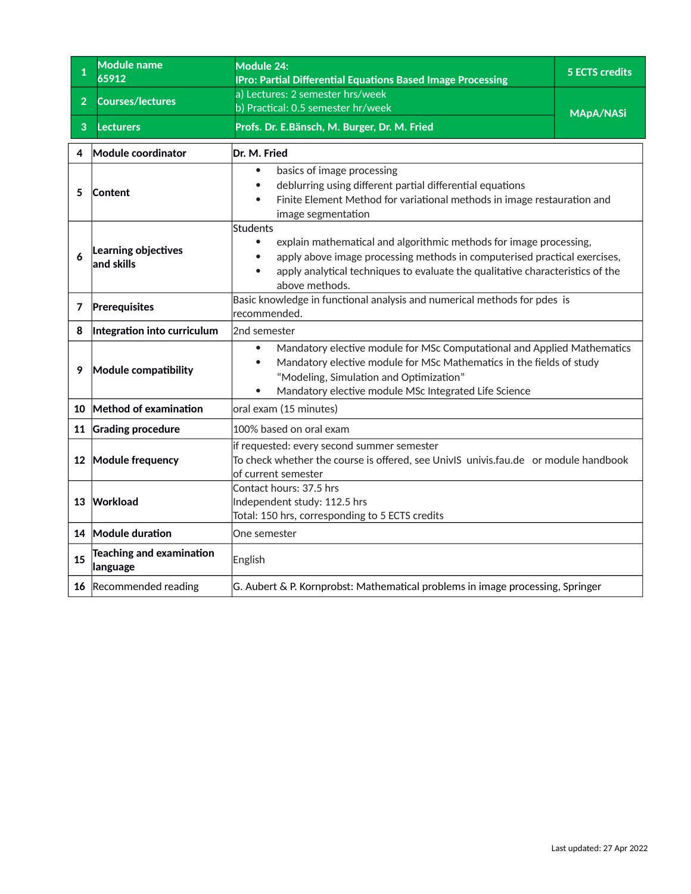<span id="page-41-0"></span>

| $\mathbf{1}$   | <b>Module name</b><br>65912                 | Module 24:<br><b>IPro: Partial Differential Equations Based Image Processing</b>                                                                                                                                                                                                           | <b>5 ECTS credits</b> |
|----------------|---------------------------------------------|--------------------------------------------------------------------------------------------------------------------------------------------------------------------------------------------------------------------------------------------------------------------------------------------|-----------------------|
| 2 <sup>1</sup> | <b>Courses/lectures</b>                     | a) Lectures: 2 semester hrs/week<br>b) Practical: 0.5 semester hr/week                                                                                                                                                                                                                     | <b>MApA/NASi</b>      |
| 3              | <b>Lecturers</b>                            | Profs. Dr. E.Bänsch, M. Burger, Dr. M. Fried                                                                                                                                                                                                                                               |                       |
| 4              | Module coordinator                          | Dr. M. Fried                                                                                                                                                                                                                                                                               |                       |
| 5              | Content                                     | basics of image processing<br>$\bullet$<br>deblurring using different partial differential equations<br>Finite Element Method for variational methods in image restauration and<br>image segmentation                                                                                      |                       |
| 6              | Learning objectives<br>and skills           | Students<br>explain mathematical and algorithmic methods for image processing,<br>apply above image processing methods in computerised practical exercises,<br>apply analytical techniques to evaluate the qualitative characteristics of the<br>$\bullet$<br>above methods.               |                       |
| 7              | Prerequisites                               | Basic knowledge in functional analysis and numerical methods for pdes is<br>recommended.                                                                                                                                                                                                   |                       |
| 8              | Integration into curriculum                 | 2nd semester                                                                                                                                                                                                                                                                               |                       |
| 9              | Module compatibility                        | Mandatory elective module for MSc Computational and Applied Mathematics<br>$\bullet$<br>Mandatory elective module for MSc Mathematics in the fields of study<br>$\bullet$<br>"Modeling, Simulation and Optimization"<br>Mandatory elective module MSc Integrated Life Science<br>$\bullet$ |                       |
| 10             | Method of examination                       | oral exam (15 minutes)                                                                                                                                                                                                                                                                     |                       |
|                | 11 Grading procedure                        | 100% based on oral exam                                                                                                                                                                                                                                                                    |                       |
|                | 12 Module frequency                         | if requested: every second summer semester<br>To check whether the course is offered, see UnivIS univis.fau.de or module handbook<br>of current semester                                                                                                                                   |                       |
| 13             | Workload                                    | Contact hours: 37.5 hrs<br>Independent study: 112.5 hrs<br>Total: 150 hrs, corresponding to 5 ECTS credits                                                                                                                                                                                 |                       |
|                | 14 Module duration                          | One semester                                                                                                                                                                                                                                                                               |                       |
| 15             | <b>Teaching and examination</b><br>language | English                                                                                                                                                                                                                                                                                    |                       |
|                | 16 Recommended reading                      | G. Aubert & P. Kornprobst: Mathematical problems in image processing, Springer                                                                                                                                                                                                             |                       |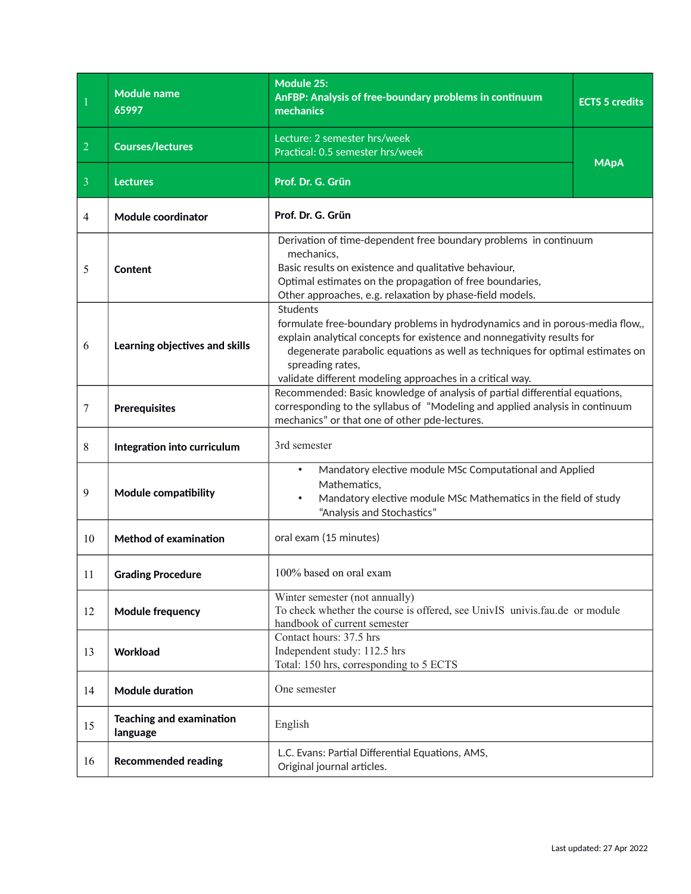<span id="page-42-0"></span>

|                | <b>Module name</b><br>65997                            | <b>Module 25:</b><br>AnFBP: Analysis of free-boundary problems in continuum<br>mechanics                                                                                                                                                                                                                                                     | <b>ECTS 5 credits</b> |  |
|----------------|--------------------------------------------------------|----------------------------------------------------------------------------------------------------------------------------------------------------------------------------------------------------------------------------------------------------------------------------------------------------------------------------------------------|-----------------------|--|
| $\overline{2}$ | <b>Courses/lectures</b>                                | Lecture: 2 semester hrs/week<br>Practical: 0.5 semester hrs/week                                                                                                                                                                                                                                                                             | <b>MApA</b>           |  |
| $\overline{3}$ | <b>Lectures</b>                                        | Prof. Dr. G. Grün                                                                                                                                                                                                                                                                                                                            |                       |  |
| 4              | <b>Module coordinator</b>                              | Prof. Dr. G. Grün                                                                                                                                                                                                                                                                                                                            |                       |  |
| 5              | Content                                                | Derivation of time-dependent free boundary problems in continuum<br>mechanics,<br>Basic results on existence and qualitative behaviour,<br>Optimal estimates on the propagation of free boundaries,<br>Other approaches, e.g. relaxation by phase-field models.                                                                              |                       |  |
| 6              | Learning objectives and skills                         | <b>Students</b><br>formulate free-boundary problems in hydrodynamics and in porous-media flow,,<br>explain analytical concepts for existence and nonnegativity results for<br>degenerate parabolic equations as well as techniques for optimal estimates on<br>spreading rates,<br>validate different modeling approaches in a critical way. |                       |  |
| 7              | <b>Prerequisites</b>                                   | Recommended: Basic knowledge of analysis of partial differential equations,<br>corresponding to the syllabus of "Modeling and applied analysis in continuum<br>mechanics" or that one of other pde-lectures.                                                                                                                                 |                       |  |
| 8              | Integration into curriculum                            | 3rd semester                                                                                                                                                                                                                                                                                                                                 |                       |  |
| 9              | Module compatibility                                   | Mandatory elective module MSc Computational and Applied<br>$\bullet$<br>Mathematics,<br>Mandatory elective module MSc Mathematics in the field of study<br>$\bullet$<br>"Analysis and Stochastics"                                                                                                                                           |                       |  |
| 10             | <b>Method of examination</b>                           | oral exam (15 minutes)                                                                                                                                                                                                                                                                                                                       |                       |  |
| 11             | <b>Grading Procedure</b>                               | 100% based on oral exam                                                                                                                                                                                                                                                                                                                      |                       |  |
| 12             | <b>Module frequency</b>                                | Winter semester (not annually)<br>To check whether the course is offered, see UnivIS univis.fau.de or module<br>handbook of current semester                                                                                                                                                                                                 |                       |  |
| 13             | Workload                                               | Contact hours: 37.5 hrs<br>Independent study: 112.5 hrs<br>Total: 150 hrs, corresponding to 5 ECTS                                                                                                                                                                                                                                           |                       |  |
| 14             | <b>Module duration</b>                                 | One semester                                                                                                                                                                                                                                                                                                                                 |                       |  |
| 15             | <b>Teaching and examination</b><br>English<br>language |                                                                                                                                                                                                                                                                                                                                              |                       |  |
| 16             | <b>Recommended reading</b>                             | L.C. Evans: Partial Differential Equations, AMS,<br>Original journal articles.                                                                                                                                                                                                                                                               |                       |  |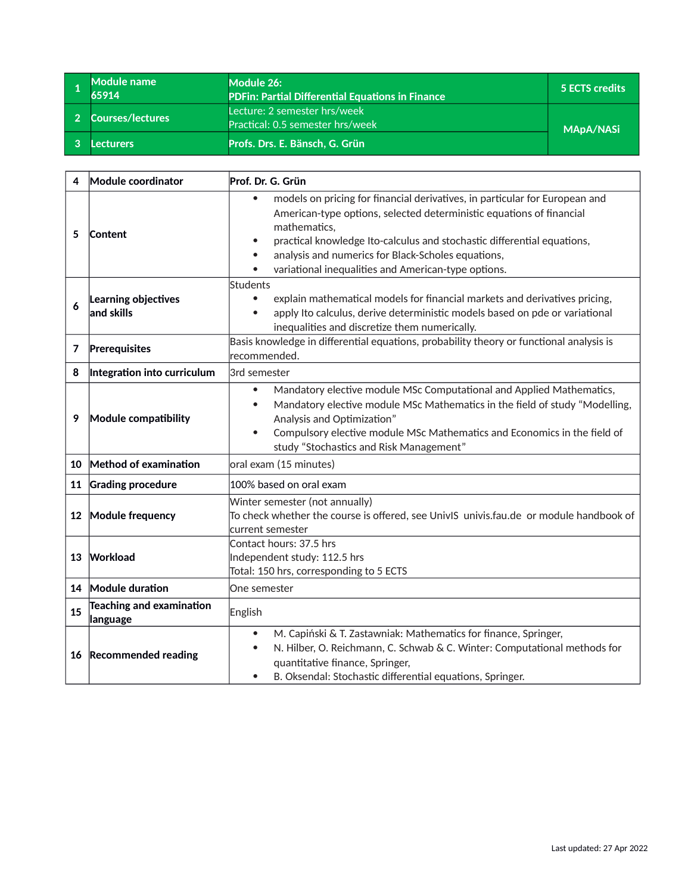<span id="page-43-0"></span>

| <b>Module name</b><br>65914 | Module 26:<br><b>PDFin: Partial Differential Equations in Finance</b> | 5 ECTS credits   |
|-----------------------------|-----------------------------------------------------------------------|------------------|
| 2 Courses/lectures          | Lecture: 2 semester hrs/week<br>Practical: 0.5 semester hrs/week      | <b>MApA/NASi</b> |
| Lecturers                   | Profs. Drs. E. Bänsch, G. Grün                                        |                  |

| 4       | Module coordinator                          | Prof. Dr. G. Grün                                                                                                                                                                                                                                                                                                                                                                     |  |
|---------|---------------------------------------------|---------------------------------------------------------------------------------------------------------------------------------------------------------------------------------------------------------------------------------------------------------------------------------------------------------------------------------------------------------------------------------------|--|
| 5       | Content                                     | models on pricing for financial derivatives, in particular for European and<br>$\bullet$<br>American-type options, selected deterministic equations of financial<br>mathematics,<br>practical knowledge Ito-calculus and stochastic differential equations,<br>$\bullet$<br>analysis and numerics for Black-Scholes equations,<br>variational inequalities and American-type options. |  |
| 6       | Learning objectives<br>$ $ and skills       | Students<br>explain mathematical models for financial markets and derivatives pricing,<br>apply Ito calculus, derive deterministic models based on pde or variational<br>$\bullet$<br>inequalities and discretize them numerically.                                                                                                                                                   |  |
| 7       | Prerequisites                               | Basis knowledge in differential equations, probability theory or functional analysis is<br>recommended.                                                                                                                                                                                                                                                                               |  |
| 8       | Integration into curriculum                 | 3rd semester                                                                                                                                                                                                                                                                                                                                                                          |  |
| 9       | Module compatibility                        | Mandatory elective module MSc Computational and Applied Mathematics,<br>$\bullet$<br>Mandatory elective module MSc Mathematics in the field of study "Modelling,<br>$\bullet$<br>Analysis and Optimization"<br>Compulsory elective module MSc Mathematics and Economics in the field of<br>$\bullet$<br>study "Stochastics and Risk Management"                                       |  |
| 10      | Method of examination                       | oral exam (15 minutes)                                                                                                                                                                                                                                                                                                                                                                |  |
| 11      | <b>Grading procedure</b>                    | 100% based on oral exam                                                                                                                                                                                                                                                                                                                                                               |  |
| $12 \,$ | Module frequency                            | Winter semester (not annually)<br>To check whether the course is offered, see UnivIS univis.fau.de or module handbook of<br>current semester                                                                                                                                                                                                                                          |  |
| 13      | Workload                                    | Contact hours: 37.5 hrs<br>Independent study: 112.5 hrs<br>Total: 150 hrs, corresponding to 5 ECTS                                                                                                                                                                                                                                                                                    |  |
| 14      | Module duration                             | One semester                                                                                                                                                                                                                                                                                                                                                                          |  |
| 15      | <b>Teaching and examination</b><br>language | English                                                                                                                                                                                                                                                                                                                                                                               |  |
| 16      | <b>Recommended reading</b>                  | M. Capiński & T. Zastawniak: Mathematics for finance, Springer,<br>$\bullet$<br>N. Hilber, O. Reichmann, C. Schwab & C. Winter: Computational methods for<br>$\bullet$<br>quantitative finance, Springer,<br>B. Oksendal: Stochastic differential equations, Springer.<br>$\bullet$                                                                                                   |  |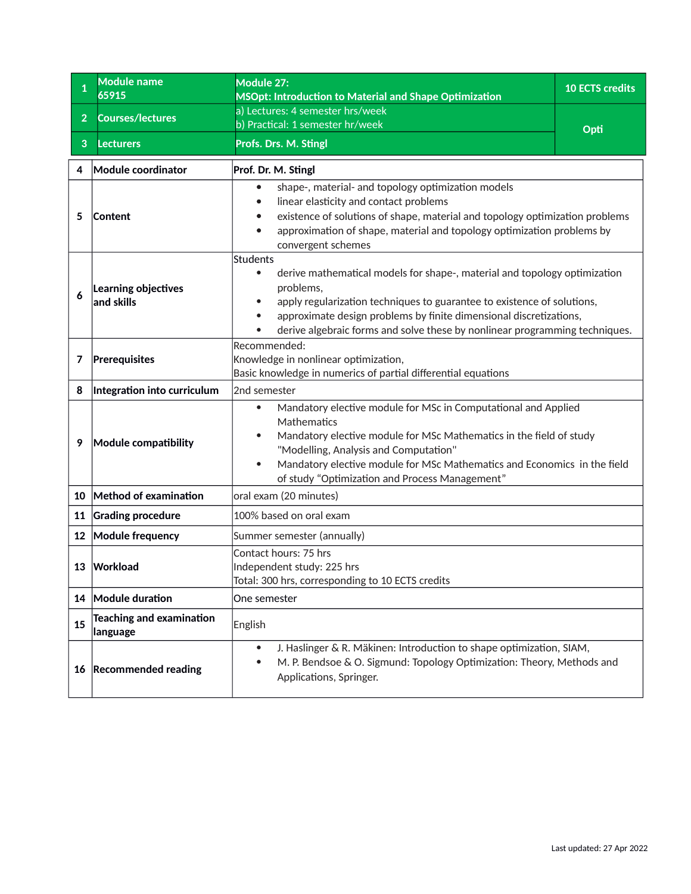<span id="page-44-0"></span>

| $\mathbf{1}$   | <b>Module name</b><br>65915                 | Module 27:<br>MSOpt: Introduction to Material and Shape Optimization                                                                                                                                                                                                                                                                                                | <b>10 ECTS credits</b> |
|----------------|---------------------------------------------|---------------------------------------------------------------------------------------------------------------------------------------------------------------------------------------------------------------------------------------------------------------------------------------------------------------------------------------------------------------------|------------------------|
| 2 <sup>1</sup> | <b>Courses/lectures</b>                     | a) Lectures: 4 semester hrs/week                                                                                                                                                                                                                                                                                                                                    |                        |
|                |                                             | b) Practical: 1 semester hr/week                                                                                                                                                                                                                                                                                                                                    | Opti                   |
| 3              | <b>Lecturers</b>                            | Profs. Drs. M. Stingl                                                                                                                                                                                                                                                                                                                                               |                        |
| 4              | Module coordinator                          | Prof. Dr. M. Stingl                                                                                                                                                                                                                                                                                                                                                 |                        |
| 5              | Content                                     | shape-, material- and topology optimization models<br>linear elasticity and contact problems<br>existence of solutions of shape, material and topology optimization problems<br>approximation of shape, material and topology optimization problems by<br>convergent schemes                                                                                        |                        |
| 6              | Learning objectives<br>and skills           | <b>Students</b><br>derive mathematical models for shape-, material and topology optimization<br>$\bullet$<br>problems,<br>apply regularization techniques to guarantee to existence of solutions,<br>approximate design problems by finite dimensional discretizations,<br>$\bullet$<br>derive algebraic forms and solve these by nonlinear programming techniques. |                        |
| 7              | Prerequisites                               | Recommended:<br>Knowledge in nonlinear optimization,<br>Basic knowledge in numerics of partial differential equations                                                                                                                                                                                                                                               |                        |
| 8              | Integration into curriculum                 | 2nd semester                                                                                                                                                                                                                                                                                                                                                        |                        |
| 9              | Module compatibility                        | Mandatory elective module for MSc in Computational and Applied<br>$\bullet$<br>Mathematics<br>Mandatory elective module for MSc Mathematics in the field of study<br>"Modelling, Analysis and Computation"<br>Mandatory elective module for MSc Mathematics and Economics in the field<br>$\bullet$<br>of study "Optimization and Process Management"               |                        |
| 10             | Method of examination                       | oral exam (20 minutes)                                                                                                                                                                                                                                                                                                                                              |                        |
| 11             | <b>Grading procedure</b>                    | 100% based on oral exam                                                                                                                                                                                                                                                                                                                                             |                        |
|                | 12 Module frequency                         | Summer semester (annually)                                                                                                                                                                                                                                                                                                                                          |                        |
| 13             | Workload                                    | Contact hours: 75 hrs<br>Independent study: 225 hrs<br>Total: 300 hrs, corresponding to 10 ECTS credits                                                                                                                                                                                                                                                             |                        |
|                | 14 Module duration                          | One semester                                                                                                                                                                                                                                                                                                                                                        |                        |
| 15             | <b>Teaching and examination</b><br>language | English                                                                                                                                                                                                                                                                                                                                                             |                        |
| 16             | <b>Recommended reading</b>                  | J. Haslinger & R. Mäkinen: Introduction to shape optimization, SIAM,<br>$\bullet$<br>M. P. Bendsoe & O. Sigmund: Topology Optimization: Theory, Methods and<br>$\bullet$<br>Applications, Springer.                                                                                                                                                                 |                        |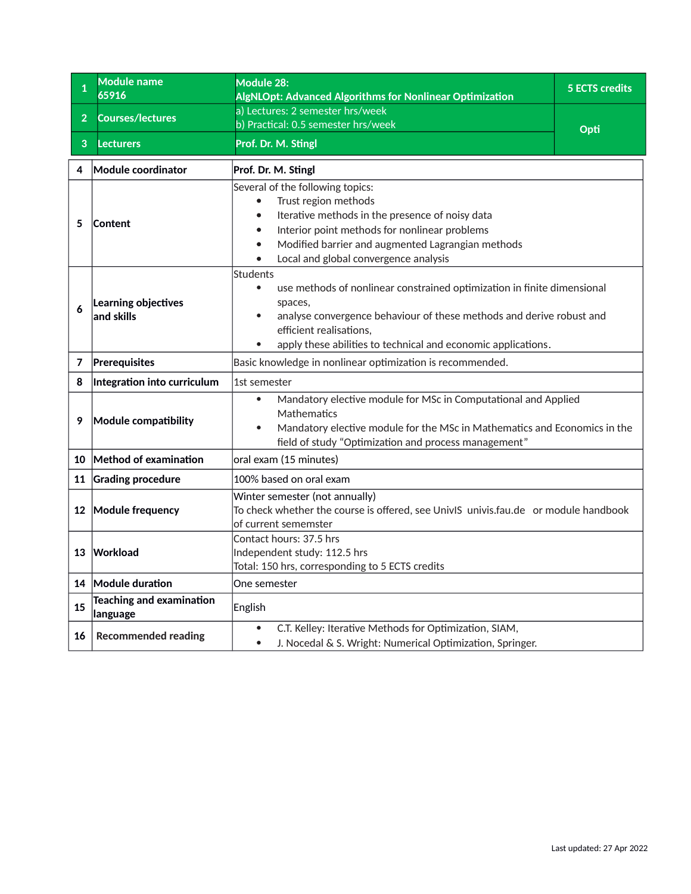<span id="page-45-0"></span>

| $\mathbf{1}$   | Module name<br>65916                        | Module 28:<br><b>AlgNLOpt: Advanced Algorithms for Nonlinear Optimization</b>                                                                                                                                                                                                                       | <b>5 ECTS credits</b> |
|----------------|---------------------------------------------|-----------------------------------------------------------------------------------------------------------------------------------------------------------------------------------------------------------------------------------------------------------------------------------------------------|-----------------------|
| $\overline{2}$ | <b>Courses/lectures</b>                     | a) Lectures: 2 semester hrs/week<br>b) Practical: 0.5 semester hrs/week                                                                                                                                                                                                                             |                       |
| 3              | <b>Lecturers</b>                            | Prof. Dr. M. Stingl                                                                                                                                                                                                                                                                                 | Opti                  |
| 4              | Module coordinator                          | Prof. Dr. M. Stingl                                                                                                                                                                                                                                                                                 |                       |
| 5              | Content                                     | Several of the following topics:<br>Trust region methods<br>Iterative methods in the presence of noisy data<br>$\bullet$<br>Interior point methods for nonlinear problems<br>$\bullet$<br>Modified barrier and augmented Lagrangian methods<br>$\bullet$<br>Local and global convergence analysis   |                       |
| 6              | Learning objectives<br>and skills           | <b>Students</b><br>use methods of nonlinear constrained optimization in finite dimensional<br>$\bullet$<br>spaces,<br>analyse convergence behaviour of these methods and derive robust and<br>$\bullet$<br>efficient realisations,<br>apply these abilities to technical and economic applications. |                       |
| 7              | Prerequisites                               | Basic knowledge in nonlinear optimization is recommended.                                                                                                                                                                                                                                           |                       |
| 8              | Integration into curriculum                 | 1st semester                                                                                                                                                                                                                                                                                        |                       |
| 9              | Module compatibility                        | Mandatory elective module for MSc in Computational and Applied<br>$\bullet$<br>Mathematics<br>Mandatory elective module for the MSc in Mathematics and Economics in the<br>field of study "Optimization and process management"                                                                     |                       |
| 10             | Method of examination                       | oral exam (15 minutes)                                                                                                                                                                                                                                                                              |                       |
| 11             | <b>Grading procedure</b>                    | 100% based on oral exam                                                                                                                                                                                                                                                                             |                       |
|                | 12 Module frequency                         | Winter semester (not annually)<br>To check whether the course is offered, see UnivIS univis.fau.de or module handbook<br>of current sememster                                                                                                                                                       |                       |
| 13             | Workload                                    | Contact hours: 37.5 hrs<br>Independent study: 112.5 hrs<br>Total: 150 hrs, corresponding to 5 ECTS credits                                                                                                                                                                                          |                       |
|                | 14 Module duration                          | One semester                                                                                                                                                                                                                                                                                        |                       |
| 15             | <b>Teaching and examination</b><br>language | English                                                                                                                                                                                                                                                                                             |                       |
| 16             | <b>Recommended reading</b>                  | C.T. Kelley: Iterative Methods for Optimization, SIAM,<br>J. Nocedal & S. Wright: Numerical Optimization, Springer.<br>$\bullet$                                                                                                                                                                    |                       |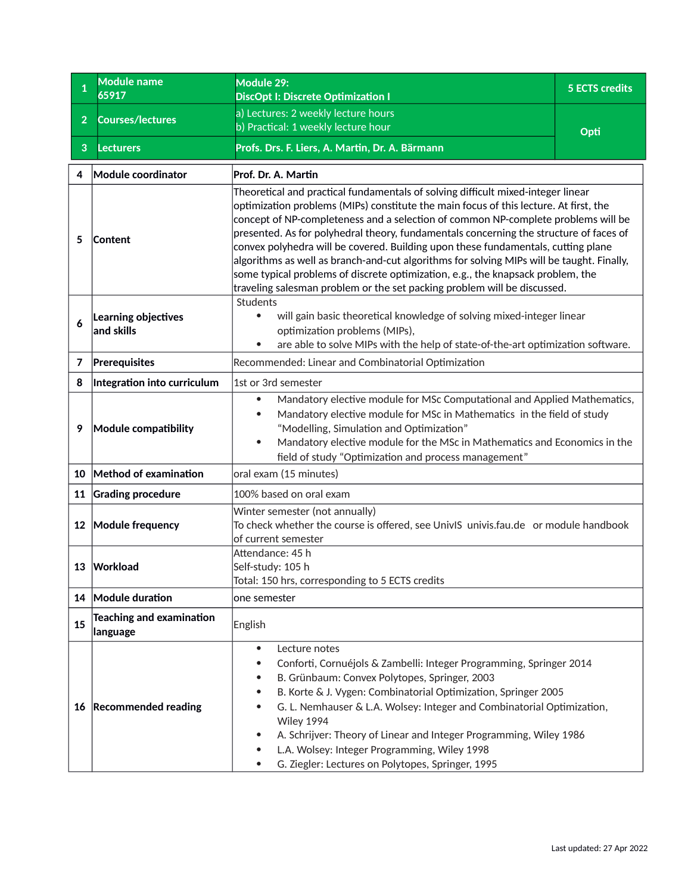<span id="page-46-0"></span>

| $\mathbf{1}$   | <b>Module name</b><br>65917                  | Module 29:<br><b>DiscOpt I: Discrete Optimization I</b>                                                                                                                                                                                                                                                                                                                                                                                                                                                                                                                                                                                                                                                   | <b>5 ECTS credits</b> |
|----------------|----------------------------------------------|-----------------------------------------------------------------------------------------------------------------------------------------------------------------------------------------------------------------------------------------------------------------------------------------------------------------------------------------------------------------------------------------------------------------------------------------------------------------------------------------------------------------------------------------------------------------------------------------------------------------------------------------------------------------------------------------------------------|-----------------------|
| $\overline{2}$ | <b>Courses/lectures</b>                      | a) Lectures: 2 weekly lecture hours<br>b) Practical: 1 weekly lecture hour                                                                                                                                                                                                                                                                                                                                                                                                                                                                                                                                                                                                                                | Opti                  |
| 3              | <b>Lecturers</b>                             | Profs. Drs. F. Liers, A. Martin, Dr. A. Bärmann                                                                                                                                                                                                                                                                                                                                                                                                                                                                                                                                                                                                                                                           |                       |
| 4              | Module coordinator                           | Prof. Dr. A. Martin                                                                                                                                                                                                                                                                                                                                                                                                                                                                                                                                                                                                                                                                                       |                       |
| 5              | Content                                      | Theoretical and practical fundamentals of solving difficult mixed-integer linear<br>optimization problems (MIPs) constitute the main focus of this lecture. At first, the<br>concept of NP-completeness and a selection of common NP-complete problems will be<br>presented. As for polyhedral theory, fundamentals concerning the structure of faces of<br>convex polyhedra will be covered. Building upon these fundamentals, cutting plane<br>algorithms as well as branch-and-cut algorithms for solving MIPs will be taught. Finally,<br>some typical problems of discrete optimization, e.g., the knapsack problem, the<br>traveling salesman problem or the set packing problem will be discussed. |                       |
| 6              | Learning objectives<br>and skills            | Students<br>will gain basic theoretical knowledge of solving mixed-integer linear<br>optimization problems (MIPs),<br>are able to solve MIPs with the help of state-of-the-art optimization software.<br>$\bullet$                                                                                                                                                                                                                                                                                                                                                                                                                                                                                        |                       |
| 7              | Prerequisites                                | Recommended: Linear and Combinatorial Optimization                                                                                                                                                                                                                                                                                                                                                                                                                                                                                                                                                                                                                                                        |                       |
| 8              | Integration into curriculum                  | 1st or 3rd semester                                                                                                                                                                                                                                                                                                                                                                                                                                                                                                                                                                                                                                                                                       |                       |
| 9              | Module compatibility                         | Mandatory elective module for MSc Computational and Applied Mathematics,<br>$\bullet$<br>Mandatory elective module for MSc in Mathematics in the field of study<br>$\bullet$<br>"Modelling, Simulation and Optimization"<br>Mandatory elective module for the MSc in Mathematics and Economics in the<br>field of study "Optimization and process management"                                                                                                                                                                                                                                                                                                                                             |                       |
|                | 10 Method of examination                     | oral exam (15 minutes)                                                                                                                                                                                                                                                                                                                                                                                                                                                                                                                                                                                                                                                                                    |                       |
| 11             | <b>Grading procedure</b>                     | 100% based on oral exam                                                                                                                                                                                                                                                                                                                                                                                                                                                                                                                                                                                                                                                                                   |                       |
|                | 12 Module frequency                          | Winter semester (not annually)<br>To check whether the course is offered, see UnivIS univis.fau.de or module handbook<br>of current semester                                                                                                                                                                                                                                                                                                                                                                                                                                                                                                                                                              |                       |
|                | 13 Workload                                  | Attendance: 45 h<br>Self-study: 105 h<br>Total: 150 hrs, corresponding to 5 ECTS credits                                                                                                                                                                                                                                                                                                                                                                                                                                                                                                                                                                                                                  |                       |
|                | 14 Module duration                           | one semester                                                                                                                                                                                                                                                                                                                                                                                                                                                                                                                                                                                                                                                                                              |                       |
| 15             | <b>Teaching and examination</b><br> language | English                                                                                                                                                                                                                                                                                                                                                                                                                                                                                                                                                                                                                                                                                                   |                       |
|                | 16 Recommended reading                       | Lecture notes<br>$\bullet$<br>Conforti, Cornuéjols & Zambelli: Integer Programming, Springer 2014<br>B. Grünbaum: Convex Polytopes, Springer, 2003<br>٠<br>B. Korte & J. Vygen: Combinatorial Optimization, Springer 2005<br>G. L. Nemhauser & L.A. Wolsey: Integer and Combinatorial Optimization,<br>Wiley 1994<br>A. Schrijver: Theory of Linear and Integer Programming, Wiley 1986<br>L.A. Wolsey: Integer Programming, Wiley 1998<br>G. Ziegler: Lectures on Polytopes, Springer, 1995                                                                                                                                                                                                              |                       |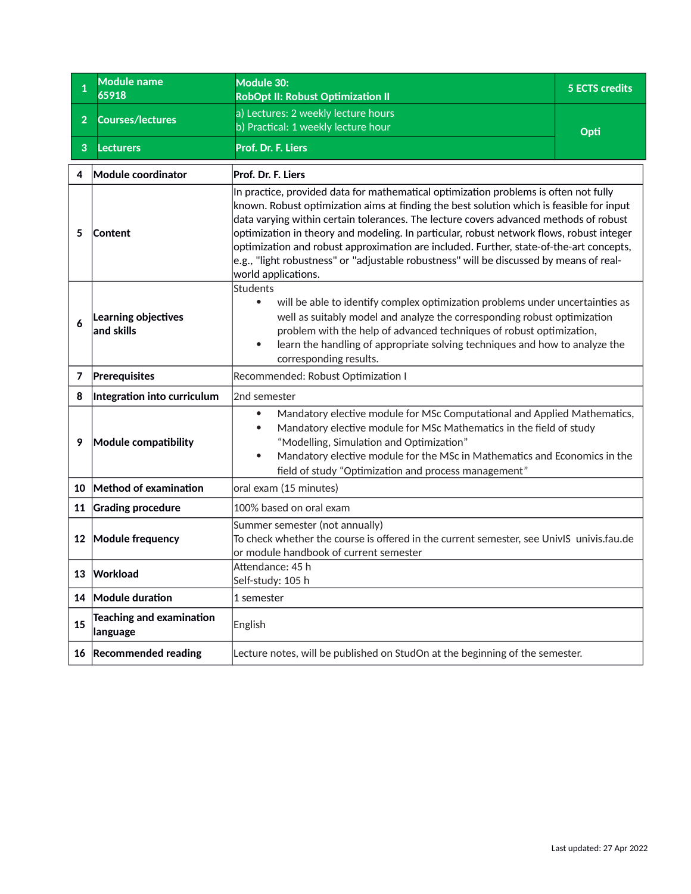<span id="page-47-0"></span>

| $\mathbf{1}$   | <b>Module name</b><br>65918                 | Module 30:<br><b>RobOpt II: Robust Optimization II</b>                                                                                                                                                                                                                                                                                                                                                                                                                                                                                                                             | <b>5 ECTS credits</b> |
|----------------|---------------------------------------------|------------------------------------------------------------------------------------------------------------------------------------------------------------------------------------------------------------------------------------------------------------------------------------------------------------------------------------------------------------------------------------------------------------------------------------------------------------------------------------------------------------------------------------------------------------------------------------|-----------------------|
| $\overline{2}$ | <b>Courses/lectures</b>                     | a) Lectures: 2 weekly lecture hours<br>b) Practical: 1 weekly lecture hour                                                                                                                                                                                                                                                                                                                                                                                                                                                                                                         | Opti                  |
| 3              | <b>Lecturers</b>                            | Prof. Dr. F. Liers                                                                                                                                                                                                                                                                                                                                                                                                                                                                                                                                                                 |                       |
| 4              | Module coordinator                          | Prof. Dr. F. Liers                                                                                                                                                                                                                                                                                                                                                                                                                                                                                                                                                                 |                       |
| 5              | <b>Content</b>                              | In practice, provided data for mathematical optimization problems is often not fully<br>known. Robust optimization aims at finding the best solution which is feasible for input<br>data varying within certain tolerances. The lecture covers advanced methods of robust<br>optimization in theory and modeling. In particular, robust network flows, robust integer<br>optimization and robust approximation are included. Further, state-of-the-art concepts,<br>e.g., "light robustness" or "adjustable robustness" will be discussed by means of real-<br>world applications. |                       |
| 6              | Learning objectives<br>and skills           | Students<br>will be able to identify complex optimization problems under uncertainties as<br>$\bullet$<br>well as suitably model and analyze the corresponding robust optimization<br>problem with the help of advanced techniques of robust optimization,<br>learn the handling of appropriate solving techniques and how to analyze the<br>$\bullet$<br>corresponding results.                                                                                                                                                                                                   |                       |
| 7              | Prerequisites                               | Recommended: Robust Optimization I                                                                                                                                                                                                                                                                                                                                                                                                                                                                                                                                                 |                       |
| 8              | Integration into curriculum                 | 2nd semester                                                                                                                                                                                                                                                                                                                                                                                                                                                                                                                                                                       |                       |
| 9              | Module compatibility                        | Mandatory elective module for MSc Computational and Applied Mathematics,<br>$\bullet$<br>Mandatory elective module for MSc Mathematics in the field of study<br>$\bullet$<br>"Modelling, Simulation and Optimization"<br>Mandatory elective module for the MSc in Mathematics and Economics in the<br>$\bullet$<br>field of study "Optimization and process management"                                                                                                                                                                                                            |                       |
| 10             | Method of examination                       | oral exam (15 minutes)                                                                                                                                                                                                                                                                                                                                                                                                                                                                                                                                                             |                       |
| 11             | <b>Grading procedure</b>                    | 100% based on oral exam                                                                                                                                                                                                                                                                                                                                                                                                                                                                                                                                                            |                       |
|                | 12 Module frequency                         | Summer semester (not annually)<br>To check whether the course is offered in the current semester, see UnivIS univis.fau.de<br>or module handbook of current semester                                                                                                                                                                                                                                                                                                                                                                                                               |                       |
|                | 13 Workload                                 | Attendance: 45 h<br>Self-study: 105 h                                                                                                                                                                                                                                                                                                                                                                                                                                                                                                                                              |                       |
|                | 14 Module duration                          | 1 semester                                                                                                                                                                                                                                                                                                                                                                                                                                                                                                                                                                         |                       |
| 15             | <b>Teaching and examination</b><br>language | English                                                                                                                                                                                                                                                                                                                                                                                                                                                                                                                                                                            |                       |
|                | 16 Recommended reading                      | Lecture notes, will be published on StudOn at the beginning of the semester.                                                                                                                                                                                                                                                                                                                                                                                                                                                                                                       |                       |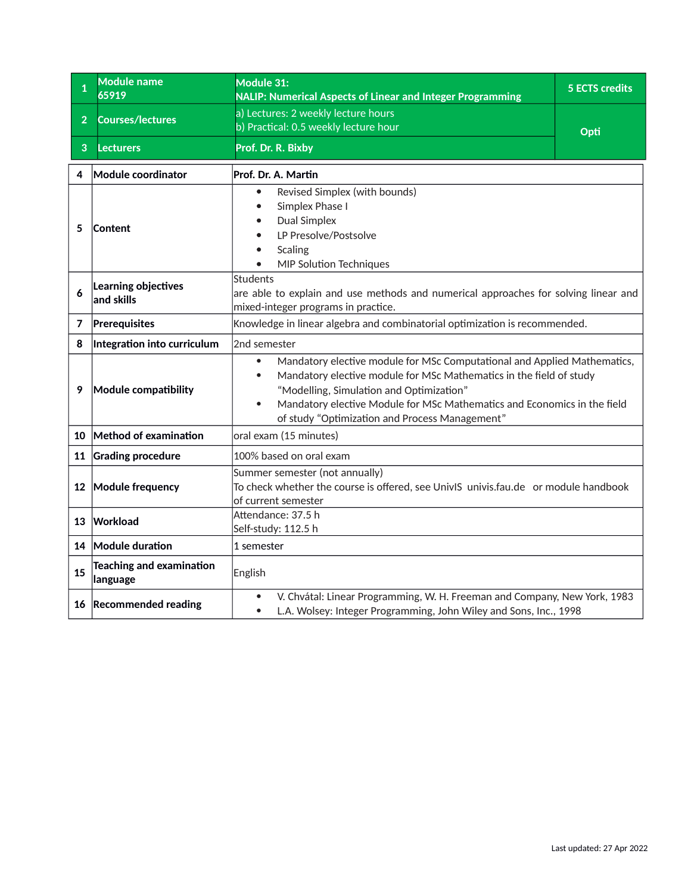<span id="page-48-0"></span>

| $\mathbf{1}$   | Module name<br>65919                        | Module 31:<br><b>NALIP: Numerical Aspects of Linear and Integer Programming</b>                                                                                                                                                                                                                                                        | <b>5 ECTS credits</b> |
|----------------|---------------------------------------------|----------------------------------------------------------------------------------------------------------------------------------------------------------------------------------------------------------------------------------------------------------------------------------------------------------------------------------------|-----------------------|
| $\overline{2}$ | <b>Courses/lectures</b>                     | a) Lectures: 2 weekly lecture hours<br>b) Practical: 0.5 weekly lecture hour                                                                                                                                                                                                                                                           | Opti                  |
| 3              | <b>Lecturers</b>                            | Prof. Dr. R. Bixby                                                                                                                                                                                                                                                                                                                     |                       |
| 4              | Module coordinator                          | Prof. Dr. A. Martin                                                                                                                                                                                                                                                                                                                    |                       |
| 5              | Content                                     | Revised Simplex (with bounds)<br>$\bullet$<br>Simplex Phase I<br><b>Dual Simplex</b><br>LP Presolve/Postsolve<br><b>Scaling</b><br>MIP Solution Techniques                                                                                                                                                                             |                       |
| 6              | Learning objectives<br>and skills           | Students<br>are able to explain and use methods and numerical approaches for solving linear and<br>mixed-integer programs in practice.                                                                                                                                                                                                 |                       |
| 7              | Prerequisites                               | Knowledge in linear algebra and combinatorial optimization is recommended.                                                                                                                                                                                                                                                             |                       |
| 8              | Integration into curriculum                 | 2nd semester                                                                                                                                                                                                                                                                                                                           |                       |
| 9              | Module compatibility                        | Mandatory elective module for MSc Computational and Applied Mathematics,<br>$\bullet$<br>Mandatory elective module for MSc Mathematics in the field of study<br>"Modelling, Simulation and Optimization"<br>Mandatory elective Module for MSc Mathematics and Economics in the field<br>of study "Optimization and Process Management" |                       |
| 10             | Method of examination                       | oral exam (15 minutes)                                                                                                                                                                                                                                                                                                                 |                       |
| 11             | <b>Grading procedure</b>                    | 100% based on oral exam                                                                                                                                                                                                                                                                                                                |                       |
|                | 12 Module frequency                         | Summer semester (not annually)<br>To check whether the course is offered, see UnivIS univis.fau.de or module handbook<br>of current semester                                                                                                                                                                                           |                       |
|                | 13 Workload                                 | Attendance: 37.5 h<br>Self-study: 112.5 h                                                                                                                                                                                                                                                                                              |                       |
|                | 14 Module duration                          | 1 semester                                                                                                                                                                                                                                                                                                                             |                       |
| 15             | <b>Teaching and examination</b><br>language | English                                                                                                                                                                                                                                                                                                                                |                       |
|                | 16 Recommended reading                      | V. Chvátal: Linear Programming, W. H. Freeman and Company, New York, 1983<br>$\bullet$<br>L.A. Wolsey: Integer Programming, John Wiley and Sons, Inc., 1998<br>$\bullet$                                                                                                                                                               |                       |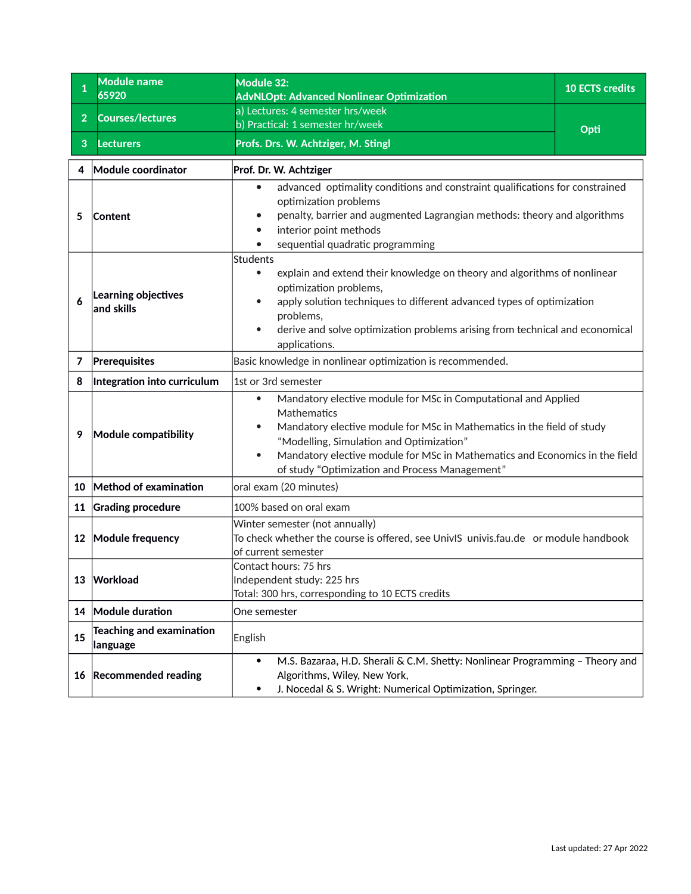<span id="page-49-0"></span>

| $\mathbf{1}$   | <b>Module name</b><br>65920                 | Module 32:<br><b>AdvNLOpt: Advanced Nonlinear Optimization</b>                                                                                                                                                                                                                                                                                                 | <b>10 ECTS credits</b> |
|----------------|---------------------------------------------|----------------------------------------------------------------------------------------------------------------------------------------------------------------------------------------------------------------------------------------------------------------------------------------------------------------------------------------------------------------|------------------------|
| 2 <sup>1</sup> | <b>Courses/lectures</b>                     | a) Lectures: 4 semester hrs/week                                                                                                                                                                                                                                                                                                                               |                        |
|                |                                             | b) Practical: 1 semester hr/week                                                                                                                                                                                                                                                                                                                               | Opti                   |
| 3              | <b>Lecturers</b>                            | Profs. Drs. W. Achtziger, M. Stingl                                                                                                                                                                                                                                                                                                                            |                        |
| 4              | Module coordinator                          | Prof. Dr. W. Achtziger                                                                                                                                                                                                                                                                                                                                         |                        |
| 5              | <b>Content</b>                              | advanced optimality conditions and constraint qualifications for constrained<br>$\bullet$<br>optimization problems<br>penalty, barrier and augmented Lagrangian methods: theory and algorithms<br>interior point methods<br>sequential quadratic programming                                                                                                   |                        |
| 6              | Learning objectives<br>and skills           | <b>Students</b><br>explain and extend their knowledge on theory and algorithms of nonlinear<br>$\bullet$<br>optimization problems,<br>apply solution techniques to different advanced types of optimization<br>problems,<br>derive and solve optimization problems arising from technical and economical<br>$\bullet$<br>applications.                         |                        |
| 7              | Prerequisites                               | Basic knowledge in nonlinear optimization is recommended.                                                                                                                                                                                                                                                                                                      |                        |
| 8              | Integration into curriculum                 | 1st or 3rd semester                                                                                                                                                                                                                                                                                                                                            |                        |
| 9              | Module compatibility                        | Mandatory elective module for MSc in Computational and Applied<br>$\bullet$<br>Mathematics<br>Mandatory elective module for MSc in Mathematics in the field of study<br>"Modelling, Simulation and Optimization"<br>Mandatory elective module for MSc in Mathematics and Economics in the field<br>$\bullet$<br>of study "Optimization and Process Management" |                        |
| 10             | Method of examination                       | oral exam (20 minutes)                                                                                                                                                                                                                                                                                                                                         |                        |
| 11             | <b>Grading procedure</b>                    | 100% based on oral exam                                                                                                                                                                                                                                                                                                                                        |                        |
| 12             | Module frequency                            | Winter semester (not annually)<br>To check whether the course is offered, see UnivIS univis.fau.de or module handbook<br>of current semester                                                                                                                                                                                                                   |                        |
| 13             | Workload                                    | Contact hours: 75 hrs<br>Independent study: 225 hrs<br>Total: 300 hrs, corresponding to 10 ECTS credits                                                                                                                                                                                                                                                        |                        |
| 14             | Module duration                             | One semester                                                                                                                                                                                                                                                                                                                                                   |                        |
| 15             | <b>Teaching and examination</b><br>language | English                                                                                                                                                                                                                                                                                                                                                        |                        |
| 16             | <b>Recommended reading</b>                  | M.S. Bazaraa, H.D. Sherali & C.M. Shetty: Nonlinear Programming - Theory and<br>$\bullet$<br>Algorithms, Wiley, New York,<br>J. Nocedal & S. Wright: Numerical Optimization, Springer.<br>٠                                                                                                                                                                    |                        |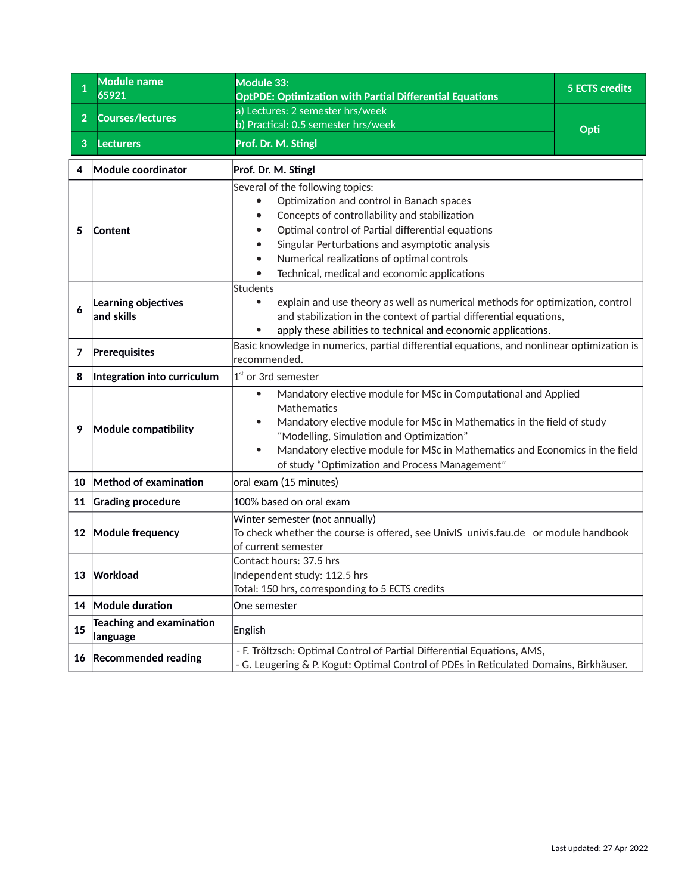<span id="page-50-0"></span>

| 1              | Module name<br>65921                        | Module 33:<br><b>OptPDE: Optimization with Partial Differential Equations</b>                                                                                                                                                                                                                                                                                  | <b>5 ECTS credits</b> |
|----------------|---------------------------------------------|----------------------------------------------------------------------------------------------------------------------------------------------------------------------------------------------------------------------------------------------------------------------------------------------------------------------------------------------------------------|-----------------------|
| $\overline{2}$ | <b>Courses/lectures</b>                     | a) Lectures: 2 semester hrs/week                                                                                                                                                                                                                                                                                                                               |                       |
|                |                                             | b) Practical: 0.5 semester hrs/week                                                                                                                                                                                                                                                                                                                            | Opti                  |
| 3              | <b>Lecturers</b>                            | Prof. Dr. M. Stingl                                                                                                                                                                                                                                                                                                                                            |                       |
| 4              | Module coordinator                          | Prof. Dr. M. Stingl                                                                                                                                                                                                                                                                                                                                            |                       |
| 5              | Content                                     | Several of the following topics:<br>Optimization and control in Banach spaces<br>Concepts of controllability and stabilization<br>Optimal control of Partial differential equations<br>Singular Perturbations and asymptotic analysis<br>Numerical realizations of optimal controls<br>Technical, medical and economic applications                            |                       |
| 6              | Learning objectives<br>and skills           | Students<br>explain and use theory as well as numerical methods for optimization, control<br>and stabilization in the context of partial differential equations,<br>apply these abilities to technical and economic applications.                                                                                                                              |                       |
| $\overline{7}$ | Prerequisites                               | Basic knowledge in numerics, partial differential equations, and nonlinear optimization is<br>recommended.                                                                                                                                                                                                                                                     |                       |
| 8              | Integration into curriculum                 | $1st$ or 3rd semester                                                                                                                                                                                                                                                                                                                                          |                       |
| 9              | Module compatibility                        | Mandatory elective module for MSc in Computational and Applied<br>$\bullet$<br>Mathematics<br>Mandatory elective module for MSc in Mathematics in the field of study<br>"Modelling, Simulation and Optimization"<br>Mandatory elective module for MSc in Mathematics and Economics in the field<br>$\bullet$<br>of study "Optimization and Process Management" |                       |
|                | 10 Method of examination                    | oral exam (15 minutes)                                                                                                                                                                                                                                                                                                                                         |                       |
| 11             | <b>Grading procedure</b>                    | 100% based on oral exam                                                                                                                                                                                                                                                                                                                                        |                       |
|                | 12 Module frequency                         | Winter semester (not annually)<br>To check whether the course is offered, see UnivIS univis.fau.de or module handbook<br>of current semester                                                                                                                                                                                                                   |                       |
|                | 13 Workload                                 | Contact hours: 37.5 hrs<br>Independent study: 112.5 hrs<br>Total: 150 hrs, corresponding to 5 ECTS credits                                                                                                                                                                                                                                                     |                       |
|                | 14 Module duration                          | One semester                                                                                                                                                                                                                                                                                                                                                   |                       |
| 15             | <b>Teaching and examination</b><br>language | English                                                                                                                                                                                                                                                                                                                                                        |                       |
|                | 16 Recommended reading                      | - F. Tröltzsch: Optimal Control of Partial Differential Equations, AMS,<br>- G. Leugering & P. Kogut: Optimal Control of PDEs in Reticulated Domains, Birkhäuser.                                                                                                                                                                                              |                       |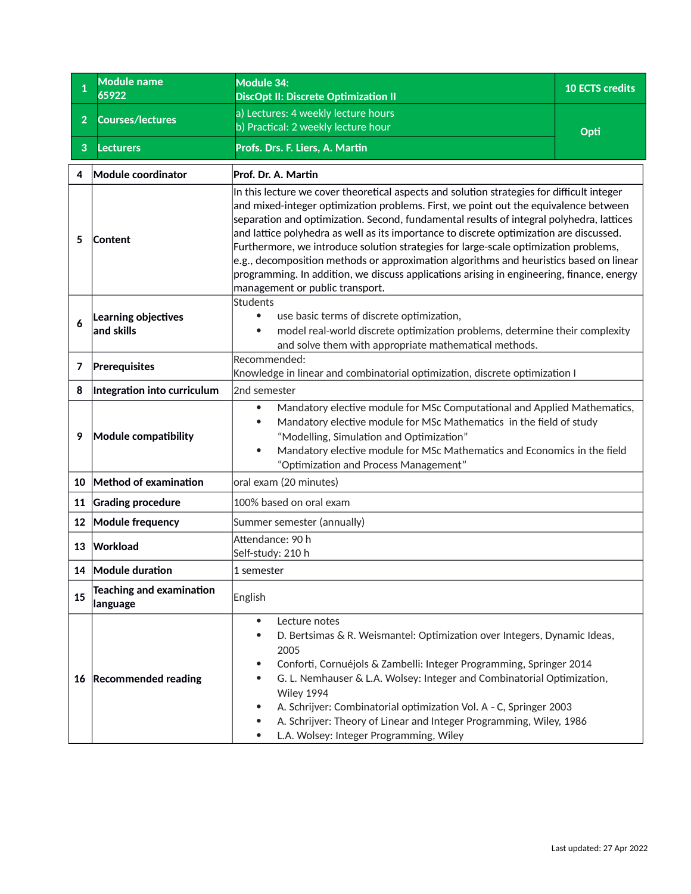<span id="page-51-0"></span>

| $\mathbf{1}$   | Module name<br>65922                        | Module 34:<br><b>DiscOpt II: Discrete Optimization II</b>                                                                                                                                                                                                                                                                                                                                                                                                                                                                                                                                                                                                                                   | <b>10 ECTS credits</b> |
|----------------|---------------------------------------------|---------------------------------------------------------------------------------------------------------------------------------------------------------------------------------------------------------------------------------------------------------------------------------------------------------------------------------------------------------------------------------------------------------------------------------------------------------------------------------------------------------------------------------------------------------------------------------------------------------------------------------------------------------------------------------------------|------------------------|
| $\overline{2}$ | <b>Courses/lectures</b>                     | a) Lectures: 4 weekly lecture hours                                                                                                                                                                                                                                                                                                                                                                                                                                                                                                                                                                                                                                                         |                        |
|                |                                             | b) Practical: 2 weekly lecture hour                                                                                                                                                                                                                                                                                                                                                                                                                                                                                                                                                                                                                                                         | Opti                   |
| 3              | <b>Lecturers</b>                            | Profs. Drs. F. Liers, A. Martin                                                                                                                                                                                                                                                                                                                                                                                                                                                                                                                                                                                                                                                             |                        |
| 4              | Module coordinator                          | Prof. Dr. A. Martin                                                                                                                                                                                                                                                                                                                                                                                                                                                                                                                                                                                                                                                                         |                        |
| 5              | Content                                     | In this lecture we cover theoretical aspects and solution strategies for difficult integer<br>and mixed-integer optimization problems. First, we point out the equivalence between<br>separation and optimization. Second, fundamental results of integral polyhedra, lattices<br>and lattice polyhedra as well as its importance to discrete optimization are discussed.<br>Furthermore, we introduce solution strategies for large-scale optimization problems,<br>e.g., decomposition methods or approximation algorithms and heuristics based on linear<br>programming. In addition, we discuss applications arising in engineering, finance, energy<br>management or public transport. |                        |
| 6              | Learning objectives<br>and skills           | Students<br>use basic terms of discrete optimization,<br>$\bullet$<br>model real-world discrete optimization problems, determine their complexity<br>$\bullet$<br>and solve them with appropriate mathematical methods.                                                                                                                                                                                                                                                                                                                                                                                                                                                                     |                        |
| 7              | Prerequisites                               | Recommended:<br>Knowledge in linear and combinatorial optimization, discrete optimization I                                                                                                                                                                                                                                                                                                                                                                                                                                                                                                                                                                                                 |                        |
| 8              | Integration into curriculum                 | 2nd semester                                                                                                                                                                                                                                                                                                                                                                                                                                                                                                                                                                                                                                                                                |                        |
| 9              | Module compatibility                        | Mandatory elective module for MSc Computational and Applied Mathematics,<br>$\bullet$<br>Mandatory elective module for MSc Mathematics in the field of study<br>$\bullet$<br>"Modelling, Simulation and Optimization"<br>Mandatory elective module for MSc Mathematics and Economics in the field<br>$\bullet$<br>"Optimization and Process Management"                                                                                                                                                                                                                                                                                                                                     |                        |
|                | 10 Method of examination                    | oral exam (20 minutes)                                                                                                                                                                                                                                                                                                                                                                                                                                                                                                                                                                                                                                                                      |                        |
|                | 11 Grading procedure                        | 100% based on oral exam                                                                                                                                                                                                                                                                                                                                                                                                                                                                                                                                                                                                                                                                     |                        |
|                | 12 Module frequency                         | Summer semester (annually)                                                                                                                                                                                                                                                                                                                                                                                                                                                                                                                                                                                                                                                                  |                        |
| 13             | Workload                                    | Attendance: 90 h<br>Self-study: 210 h                                                                                                                                                                                                                                                                                                                                                                                                                                                                                                                                                                                                                                                       |                        |
|                | 14 Module duration                          | 1 semester                                                                                                                                                                                                                                                                                                                                                                                                                                                                                                                                                                                                                                                                                  |                        |
| 15             | <b>Teaching and examination</b><br>language | English                                                                                                                                                                                                                                                                                                                                                                                                                                                                                                                                                                                                                                                                                     |                        |
|                | 16 Recommended reading                      | Lecture notes<br>$\bullet$<br>D. Bertsimas & R. Weismantel: Optimization over Integers, Dynamic Ideas,<br>2005<br>Conforti, Cornuéjols & Zambelli: Integer Programming, Springer 2014<br>G. L. Nemhauser & L.A. Wolsey: Integer and Combinatorial Optimization,<br>Wiley 1994<br>A. Schrijver: Combinatorial optimization Vol. A - C, Springer 2003<br>A. Schrijver: Theory of Linear and Integer Programming, Wiley, 1986<br>L.A. Wolsey: Integer Programming, Wiley                                                                                                                                                                                                                       |                        |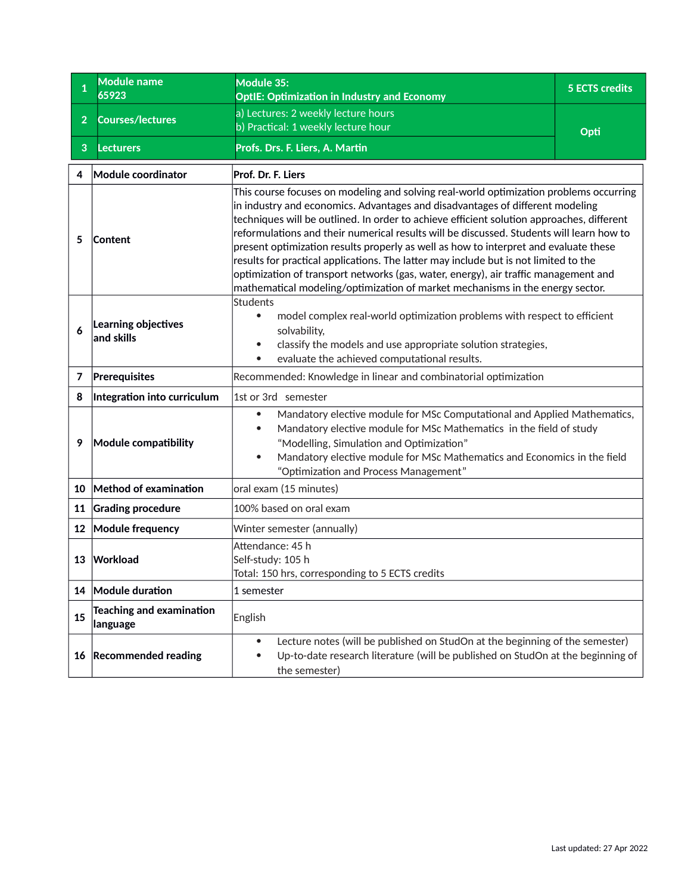<span id="page-52-0"></span>

| $\mathbf{1}$   | <b>Module name</b><br>65923                 | Module 35:<br><b>OptIE: Optimization in Industry and Economy</b>                                                                                                                                                                                                                                                                                                                                                                                                                                                                                                                                                                                                                                                             | <b>5 ECTS credits</b> |
|----------------|---------------------------------------------|------------------------------------------------------------------------------------------------------------------------------------------------------------------------------------------------------------------------------------------------------------------------------------------------------------------------------------------------------------------------------------------------------------------------------------------------------------------------------------------------------------------------------------------------------------------------------------------------------------------------------------------------------------------------------------------------------------------------------|-----------------------|
| $\overline{2}$ | <b>Courses/lectures</b>                     | a) Lectures: 2 weekly lecture hours<br>b) Practical: 1 weekly lecture hour                                                                                                                                                                                                                                                                                                                                                                                                                                                                                                                                                                                                                                                   | Opti                  |
| 3              | <b>Lecturers</b>                            | Profs. Drs. F. Liers, A. Martin                                                                                                                                                                                                                                                                                                                                                                                                                                                                                                                                                                                                                                                                                              |                       |
| 4              | Module coordinator                          | Prof. Dr. F. Liers                                                                                                                                                                                                                                                                                                                                                                                                                                                                                                                                                                                                                                                                                                           |                       |
| 5              | Content                                     | This course focuses on modeling and solving real-world optimization problems occurring<br>in industry and economics. Advantages and disadvantages of different modeling<br>techniques will be outlined. In order to achieve efficient solution approaches, different<br>reformulations and their numerical results will be discussed. Students will learn how to<br>$ $ present optimization results properly as well as how to interpret and evaluate these<br>results for practical applications. The latter may include but is not limited to the<br>optimization of transport networks (gas, water, energy), air traffic management and<br>mathematical modeling/optimization of market mechanisms in the energy sector. |                       |
| 6              | Learning objectives<br>and skills           | <b>Students</b><br>model complex real-world optimization problems with respect to efficient<br>$\bullet$<br>solvability,<br>classify the models and use appropriate solution strategies,<br>$\bullet$<br>evaluate the achieved computational results.<br>$\bullet$                                                                                                                                                                                                                                                                                                                                                                                                                                                           |                       |
| 7              | Prerequisites                               | Recommended: Knowledge in linear and combinatorial optimization                                                                                                                                                                                                                                                                                                                                                                                                                                                                                                                                                                                                                                                              |                       |
| 8              | Integration into curriculum                 | 1st or 3rd semester                                                                                                                                                                                                                                                                                                                                                                                                                                                                                                                                                                                                                                                                                                          |                       |
| 9              | Module compatibility                        | Mandatory elective module for MSc Computational and Applied Mathematics,<br>$\bullet$<br>Mandatory elective module for MSc Mathematics in the field of study<br>"Modelling, Simulation and Optimization"<br>Mandatory elective module for MSc Mathematics and Economics in the field<br>"Optimization and Process Management"                                                                                                                                                                                                                                                                                                                                                                                                |                       |
| 10             | Method of examination                       | oral exam (15 minutes)                                                                                                                                                                                                                                                                                                                                                                                                                                                                                                                                                                                                                                                                                                       |                       |
|                | 11 Grading procedure                        | 100% based on oral exam                                                                                                                                                                                                                                                                                                                                                                                                                                                                                                                                                                                                                                                                                                      |                       |
|                | 12 Module frequency                         | Winter semester (annually)                                                                                                                                                                                                                                                                                                                                                                                                                                                                                                                                                                                                                                                                                                   |                       |
| 13             | Workload                                    | Attendance: 45 h<br>Self-study: 105 h<br>Total: 150 hrs, corresponding to 5 ECTS credits                                                                                                                                                                                                                                                                                                                                                                                                                                                                                                                                                                                                                                     |                       |
|                | 14 Module duration                          | 1 semester                                                                                                                                                                                                                                                                                                                                                                                                                                                                                                                                                                                                                                                                                                                   |                       |
| 15             | <b>Teaching and examination</b><br>language | English                                                                                                                                                                                                                                                                                                                                                                                                                                                                                                                                                                                                                                                                                                                      |                       |
|                | 16 Recommended reading                      | Lecture notes (will be published on StudOn at the beginning of the semester)<br>$\bullet$<br>Up-to-date research literature (will be published on StudOn at the beginning of<br>$\bullet$<br>the semester)                                                                                                                                                                                                                                                                                                                                                                                                                                                                                                                   |                       |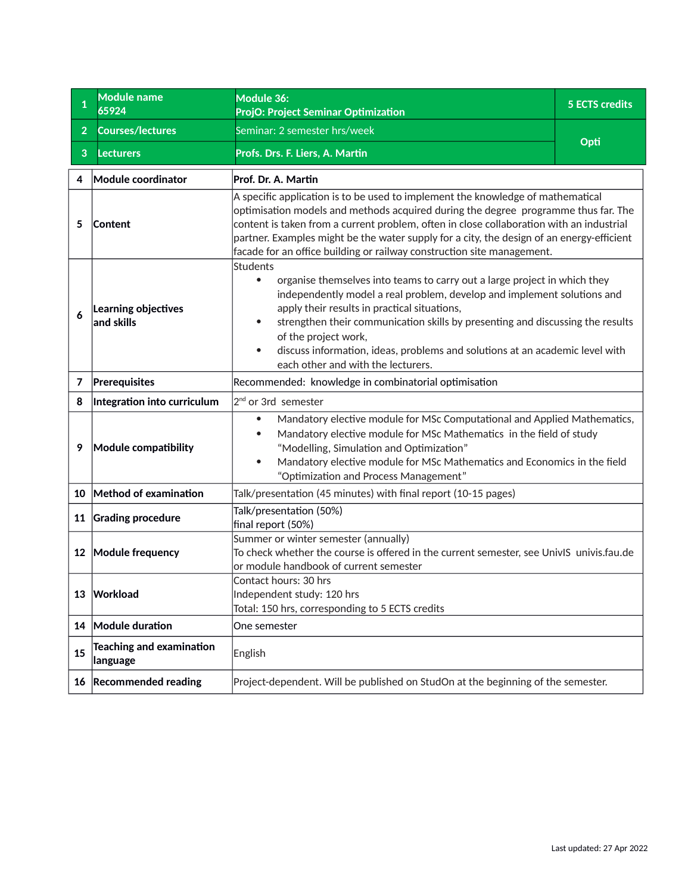<span id="page-53-0"></span>

| 1              | Module name<br>65924                        | Module 36:<br>ProjO: Project Seminar Optimization                                                                                                                                                                                                                                                                                                                                                                                                             | <b>5 ECTS credits</b> |
|----------------|---------------------------------------------|---------------------------------------------------------------------------------------------------------------------------------------------------------------------------------------------------------------------------------------------------------------------------------------------------------------------------------------------------------------------------------------------------------------------------------------------------------------|-----------------------|
| $\overline{2}$ | <b>Courses/lectures</b>                     | Seminar: 2 semester hrs/week                                                                                                                                                                                                                                                                                                                                                                                                                                  |                       |
| 3              | <b>Lecturers</b>                            | Profs. Drs. F. Liers, A. Martin                                                                                                                                                                                                                                                                                                                                                                                                                               | Opti                  |
| 4              | Module coordinator                          | Prof. Dr. A. Martin                                                                                                                                                                                                                                                                                                                                                                                                                                           |                       |
| 5              | Content                                     | A specific application is to be used to implement the knowledge of mathematical<br>optimisation models and methods acquired during the degree programme thus far. The<br>content is taken from a current problem, often in close collaboration with an industrial<br>partner. Examples might be the water supply for a city, the design of an energy-efficient<br>facade for an office building or railway construction site management.                      |                       |
| 6              | Learning objectives<br>and skills           | Students<br>organise themselves into teams to carry out a large project in which they<br>$\bullet$<br>independently model a real problem, develop and implement solutions and<br>apply their results in practical situations,<br>strengthen their communication skills by presenting and discussing the results<br>of the project work,<br>discuss information, ideas, problems and solutions at an academic level with<br>each other and with the lecturers. |                       |
| 7              | Prerequisites                               | Recommended: knowledge in combinatorial optimisation                                                                                                                                                                                                                                                                                                                                                                                                          |                       |
| 8              | Integration into curriculum                 | 2 <sup>nd</sup> or 3rd semester                                                                                                                                                                                                                                                                                                                                                                                                                               |                       |
| 9              | Module compatibility                        | Mandatory elective module for MSc Computational and Applied Mathematics,<br>Mandatory elective module for MSc Mathematics in the field of study<br>"Modelling, Simulation and Optimization"<br>Mandatory elective module for MSc Mathematics and Economics in the field<br>"Optimization and Process Management"                                                                                                                                              |                       |
|                | 10 Method of examination                    | Talk/presentation (45 minutes) with final report (10-15 pages)                                                                                                                                                                                                                                                                                                                                                                                                |                       |
| 11             | <b>Grading procedure</b>                    | Talk/presentation (50%)<br>final report (50%)                                                                                                                                                                                                                                                                                                                                                                                                                 |                       |
|                | 12 Module frequency                         | Summer or winter semester (annually)<br>To check whether the course is offered in the current semester, see UnivIS univis.fau.de<br>or module handbook of current semester                                                                                                                                                                                                                                                                                    |                       |
|                | 13 Workload                                 | Contact hours: 30 hrs<br>Independent study: 120 hrs<br>Total: 150 hrs, corresponding to 5 ECTS credits                                                                                                                                                                                                                                                                                                                                                        |                       |
|                | 14 Module duration                          | One semester                                                                                                                                                                                                                                                                                                                                                                                                                                                  |                       |
| 15             | <b>Teaching and examination</b><br>language | English                                                                                                                                                                                                                                                                                                                                                                                                                                                       |                       |
|                | 16 Recommended reading                      | Project-dependent. Will be published on StudOn at the beginning of the semester.                                                                                                                                                                                                                                                                                                                                                                              |                       |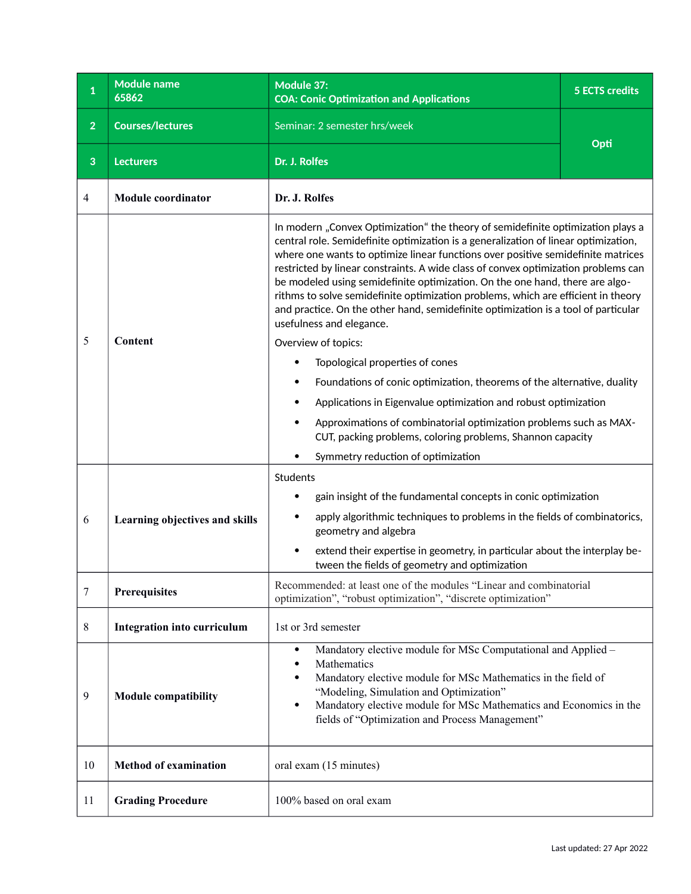<span id="page-54-0"></span>

| $\mathbf{1}$   | <b>Module name</b><br>65862    | Module 37:<br><b>COA: Conic Optimization and Applications</b>                                                                                                                                                                                                                                                                                                                                                                                                                                                                                                                                                                           | <b>5 ECTS credits</b> |
|----------------|--------------------------------|-----------------------------------------------------------------------------------------------------------------------------------------------------------------------------------------------------------------------------------------------------------------------------------------------------------------------------------------------------------------------------------------------------------------------------------------------------------------------------------------------------------------------------------------------------------------------------------------------------------------------------------------|-----------------------|
| $\overline{2}$ | <b>Courses/lectures</b>        | Seminar: 2 semester hrs/week                                                                                                                                                                                                                                                                                                                                                                                                                                                                                                                                                                                                            |                       |
| 3              | <b>Lecturers</b>               | Dr. J. Rolfes                                                                                                                                                                                                                                                                                                                                                                                                                                                                                                                                                                                                                           | Opti                  |
| 4              | <b>Module coordinator</b>      | Dr. J. Rolfes                                                                                                                                                                                                                                                                                                                                                                                                                                                                                                                                                                                                                           |                       |
|                |                                | In modern "Convex Optimization" the theory of semidefinite optimization plays a<br>central role. Semidefinite optimization is a generalization of linear optimization,<br>where one wants to optimize linear functions over positive semidefinite matrices<br>restricted by linear constraints. A wide class of convex optimization problems can<br>be modeled using semidefinite optimization. On the one hand, there are algo-<br>rithms to solve semidefinite optimization problems, which are efficient in theory<br>and practice. On the other hand, semidefinite optimization is a tool of particular<br>usefulness and elegance. |                       |
| 5              | Content                        | Overview of topics:                                                                                                                                                                                                                                                                                                                                                                                                                                                                                                                                                                                                                     |                       |
|                |                                | Topological properties of cones                                                                                                                                                                                                                                                                                                                                                                                                                                                                                                                                                                                                         |                       |
|                |                                | Foundations of conic optimization, theorems of the alternative, duality                                                                                                                                                                                                                                                                                                                                                                                                                                                                                                                                                                 |                       |
|                |                                | Applications in Eigenvalue optimization and robust optimization                                                                                                                                                                                                                                                                                                                                                                                                                                                                                                                                                                         |                       |
|                |                                | Approximations of combinatorial optimization problems such as MAX-<br>CUT, packing problems, coloring problems, Shannon capacity                                                                                                                                                                                                                                                                                                                                                                                                                                                                                                        |                       |
|                |                                | Symmetry reduction of optimization                                                                                                                                                                                                                                                                                                                                                                                                                                                                                                                                                                                                      |                       |
|                | Learning objectives and skills | Students                                                                                                                                                                                                                                                                                                                                                                                                                                                                                                                                                                                                                                |                       |
|                |                                | gain insight of the fundamental concepts in conic optimization<br>٠                                                                                                                                                                                                                                                                                                                                                                                                                                                                                                                                                                     |                       |
| 6              |                                | apply algorithmic techniques to problems in the fields of combinatorics,<br>٠<br>geometry and algebra                                                                                                                                                                                                                                                                                                                                                                                                                                                                                                                                   |                       |
|                |                                | extend their expertise in geometry, in particular about the interplay be-<br>tween the fields of geometry and optimization                                                                                                                                                                                                                                                                                                                                                                                                                                                                                                              |                       |
| 7              | Prerequisites                  | Recommended: at least one of the modules "Linear and combinatorial<br>optimization", "robust optimization", "discrete optimization"                                                                                                                                                                                                                                                                                                                                                                                                                                                                                                     |                       |
| 8              | Integration into curriculum    | 1st or 3rd semester                                                                                                                                                                                                                                                                                                                                                                                                                                                                                                                                                                                                                     |                       |
| 9              | <b>Module compatibility</b>    | Mandatory elective module for MSc Computational and Applied -<br>$\bullet$<br>Mathematics<br>Mandatory elective module for MSc Mathematics in the field of<br>$\bullet$<br>"Modeling, Simulation and Optimization"<br>Mandatory elective module for MSc Mathematics and Economics in the<br>$\bullet$<br>fields of "Optimization and Process Management"                                                                                                                                                                                                                                                                                |                       |
| 10             | <b>Method of examination</b>   | oral exam (15 minutes)                                                                                                                                                                                                                                                                                                                                                                                                                                                                                                                                                                                                                  |                       |
| 11             | <b>Grading Procedure</b>       | 100% based on oral exam                                                                                                                                                                                                                                                                                                                                                                                                                                                                                                                                                                                                                 |                       |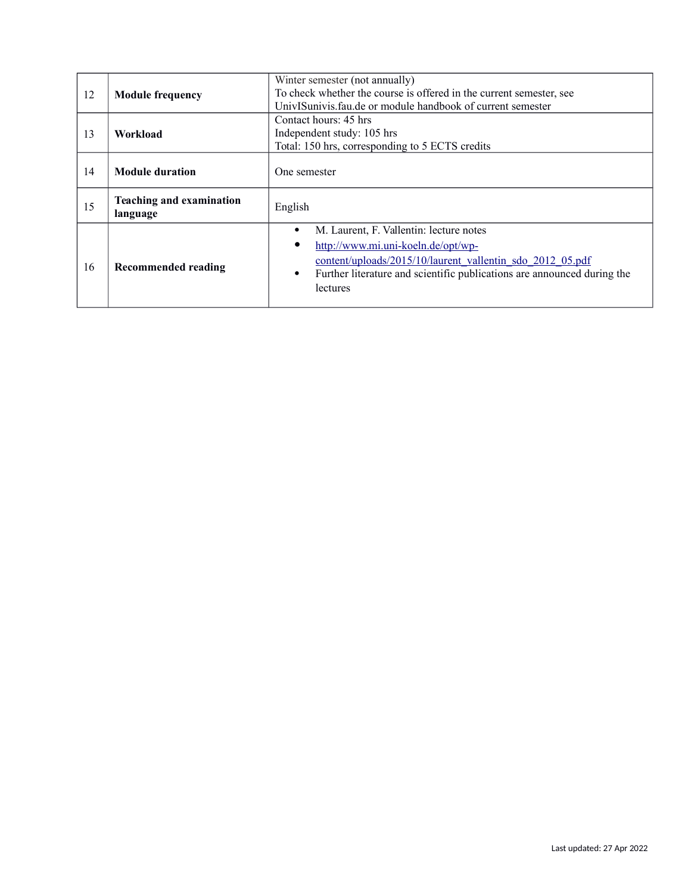|    |                                 | Winter semester (not annually)                                                       |
|----|---------------------------------|--------------------------------------------------------------------------------------|
| 12 | <b>Module frequency</b>         | To check whether the course is offered in the current semester, see                  |
|    |                                 | UnivISunivis.fau.de or module handbook of current semester                           |
|    |                                 | Contact hours: 45 hrs.                                                               |
| 13 | Workload                        | Independent study: 105 hrs                                                           |
|    |                                 | Total: 150 hrs, corresponding to 5 ECTS credits                                      |
|    |                                 |                                                                                      |
| 14 | <b>Module duration</b>          | One semester                                                                         |
|    |                                 |                                                                                      |
|    |                                 |                                                                                      |
|    | <b>Teaching and examination</b> |                                                                                      |
| 15 | language                        | English                                                                              |
|    |                                 | M. Laurent, F. Vallentin: lecture notes<br>$\bullet$                                 |
|    |                                 |                                                                                      |
|    |                                 | http://www.mi.uni-koeln.de/opt/wp-                                                   |
| 16 | <b>Recommended reading</b>      | content/uploads/2015/10/laurent_vallentin_sdo_2012_05.pdf                            |
|    |                                 | Further literature and scientific publications are announced during the<br>$\bullet$ |
|    |                                 | lectures                                                                             |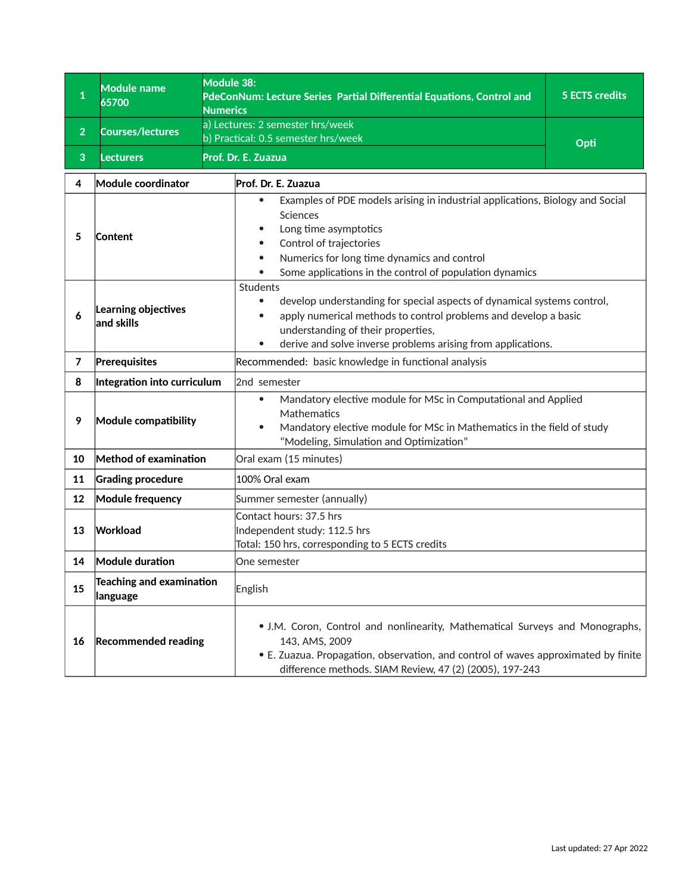<span id="page-56-0"></span>

| $\mathbf{1}$   | <b>Module name</b><br>65700           | Module 38:<br>PdeConNum: Lecture Series Partial Differential Equations, Control and<br><b>Numerics</b>                                                                                                                                                                                      | <b>5 ECTS credits</b> |  |
|----------------|---------------------------------------|---------------------------------------------------------------------------------------------------------------------------------------------------------------------------------------------------------------------------------------------------------------------------------------------|-----------------------|--|
| $\overline{2}$ | <b>Courses/lectures</b>               | a) Lectures: 2 semester hrs/week<br>b) Practical: 0.5 semester hrs/week                                                                                                                                                                                                                     |                       |  |
| 3              | <b>Lecturers</b>                      | Prof. Dr. E. Zuazua                                                                                                                                                                                                                                                                         | Opti                  |  |
| 4              | Module coordinator                    | Prof. Dr. E. Zuazua                                                                                                                                                                                                                                                                         |                       |  |
| 5              | Content                               | Examples of PDE models arising in industrial applications, Biology and Social<br>Sciences<br>Long time asymptotics<br>Control of trajectories<br>Numerics for long time dynamics and control<br>$\bullet$<br>Some applications in the control of population dynamics                        |                       |  |
| 6              | Learning objectives<br>and skills     | Students<br>develop understanding for special aspects of dynamical systems control,<br>$\bullet$<br>apply numerical methods to control problems and develop a basic<br>$\bullet$<br>understanding of their properties,<br>derive and solve inverse problems arising from applications.<br>۰ |                       |  |
| $\overline{7}$ | Prerequisites                         | Recommended: basic knowledge in functional analysis                                                                                                                                                                                                                                         |                       |  |
| 8              | Integration into curriculum           | 2nd semester                                                                                                                                                                                                                                                                                |                       |  |
| 9              | Module compatibility                  | Mandatory elective module for MSc in Computational and Applied<br>$\bullet$<br>Mathematics<br>Mandatory elective module for MSc in Mathematics in the field of study<br>$\bullet$<br>"Modeling, Simulation and Optimization"                                                                |                       |  |
| 10             | Method of examination                 | Oral exam (15 minutes)                                                                                                                                                                                                                                                                      |                       |  |
| 11             | <b>Grading procedure</b>              | 100% Oral exam                                                                                                                                                                                                                                                                              |                       |  |
| 12             | <b>Module frequency</b>               | Summer semester (annually)                                                                                                                                                                                                                                                                  |                       |  |
| 13             | Workload                              | Contact hours: 37.5 hrs<br>Independent study: 112.5 hrs<br>Total: 150 hrs, corresponding to 5 ECTS credits                                                                                                                                                                                  |                       |  |
| 14             | <b>Module duration</b>                | One semester                                                                                                                                                                                                                                                                                |                       |  |
| 15             | Teaching and examination<br> language | English                                                                                                                                                                                                                                                                                     |                       |  |
| 16             | <b>Recommended reading</b>            | • J.M. Coron, Control and nonlinearity, Mathematical Surveys and Monographs,<br>143, AMS, 2009<br>• E. Zuazua. Propagation, observation, and control of waves approximated by finite<br>difference methods. SIAM Review, 47 (2) (2005), 197-243                                             |                       |  |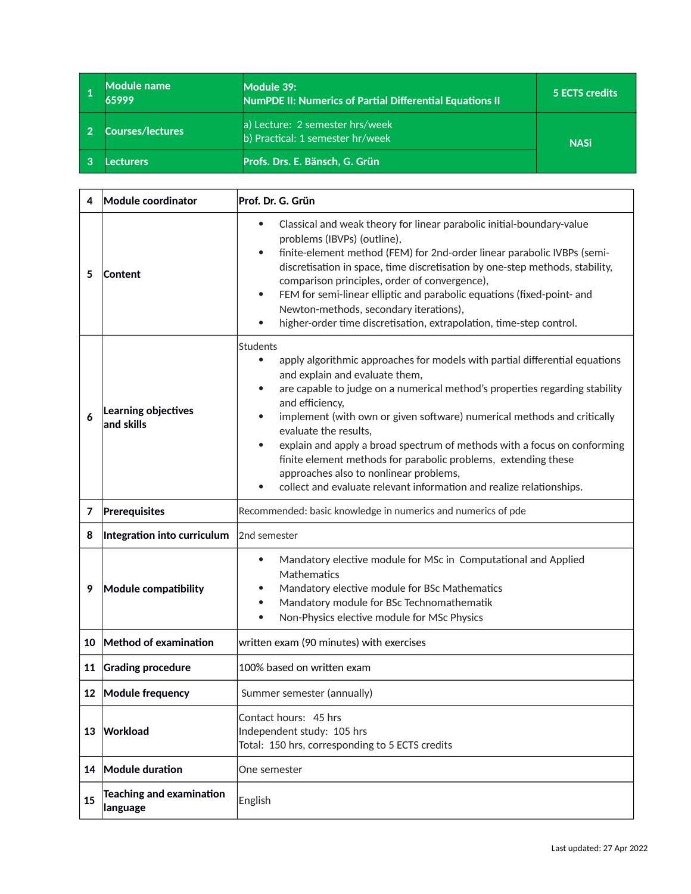<span id="page-57-0"></span>

| <b>Module name</b><br>65999 | Module 39:<br><b>NumPDE II: Numerics of Partial Differential Equations II</b> | <b>5 ECTS credits</b> |
|-----------------------------|-------------------------------------------------------------------------------|-----------------------|
| <b>Courses/lectures</b>     | a) Lecture: 2 semester hrs/week<br>b) Practical: 1 semester hr/week           | <b>NASi</b>           |
| ecturers                    | Profs. Drs. E. Bänsch, G. Grün                                                |                       |

| 4  | Module coordinator                          | Prof. Dr. G. Grün                                                                                                                                                                                                                                                                                                                                                                                                                                                                                                                                                                                                                             |  |
|----|---------------------------------------------|-----------------------------------------------------------------------------------------------------------------------------------------------------------------------------------------------------------------------------------------------------------------------------------------------------------------------------------------------------------------------------------------------------------------------------------------------------------------------------------------------------------------------------------------------------------------------------------------------------------------------------------------------|--|
| 5  | <b>Content</b>                              | Classical and weak theory for linear parabolic initial-boundary-value<br>$\bullet$<br>problems (IBVPs) (outline),<br>finite-element method (FEM) for 2nd-order linear parabolic IVBPs (semi-<br>$\bullet$<br>discretisation in space, time discretisation by one-step methods, stability,<br>comparison principles, order of convergence),<br>FEM for semi-linear elliptic and parabolic equations (fixed-point- and<br>$\bullet$<br>Newton-methods, secondary iterations),<br>higher-order time discretisation, extrapolation, time-step control.<br>$\bullet$                                                                               |  |
| 6  | Learning objectives<br>and skills           | <b>Students</b><br>apply algorithmic approaches for models with partial differential equations<br>$\bullet$<br>and explain and evaluate them,<br>are capable to judge on a numerical method's properties regarding stability<br>$\bullet$<br>and efficiency,<br>implement (with own or given software) numerical methods and critically<br>evaluate the results,<br>explain and apply a broad spectrum of methods with a focus on conforming<br>$\bullet$<br>finite element methods for parabolic problems, extending these<br>approaches also to nonlinear problems,<br>collect and evaluate relevant information and realize relationships. |  |
| 7  | Prerequisites                               | Recommended: basic knowledge in numerics and numerics of pde                                                                                                                                                                                                                                                                                                                                                                                                                                                                                                                                                                                  |  |
| 8  | Integration into curriculum                 | 2nd semester                                                                                                                                                                                                                                                                                                                                                                                                                                                                                                                                                                                                                                  |  |
| 9  | Module compatibility                        | Mandatory elective module for MSc in Computational and Applied<br>$\bullet$<br>Mathematics<br>Mandatory elective module for BSc Mathematics<br>Mandatory module for BSc Technomathematik<br>$\bullet$<br>Non-Physics elective module for MSc Physics<br>$\bullet$                                                                                                                                                                                                                                                                                                                                                                             |  |
| 10 | Method of examination                       | written exam (90 minutes) with exercises                                                                                                                                                                                                                                                                                                                                                                                                                                                                                                                                                                                                      |  |
| 11 | <b>Grading procedure</b>                    | 100% based on written exam                                                                                                                                                                                                                                                                                                                                                                                                                                                                                                                                                                                                                    |  |
|    | 12 Module frequency                         | Summer semester (annually)                                                                                                                                                                                                                                                                                                                                                                                                                                                                                                                                                                                                                    |  |
|    | 13 Workload                                 | Contact hours: 45 hrs<br>Independent study: 105 hrs<br>Total: 150 hrs, corresponding to 5 ECTS credits                                                                                                                                                                                                                                                                                                                                                                                                                                                                                                                                        |  |
| 14 | Module duration                             | One semester                                                                                                                                                                                                                                                                                                                                                                                                                                                                                                                                                                                                                                  |  |
| 15 | <b>Teaching and examination</b><br>language | English                                                                                                                                                                                                                                                                                                                                                                                                                                                                                                                                                                                                                                       |  |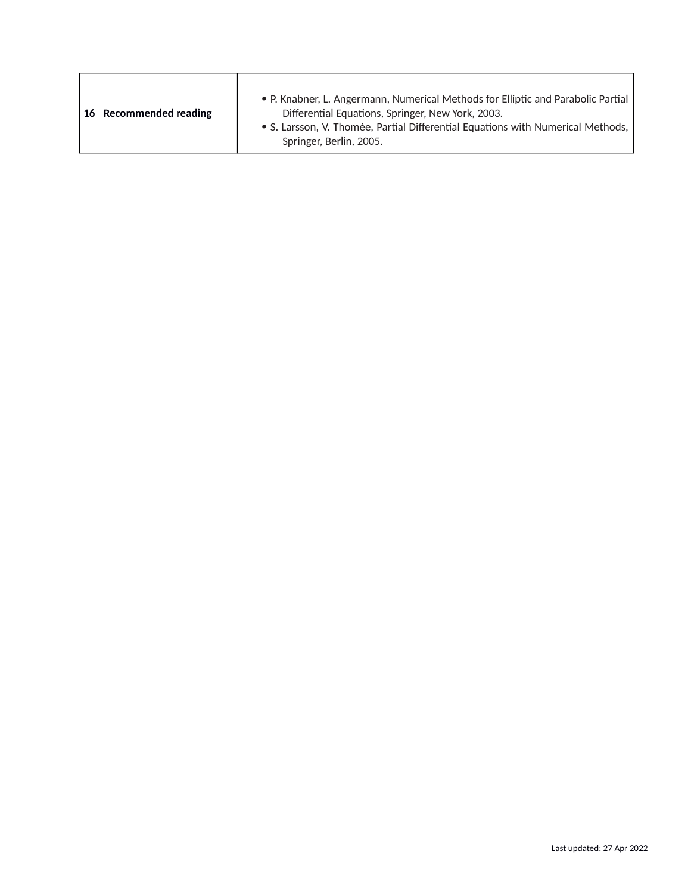| 16 Recommended reading | • P. Knabner, L. Angermann, Numerical Methods for Elliptic and Parabolic Partial<br>Differential Equations, Springer, New York, 2003. |
|------------------------|---------------------------------------------------------------------------------------------------------------------------------------|
|                        | • S. Larsson, V. Thomée, Partial Differential Equations with Numerical Methods,<br>Springer, Berlin, 2005.                            |

f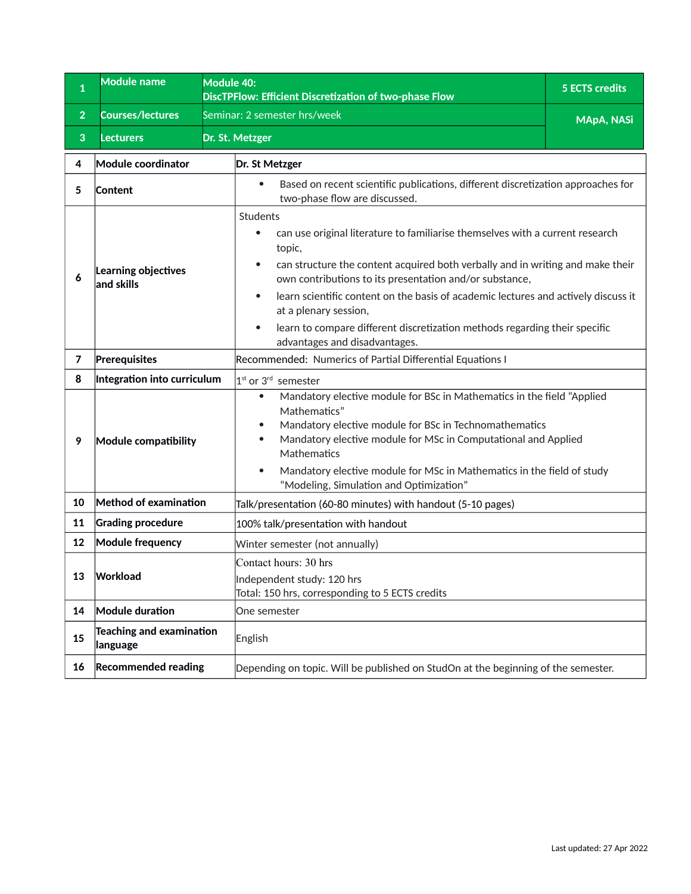<span id="page-59-0"></span>

| $\mathbf{1}$   | <b>Module name</b>                    | Module 40:<br><b>5 ECTS credits</b><br>DiscTPFlow: Efficient Discretization of two-phase Flow                                                                                                                                                                                                                                                                                                                                                                                               |  |
|----------------|---------------------------------------|---------------------------------------------------------------------------------------------------------------------------------------------------------------------------------------------------------------------------------------------------------------------------------------------------------------------------------------------------------------------------------------------------------------------------------------------------------------------------------------------|--|
| $\overline{2}$ | Courses/lectures                      | Seminar: 2 semester hrs/week<br><b>MApA, NASi</b>                                                                                                                                                                                                                                                                                                                                                                                                                                           |  |
| 3              | <b>Lecturers</b>                      | Dr. St. Metzger                                                                                                                                                                                                                                                                                                                                                                                                                                                                             |  |
| 4              | Module coordinator                    | Dr. St Metzger                                                                                                                                                                                                                                                                                                                                                                                                                                                                              |  |
| 5              | <b>Content</b>                        | Based on recent scientific publications, different discretization approaches for<br>two-phase flow are discussed.                                                                                                                                                                                                                                                                                                                                                                           |  |
| 6              | Learning objectives<br>and skills     | Students<br>can use original literature to familiarise themselves with a current research<br>topic,<br>can structure the content acquired both verbally and in writing and make their<br>$\bullet$<br>own contributions to its presentation and/or substance,<br>learn scientific content on the basis of academic lectures and actively discuss it<br>at a plenary session,<br>learn to compare different discretization methods regarding their specific<br>advantages and disadvantages. |  |
| $\overline{7}$ | Prerequisites                         | Recommended: Numerics of Partial Differential Equations I                                                                                                                                                                                                                                                                                                                                                                                                                                   |  |
| 8              | Integration into curriculum           | 1 <sup>st</sup> or 3 <sup>rd</sup> semester                                                                                                                                                                                                                                                                                                                                                                                                                                                 |  |
| 9              | Module compatibility                  | Mandatory elective module for BSc in Mathematics in the field "Applied<br>$\bullet$<br>Mathematics"<br>Mandatory elective module for BSc in Technomathematics<br>$\bullet$<br>Mandatory elective module for MSc in Computational and Applied<br>$\bullet$<br>Mathematics<br>Mandatory elective module for MSc in Mathematics in the field of study<br>$\bullet$<br>"Modeling, Simulation and Optimization"                                                                                  |  |
| 10             | Method of examination                 | Talk/presentation (60-80 minutes) with handout (5-10 pages)                                                                                                                                                                                                                                                                                                                                                                                                                                 |  |
| 11             | <b>Grading procedure</b>              | 100% talk/presentation with handout                                                                                                                                                                                                                                                                                                                                                                                                                                                         |  |
| 12             | <b>Module frequency</b>               | Winter semester (not annually)                                                                                                                                                                                                                                                                                                                                                                                                                                                              |  |
| 13             | Workload                              | Contact hours: 30 hrs<br>Independent study: 120 hrs<br>Total: 150 hrs, corresponding to 5 ECTS credits                                                                                                                                                                                                                                                                                                                                                                                      |  |
| 14             | Module duration                       | One semester                                                                                                                                                                                                                                                                                                                                                                                                                                                                                |  |
| 15             | Teaching and examination<br> language | English                                                                                                                                                                                                                                                                                                                                                                                                                                                                                     |  |
| 16             | <b>Recommended reading</b>            | Depending on topic. Will be published on StudOn at the beginning of the semester.                                                                                                                                                                                                                                                                                                                                                                                                           |  |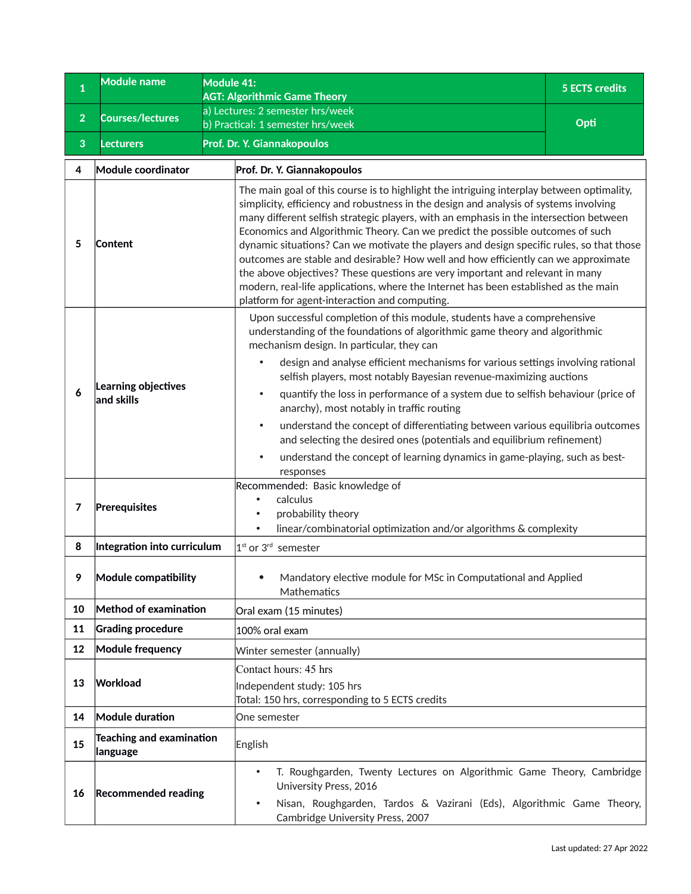<span id="page-60-0"></span>

| $\mathbf{1}$   | <b>Module name</b>                          | Module 41:<br><b>AGT: Algorithmic Game Theory</b>                                                                                                                                                                                                                                                                                                                                                                                                                                                                                                                                                                                                                                                                                                | <b>5 ECTS credits</b>                                                                                                                                                                                                                                                                                                                                                                                                                                                                                                                                                                                                                                                                                                    |  |
|----------------|---------------------------------------------|--------------------------------------------------------------------------------------------------------------------------------------------------------------------------------------------------------------------------------------------------------------------------------------------------------------------------------------------------------------------------------------------------------------------------------------------------------------------------------------------------------------------------------------------------------------------------------------------------------------------------------------------------------------------------------------------------------------------------------------------------|--------------------------------------------------------------------------------------------------------------------------------------------------------------------------------------------------------------------------------------------------------------------------------------------------------------------------------------------------------------------------------------------------------------------------------------------------------------------------------------------------------------------------------------------------------------------------------------------------------------------------------------------------------------------------------------------------------------------------|--|
| $\overline{2}$ | <b>Courses/lectures</b>                     | a) Lectures: 2 semester hrs/week                                                                                                                                                                                                                                                                                                                                                                                                                                                                                                                                                                                                                                                                                                                 | Opti                                                                                                                                                                                                                                                                                                                                                                                                                                                                                                                                                                                                                                                                                                                     |  |
| 3              | <b>Lecturers</b>                            | b) Practical: 1 semester hrs/week<br>Prof. Dr. Y. Giannakopoulos                                                                                                                                                                                                                                                                                                                                                                                                                                                                                                                                                                                                                                                                                 |                                                                                                                                                                                                                                                                                                                                                                                                                                                                                                                                                                                                                                                                                                                          |  |
| 4              | Module coordinator                          | Prof. Dr. Y. Giannakopoulos                                                                                                                                                                                                                                                                                                                                                                                                                                                                                                                                                                                                                                                                                                                      |                                                                                                                                                                                                                                                                                                                                                                                                                                                                                                                                                                                                                                                                                                                          |  |
| 5              | Content                                     | platform for agent-interaction and computing.                                                                                                                                                                                                                                                                                                                                                                                                                                                                                                                                                                                                                                                                                                    | The main goal of this course is to highlight the intriguing interplay between optimality,<br>simplicity, efficiency and robustness in the design and analysis of systems involving<br>many different selfish strategic players, with an emphasis in the intersection between<br>Economics and Algorithmic Theory. Can we predict the possible outcomes of such<br>dynamic situations? Can we motivate the players and design specific rules, so that those<br>outcomes are stable and desirable? How well and how efficiently can we approximate<br>the above objectives? These questions are very important and relevant in many<br>modern, real-life applications, where the Internet has been established as the main |  |
| 6              | Learning objectives<br>and skills           | Upon successful completion of this module, students have a comprehensive<br>understanding of the foundations of algorithmic game theory and algorithmic<br>mechanism design. In particular, they can<br>design and analyse efficient mechanisms for various settings involving rational<br>selfish players, most notably Bayesian revenue-maximizing auctions<br>quantify the loss in performance of a system due to selfish behaviour (price of<br>٠<br>anarchy), most notably in traffic routing<br>understand the concept of differentiating between various equilibria outcomes<br>٠<br>and selecting the desired ones (potentials and equilibrium refinement)<br>understand the concept of learning dynamics in game-playing, such as best- |                                                                                                                                                                                                                                                                                                                                                                                                                                                                                                                                                                                                                                                                                                                          |  |
| $\overline{7}$ | Prerequisites                               | responses<br>Recommended: Basic knowledge of<br>calculus<br>probability theory<br>linear/combinatorial optimization and/or algorithms & complexity                                                                                                                                                                                                                                                                                                                                                                                                                                                                                                                                                                                               |                                                                                                                                                                                                                                                                                                                                                                                                                                                                                                                                                                                                                                                                                                                          |  |
| 8              | Integration into curriculum                 | $1st$ or $3rd$ semester                                                                                                                                                                                                                                                                                                                                                                                                                                                                                                                                                                                                                                                                                                                          |                                                                                                                                                                                                                                                                                                                                                                                                                                                                                                                                                                                                                                                                                                                          |  |
|                | Module compatibility                        | Mathematics                                                                                                                                                                                                                                                                                                                                                                                                                                                                                                                                                                                                                                                                                                                                      | Mandatory elective module for MSc in Computational and Applied                                                                                                                                                                                                                                                                                                                                                                                                                                                                                                                                                                                                                                                           |  |
| 10             | Method of examination                       | Oral exam (15 minutes)                                                                                                                                                                                                                                                                                                                                                                                                                                                                                                                                                                                                                                                                                                                           |                                                                                                                                                                                                                                                                                                                                                                                                                                                                                                                                                                                                                                                                                                                          |  |
| 11             | <b>Grading procedure</b>                    | 100% oral exam                                                                                                                                                                                                                                                                                                                                                                                                                                                                                                                                                                                                                                                                                                                                   |                                                                                                                                                                                                                                                                                                                                                                                                                                                                                                                                                                                                                                                                                                                          |  |
| 12             | <b>Module frequency</b>                     | Winter semester (annually)                                                                                                                                                                                                                                                                                                                                                                                                                                                                                                                                                                                                                                                                                                                       |                                                                                                                                                                                                                                                                                                                                                                                                                                                                                                                                                                                                                                                                                                                          |  |
| 13             | Workload                                    | Contact hours: 45 hrs<br>Independent study: 105 hrs<br>Total: 150 hrs, corresponding to 5 ECTS credits                                                                                                                                                                                                                                                                                                                                                                                                                                                                                                                                                                                                                                           |                                                                                                                                                                                                                                                                                                                                                                                                                                                                                                                                                                                                                                                                                                                          |  |
| 14             | Module duration                             | One semester                                                                                                                                                                                                                                                                                                                                                                                                                                                                                                                                                                                                                                                                                                                                     |                                                                                                                                                                                                                                                                                                                                                                                                                                                                                                                                                                                                                                                                                                                          |  |
| 15             | <b>Teaching and examination</b><br>language | English                                                                                                                                                                                                                                                                                                                                                                                                                                                                                                                                                                                                                                                                                                                                          |                                                                                                                                                                                                                                                                                                                                                                                                                                                                                                                                                                                                                                                                                                                          |  |
| 16             | <b>Recommended reading</b>                  | T. Roughgarden, Twenty Lectures on Algorithmic Game Theory, Cambridge<br>$\bullet$<br>University Press, 2016<br>Nisan, Roughgarden, Tardos & Vazirani (Eds), Algorithmic Game Theory,<br>Cambridge University Press, 2007                                                                                                                                                                                                                                                                                                                                                                                                                                                                                                                        |                                                                                                                                                                                                                                                                                                                                                                                                                                                                                                                                                                                                                                                                                                                          |  |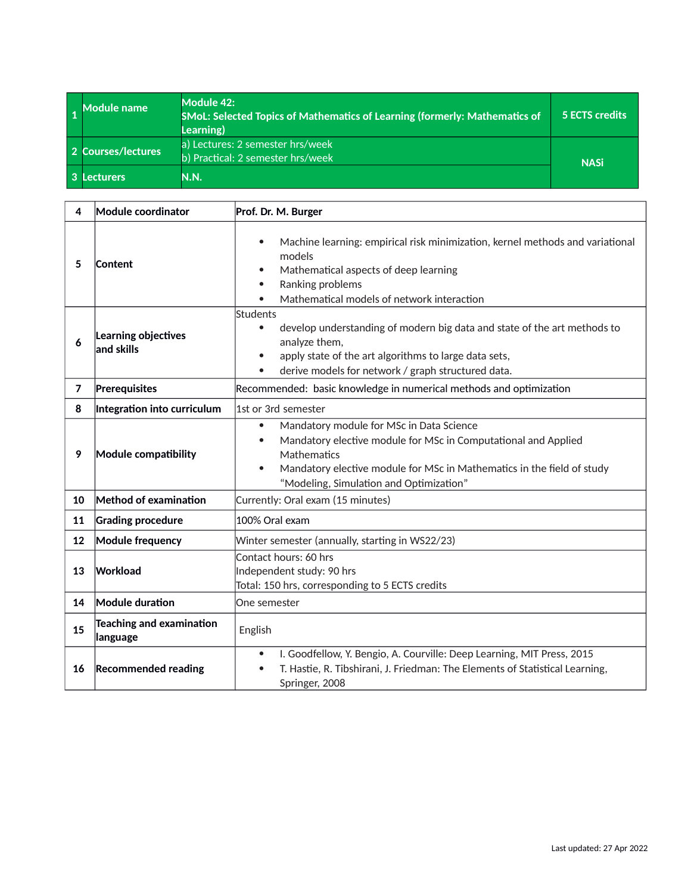<span id="page-61-0"></span>

| <b>Module name</b> | Module 42:<br><b>SMoL: Selected Topics of Mathematics of Learning (formerly: Mathematics of</b><br><b>Learning</b> ) | <b>5 ECTS credits</b> |
|--------------------|----------------------------------------------------------------------------------------------------------------------|-----------------------|
| 2 Courses/lectures | a) Lectures: 2 semester hrs/week<br>b) Practical: 2 semester hrs/week                                                | <b>NASi</b>           |
| Lecturers          | N.N.                                                                                                                 |                       |

| 4                                                                                         | Module coordinator                   | Prof. Dr. M. Burger                                                                                                                                                                                                                                                                   |  |
|-------------------------------------------------------------------------------------------|--------------------------------------|---------------------------------------------------------------------------------------------------------------------------------------------------------------------------------------------------------------------------------------------------------------------------------------|--|
| 5                                                                                         | Content                              | Machine learning: empirical risk minimization, kernel methods and variational<br>$\bullet$<br>models<br>Mathematical aspects of deep learning<br>$\bullet$<br>Ranking problems<br>$\bullet$<br>Mathematical models of network interaction                                             |  |
| Students<br>$\bullet$<br>Learning objectives<br>6<br>and skills<br>$\bullet$<br>$\bullet$ |                                      | develop understanding of modern big data and state of the art methods to<br>analyze them,<br>apply state of the art algorithms to large data sets,<br>derive models for network / graph structured data.                                                                              |  |
| $\overline{7}$                                                                            | Prerequisites                        | Recommended: basic knowledge in numerical methods and optimization                                                                                                                                                                                                                    |  |
| 8                                                                                         | Integration into curriculum          | 1st or 3rd semester                                                                                                                                                                                                                                                                   |  |
| 9                                                                                         | Module compatibility                 | Mandatory module for MSc in Data Science<br>$\bullet$<br>Mandatory elective module for MSc in Computational and Applied<br>$\bullet$<br>Mathematics<br>Mandatory elective module for MSc in Mathematics in the field of study<br>$\bullet$<br>"Modeling, Simulation and Optimization" |  |
| 10                                                                                        | Method of examination                | Currently: Oral exam (15 minutes)                                                                                                                                                                                                                                                     |  |
| 11                                                                                        | <b>Grading procedure</b>             | 100% Oral exam                                                                                                                                                                                                                                                                        |  |
| 12                                                                                        | <b>Module frequency</b>              | Winter semester (annually, starting in WS22/23)                                                                                                                                                                                                                                       |  |
| 13                                                                                        | Workload                             | Contact hours: 60 hrs<br>Independent study: 90 hrs<br>Total: 150 hrs, corresponding to 5 ECTS credits                                                                                                                                                                                 |  |
| 14                                                                                        | Module duration                      | One semester                                                                                                                                                                                                                                                                          |  |
| 15                                                                                        | Teaching and examination<br>language | English                                                                                                                                                                                                                                                                               |  |
| 16                                                                                        | <b>Recommended reading</b>           | I. Goodfellow, Y. Bengio, A. Courville: Deep Learning, MIT Press, 2015<br>$\bullet$<br>T. Hastie, R. Tibshirani, J. Friedman: The Elements of Statistical Learning,<br>$\bullet$<br>Springer, 2008                                                                                    |  |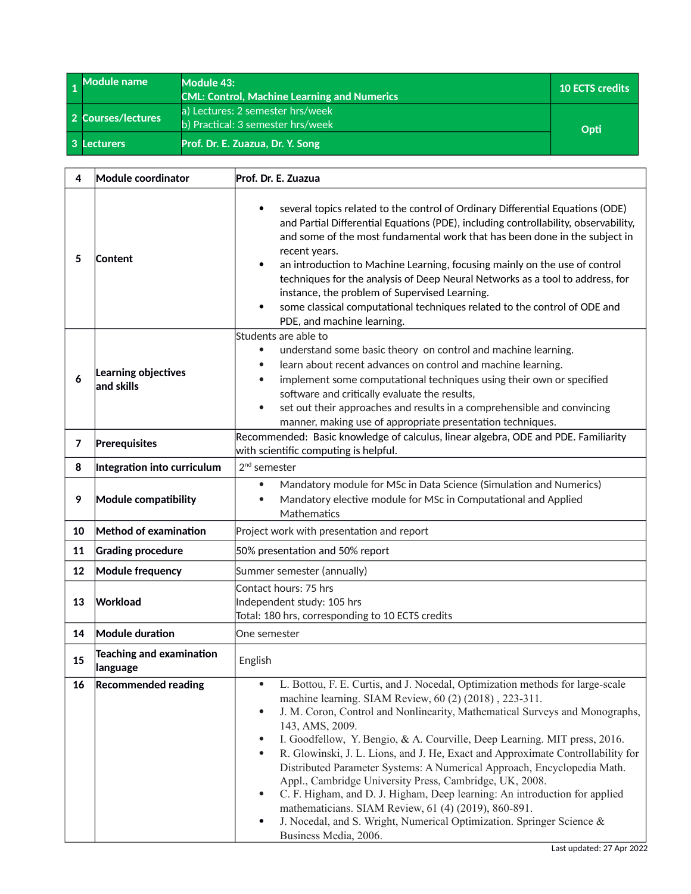<span id="page-62-0"></span>

| 1 Module name      | Module 43:<br><b>CML: Control, Machine Learning and Numerics</b>      | <b>10 ECTS credits</b> |
|--------------------|-----------------------------------------------------------------------|------------------------|
| 2 Courses/lectures | a) Lectures: 2 semester hrs/week<br>b) Practical: 3 semester hrs/week | Opti                   |
| 3 Lecturers        | Prof. Dr. E. Zuazua, Dr. Y. Song                                      |                        |

| 4  | Module coordinator                          | Prof. Dr. E. Zuazua                                                                                                                                                                                                                                                                                                                                                                                                                                                                                                                                                                                                                                                                                                                                                                                                                                           |  |
|----|---------------------------------------------|---------------------------------------------------------------------------------------------------------------------------------------------------------------------------------------------------------------------------------------------------------------------------------------------------------------------------------------------------------------------------------------------------------------------------------------------------------------------------------------------------------------------------------------------------------------------------------------------------------------------------------------------------------------------------------------------------------------------------------------------------------------------------------------------------------------------------------------------------------------|--|
| 5  | Content                                     | several topics related to the control of Ordinary Differential Equations (ODE)<br>$\bullet$<br>and Partial Differential Equations (PDE), including controllability, observability,<br>and some of the most fundamental work that has been done in the subject in<br>recent years.<br>an introduction to Machine Learning, focusing mainly on the use of control<br>$\bullet$<br>techniques for the analysis of Deep Neural Networks as a tool to address, for<br>instance, the problem of Supervised Learning.<br>some classical computational techniques related to the control of ODE and<br>٠<br>PDE, and machine learning.                                                                                                                                                                                                                                |  |
| 6  | Learning objectives<br>and skills           | Students are able to<br>understand some basic theory on control and machine learning.<br>۰<br>learn about recent advances on control and machine learning.<br>$\bullet$<br>implement some computational techniques using their own or specified<br>$\bullet$<br>software and critically evaluate the results,<br>set out their approaches and results in a comprehensible and convincing<br>$\bullet$<br>manner, making use of appropriate presentation techniques.                                                                                                                                                                                                                                                                                                                                                                                           |  |
| 7  | Prerequisites                               | Recommended: Basic knowledge of calculus, linear algebra, ODE and PDE. Familiarity<br>with scientific computing is helpful.                                                                                                                                                                                                                                                                                                                                                                                                                                                                                                                                                                                                                                                                                                                                   |  |
| 8  | Integration into curriculum                 | $2nd$ semester                                                                                                                                                                                                                                                                                                                                                                                                                                                                                                                                                                                                                                                                                                                                                                                                                                                |  |
| 9  | Module compatibility                        | Mandatory module for MSc in Data Science (Simulation and Numerics)<br>۰<br>Mandatory elective module for MSc in Computational and Applied<br>$\bullet$<br>Mathematics                                                                                                                                                                                                                                                                                                                                                                                                                                                                                                                                                                                                                                                                                         |  |
| 10 | Method of examination                       | Project work with presentation and report                                                                                                                                                                                                                                                                                                                                                                                                                                                                                                                                                                                                                                                                                                                                                                                                                     |  |
| 11 | <b>Grading procedure</b>                    | 50% presentation and 50% report                                                                                                                                                                                                                                                                                                                                                                                                                                                                                                                                                                                                                                                                                                                                                                                                                               |  |
| 12 | <b>Module frequency</b>                     | Summer semester (annually)                                                                                                                                                                                                                                                                                                                                                                                                                                                                                                                                                                                                                                                                                                                                                                                                                                    |  |
| 13 | Workload                                    | Contact hours: 75 hrs<br>Independent study: 105 hrs<br>Total: 180 hrs, corresponding to 10 ECTS credits                                                                                                                                                                                                                                                                                                                                                                                                                                                                                                                                                                                                                                                                                                                                                       |  |
| 14 | Module duration                             | One semester                                                                                                                                                                                                                                                                                                                                                                                                                                                                                                                                                                                                                                                                                                                                                                                                                                                  |  |
| 15 | <b>Teaching and examination</b><br>language | English                                                                                                                                                                                                                                                                                                                                                                                                                                                                                                                                                                                                                                                                                                                                                                                                                                                       |  |
| 16 | <b>Recommended reading</b>                  | L. Bottou, F. E. Curtis, and J. Nocedal, Optimization methods for large-scale<br>$\bullet$<br>machine learning. SIAM Review, 60 (2) (2018), 223-311.<br>J. M. Coron, Control and Nonlinearity, Mathematical Surveys and Monographs,<br>$\bullet$<br>143, AMS, 2009.<br>I. Goodfellow, Y. Bengio, & A. Courville, Deep Learning. MIT press, 2016.<br>$\bullet$<br>R. Glowinski, J. L. Lions, and J. He, Exact and Approximate Controllability for<br>$\bullet$<br>Distributed Parameter Systems: A Numerical Approach, Encyclopedia Math.<br>Appl., Cambridge University Press, Cambridge, UK, 2008.<br>C. F. Higham, and D. J. Higham, Deep learning: An introduction for applied<br>$\bullet$<br>mathematicians. SIAM Review, 61 (4) (2019), 860-891.<br>J. Nocedal, and S. Wright, Numerical Optimization. Springer Science &<br>٠<br>Business Media, 2006. |  |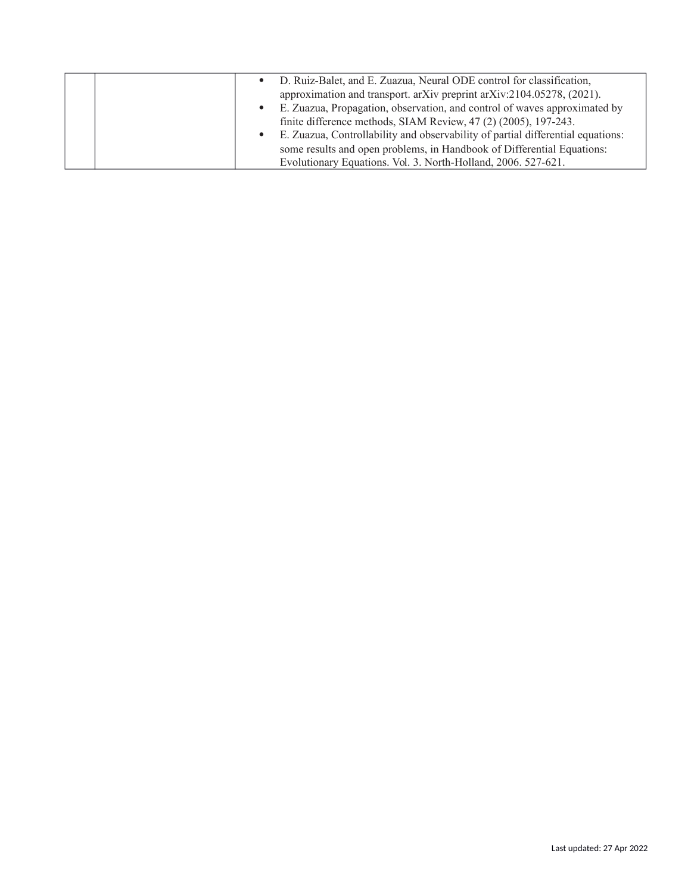|           | • D. Ruiz-Balet, and E. Zuazua, Neural ODE control for classification,          |
|-----------|---------------------------------------------------------------------------------|
|           | approximation and transport. arXiv preprint arXiv:2104.05278, (2021).           |
|           | • E. Zuazua, Propagation, observation, and control of waves approximated by     |
|           | finite difference methods, SIAM Review, 47 (2) (2005), 197-243.                 |
| $\bullet$ | E. Zuazua, Controllability and observability of partial differential equations: |
|           | some results and open problems, in Handbook of Differential Equations:          |
|           | Evolutionary Equations. Vol. 3. North-Holland, 2006. 527-621.                   |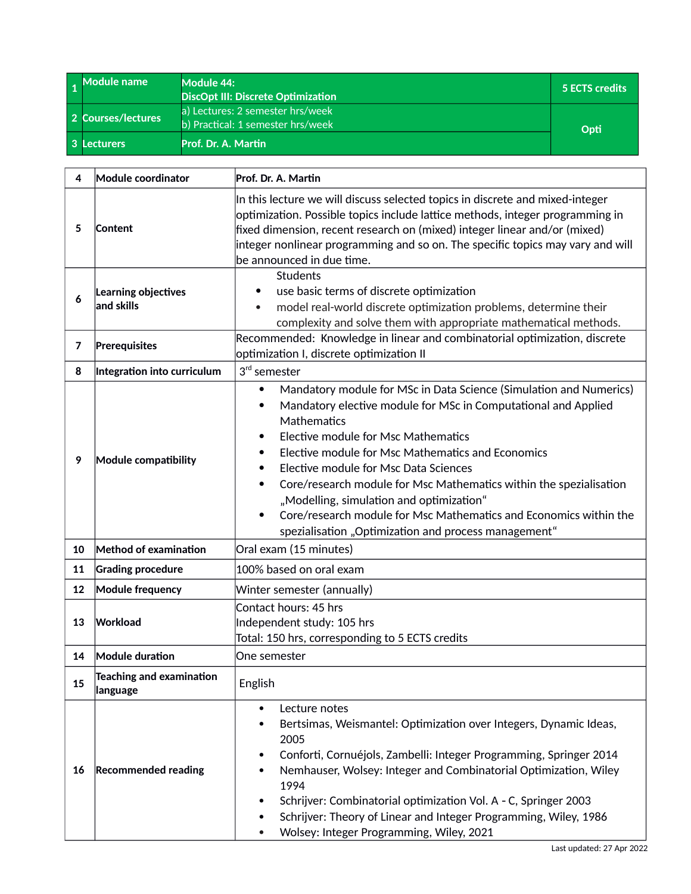<span id="page-64-0"></span>

| 1 Module name      | Module 44:<br><b>DiscOpt III: Discrete Optimization</b>               | 5 ECTS credits |
|--------------------|-----------------------------------------------------------------------|----------------|
| 2 Courses/lectures | a) Lectures: 2 semester hrs/week<br>b) Practical: 1 semester hrs/week | Opti           |
| 3 Lecturers        | Prof. Dr. A. Martin                                                   |                |

| 4  | Module coordinator                          | Prof. Dr. A. Martin                                                                                                                                                                                                                                                                                                                                                                                                                                                                                                                                                                           |  |
|----|---------------------------------------------|-----------------------------------------------------------------------------------------------------------------------------------------------------------------------------------------------------------------------------------------------------------------------------------------------------------------------------------------------------------------------------------------------------------------------------------------------------------------------------------------------------------------------------------------------------------------------------------------------|--|
| 5  | Content                                     | In this lecture we will discuss selected topics in discrete and mixed-integer<br>optimization. Possible topics include lattice methods, integer programming in<br>fixed dimension, recent research on (mixed) integer linear and/or (mixed)<br>integer nonlinear programming and so on. The specific topics may vary and will<br>be announced in due time.                                                                                                                                                                                                                                    |  |
| 6  | Learning objectives<br>and skills           | <b>Students</b><br>use basic terms of discrete optimization<br>model real-world discrete optimization problems, determine their<br>complexity and solve them with appropriate mathematical methods.                                                                                                                                                                                                                                                                                                                                                                                           |  |
| 7  | Prerequisites                               | Recommended: Knowledge in linear and combinatorial optimization, discrete<br>optimization I, discrete optimization II                                                                                                                                                                                                                                                                                                                                                                                                                                                                         |  |
| 8  | Integration into curriculum                 | $3rd$ semester                                                                                                                                                                                                                                                                                                                                                                                                                                                                                                                                                                                |  |
| 9  | Module compatibility                        | Mandatory module for MSc in Data Science (Simulation and Numerics)<br>$\bullet$<br>Mandatory elective module for MSc in Computational and Applied<br>٠<br>Mathematics<br>Elective module for Msc Mathematics<br>٠<br>Elective module for Msc Mathematics and Economics<br>Elective module for Msc Data Sciences<br>٠<br>Core/research module for Msc Mathematics within the spezialisation<br>$\bullet$<br>"Modelling, simulation and optimization"<br>Core/research module for Msc Mathematics and Economics within the<br>$\bullet$<br>spezialisation "Optimization and process management" |  |
| 10 | Method of examination                       | Oral exam (15 minutes)                                                                                                                                                                                                                                                                                                                                                                                                                                                                                                                                                                        |  |
| 11 | <b>Grading procedure</b>                    | 100% based on oral exam                                                                                                                                                                                                                                                                                                                                                                                                                                                                                                                                                                       |  |
| 12 | <b>Module frequency</b>                     | Winter semester (annually)                                                                                                                                                                                                                                                                                                                                                                                                                                                                                                                                                                    |  |
| 13 | Workload                                    | Contact hours: 45 hrs<br>Independent study: 105 hrs<br>Total: 150 hrs, corresponding to 5 ECTS credits                                                                                                                                                                                                                                                                                                                                                                                                                                                                                        |  |
| 14 | Module duration                             | One semester                                                                                                                                                                                                                                                                                                                                                                                                                                                                                                                                                                                  |  |
| 15 | <b>Teaching and examination</b><br>language | English                                                                                                                                                                                                                                                                                                                                                                                                                                                                                                                                                                                       |  |
| 16 | <b>Recommended reading</b>                  | Lecture notes<br>Bertsimas, Weismantel: Optimization over Integers, Dynamic Ideas,<br>2005<br>Conforti, Cornuéjols, Zambelli: Integer Programming, Springer 2014<br>٠<br>Nemhauser, Wolsey: Integer and Combinatorial Optimization, Wiley<br>1994<br>Schrijver: Combinatorial optimization Vol. A - C, Springer 2003<br>$\bullet$<br>Schrijver: Theory of Linear and Integer Programming, Wiley, 1986<br>Wolsey: Integer Programming, Wiley, 2021                                                                                                                                             |  |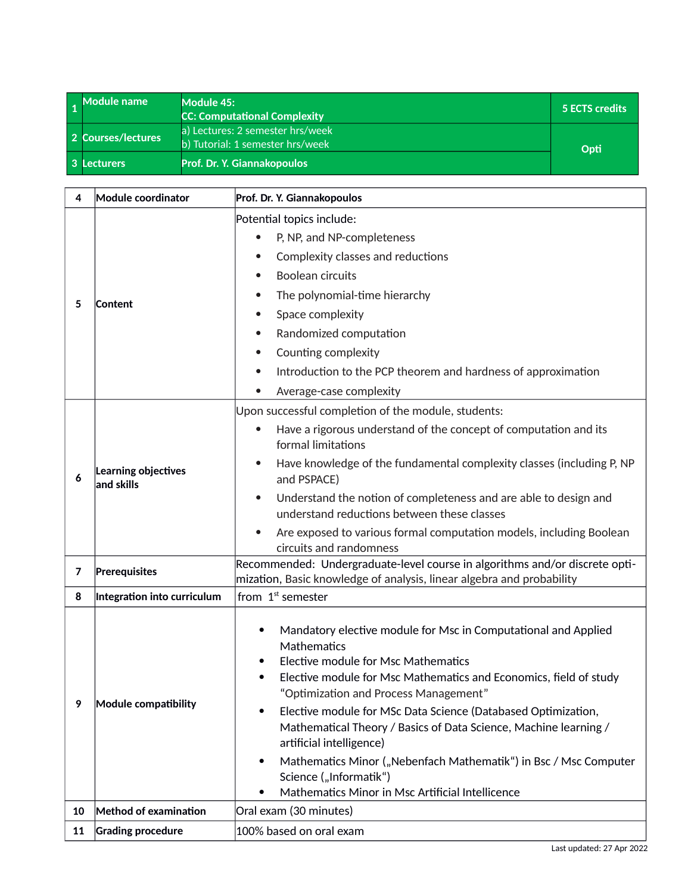<span id="page-65-0"></span>

| 1 Module name      | Module 45:<br><b>CC: Computational Complexity</b>                    | 5 ECTS credits |
|--------------------|----------------------------------------------------------------------|----------------|
| 2 Courses/lectures | a) Lectures: 2 semester hrs/week<br>b) Tutorial: 1 semester hrs/week | Opti           |
| 3 Lecturers        | Prof. Dr. Y. Giannakopoulos                                          |                |

| 4  | Module coordinator                | Prof. Dr. Y. Giannakopoulos                                                                                                                                                                                                                          |  |
|----|-----------------------------------|------------------------------------------------------------------------------------------------------------------------------------------------------------------------------------------------------------------------------------------------------|--|
|    |                                   | Potential topics include:                                                                                                                                                                                                                            |  |
|    |                                   | P, NP, and NP-completeness<br>$\bullet$                                                                                                                                                                                                              |  |
|    |                                   | Complexity classes and reductions<br>$\bullet$                                                                                                                                                                                                       |  |
|    |                                   | <b>Boolean circuits</b><br>$\bullet$                                                                                                                                                                                                                 |  |
| 5  | Content                           | The polynomial-time hierarchy<br>$\bullet$                                                                                                                                                                                                           |  |
|    |                                   | Space complexity<br>$\bullet$                                                                                                                                                                                                                        |  |
|    |                                   | Randomized computation<br>$\bullet$                                                                                                                                                                                                                  |  |
|    |                                   | Counting complexity<br>$\bullet$                                                                                                                                                                                                                     |  |
|    |                                   | Introduction to the PCP theorem and hardness of approximation<br>$\bullet$                                                                                                                                                                           |  |
|    |                                   | Average-case complexity                                                                                                                                                                                                                              |  |
|    |                                   | Upon successful completion of the module, students:                                                                                                                                                                                                  |  |
|    |                                   | Have a rigorous understand of the concept of computation and its<br>$\bullet$<br>formal limitations                                                                                                                                                  |  |
| 6  | Learning objectives<br>and skills | Have knowledge of the fundamental complexity classes (including P, NP<br>and PSPACE)                                                                                                                                                                 |  |
|    |                                   | Understand the notion of completeness and are able to design and<br>understand reductions between these classes                                                                                                                                      |  |
|    |                                   | Are exposed to various formal computation models, including Boolean                                                                                                                                                                                  |  |
|    |                                   | circuits and randomness                                                                                                                                                                                                                              |  |
| 7  | Prerequisites                     | Recommended: Undergraduate-level course in algorithms and/or discrete opti-<br>mization, Basic knowledge of analysis, linear algebra and probability                                                                                                 |  |
| 8  | Integration into curriculum       | from 1 <sup>st</sup> semester                                                                                                                                                                                                                        |  |
|    |                                   | Mandatory elective module for Msc in Computational and Applied<br>$\bullet$<br>Mathematics<br>Elective module for Msc Mathematics<br>٠<br>Elective module for Msc Mathematics and Economics, field of study<br>"Optimization and Process Management" |  |
| 9  | Module compatibility              | Elective module for MSc Data Science (Databased Optimization,<br>$\bullet$<br>Mathematical Theory / Basics of Data Science, Machine learning /<br>artificial intelligence)                                                                           |  |
|    |                                   | Mathematics Minor ("Nebenfach Mathematik") in Bsc / Msc Computer<br>$\bullet$<br>Science ("Informatik")<br>Mathematics Minor in Msc Artificial Intellicence                                                                                          |  |
| 10 | Method of examination             | Oral exam (30 minutes)                                                                                                                                                                                                                               |  |
| 11 | <b>Grading procedure</b>          | 100% based on oral exam                                                                                                                                                                                                                              |  |
|    |                                   |                                                                                                                                                                                                                                                      |  |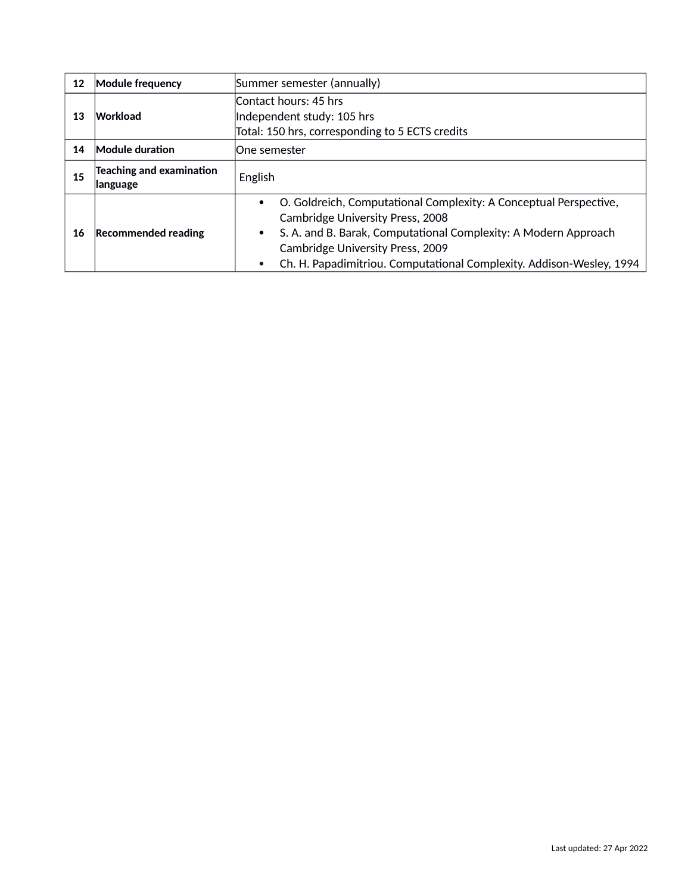| 12 | <b>Module frequency</b>                     | Summer semester (annually)                                                                                                                                                                                                                                                                                                 |
|----|---------------------------------------------|----------------------------------------------------------------------------------------------------------------------------------------------------------------------------------------------------------------------------------------------------------------------------------------------------------------------------|
| 13 | Workload                                    | Contact hours: 45 hrs<br>Independent study: 105 hrs<br>Total: 150 hrs, corresponding to 5 ECTS credits                                                                                                                                                                                                                     |
| 14 | Module duration                             | lOne semester                                                                                                                                                                                                                                                                                                              |
| 15 | <b>Teaching and examination</b><br>language | English                                                                                                                                                                                                                                                                                                                    |
| 16 | <b>Recommended reading</b>                  | O. Goldreich, Computational Complexity: A Conceptual Perspective,<br>$\bullet$<br><b>Cambridge University Press, 2008</b><br>S. A. and B. Barak, Computational Complexity: A Modern Approach<br>٠<br>Cambridge University Press, 2009<br>Ch. H. Papadimitriou. Computational Complexity. Addison-Wesley, 1994<br>$\bullet$ |